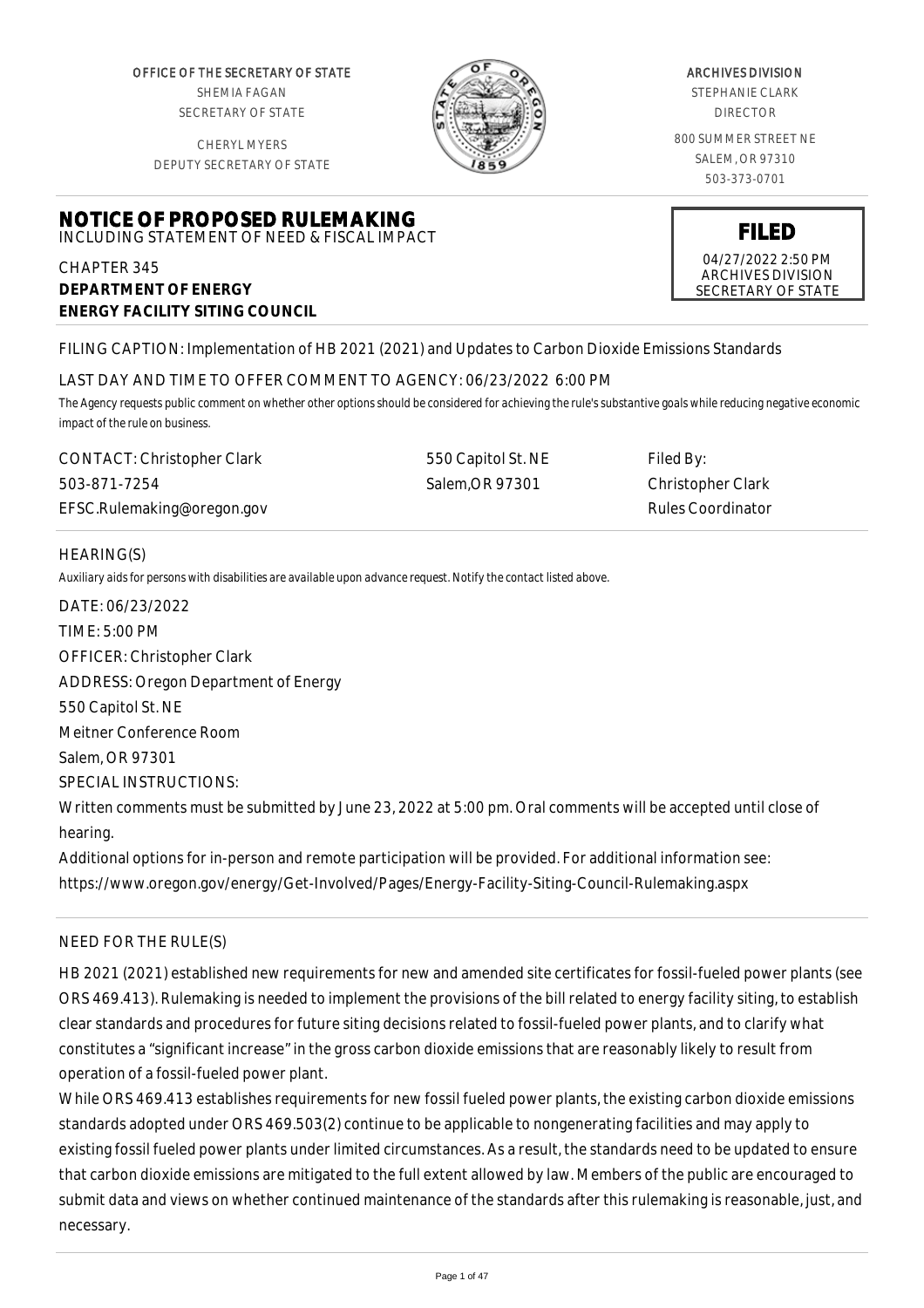OFFICE OF THE SECRETARY OF STATE SHEMIA FAGAN SECRETARY OF STATE

CHERYL MYERS DEPUTY SECRETARY OF STATE

**NOTICE OF PROPOSED RULEMAKING** INCLUDING STATEMENT OF NEED & FISCAL IMPACT



#### ARCHIVES DIVISION

STEPHANIE CLARK DIRECTOR

800 SUMMER STREET NE SALEM, OR 97310 503-373-0701

**FILED**

04/27/2022 2:50 PM ARCHIVES DIVISION SECRETARY OF STATE

CHAPTER 345 **DEPARTMENT OF ENERGY ENERGY FACILITY SITING COUNCIL**

FILING CAPTION: Implementation of HB 2021 (2021) and Updates to Carbon Dioxide Emissions Standards

## LAST DAY AND TIME TO OFFER COMMENT TO AGENCY: 06/23/2022 6:00 PM

*The Agency requests public comment on whether other options should be considered for achieving the rule's substantive goals while reducing negative economic impact of the rule on business.*

CONTACT: Christopher Clark 503-871-7254 EFSC.Rulemaking@oregon.gov 550 Capitol St. NE Salem,OR 97301

Filed By: Christopher Clark Rules Coordinator

# HEARING(S)

*Auxiliary aids for persons with disabilities are available upon advance request. Notify the contact listed above.*

DATE: 06/23/2022 TIME: 5:00 PM OFFICER: Christopher Clark ADDRESS: Oregon Department of Energy 550 Capitol St. NE Meitner Conference Room Salem, OR 97301 SPECIAL INSTRUCTIONS: Written comments must be submitted by June 23, 2022 at 5:00 pm. Oral comments will be accepted until close of hearing.

Additional options for in-person and remote participation will be provided. For additional information see: https://www.oregon.gov/energy/Get-Involved/Pages/Energy-Facility-Siting-Council-Rulemaking.aspx

## NEED FOR THE RULE(S)

HB 2021 (2021) established new requirements for new and amended site certificates for fossil-fueled power plants (see ORS 469.413). Rulemaking is needed to implement the provisions of the bill related to energy facility siting, to establish clear standards and procedures for future siting decisions related to fossil-fueled power plants, and to clarify what constitutes a "significant increase" in the gross carbon dioxide emissions that are reasonably likely to result from operation of a fossil-fueled power plant.

While ORS 469.413 establishes requirements for new fossil fueled power plants, the existing carbon dioxide emissions standards adopted under ORS 469.503(2) continue to be applicable to nongenerating facilities and may apply to existing fossil fueled power plants under limited circumstances. As a result, the standards need to be updated to ensure that carbon dioxide emissions are mitigated to the full extent allowed by law. Members of the public are encouraged to submit data and views on whether continued maintenance of the standards after this rulemaking is reasonable, just, and necessary.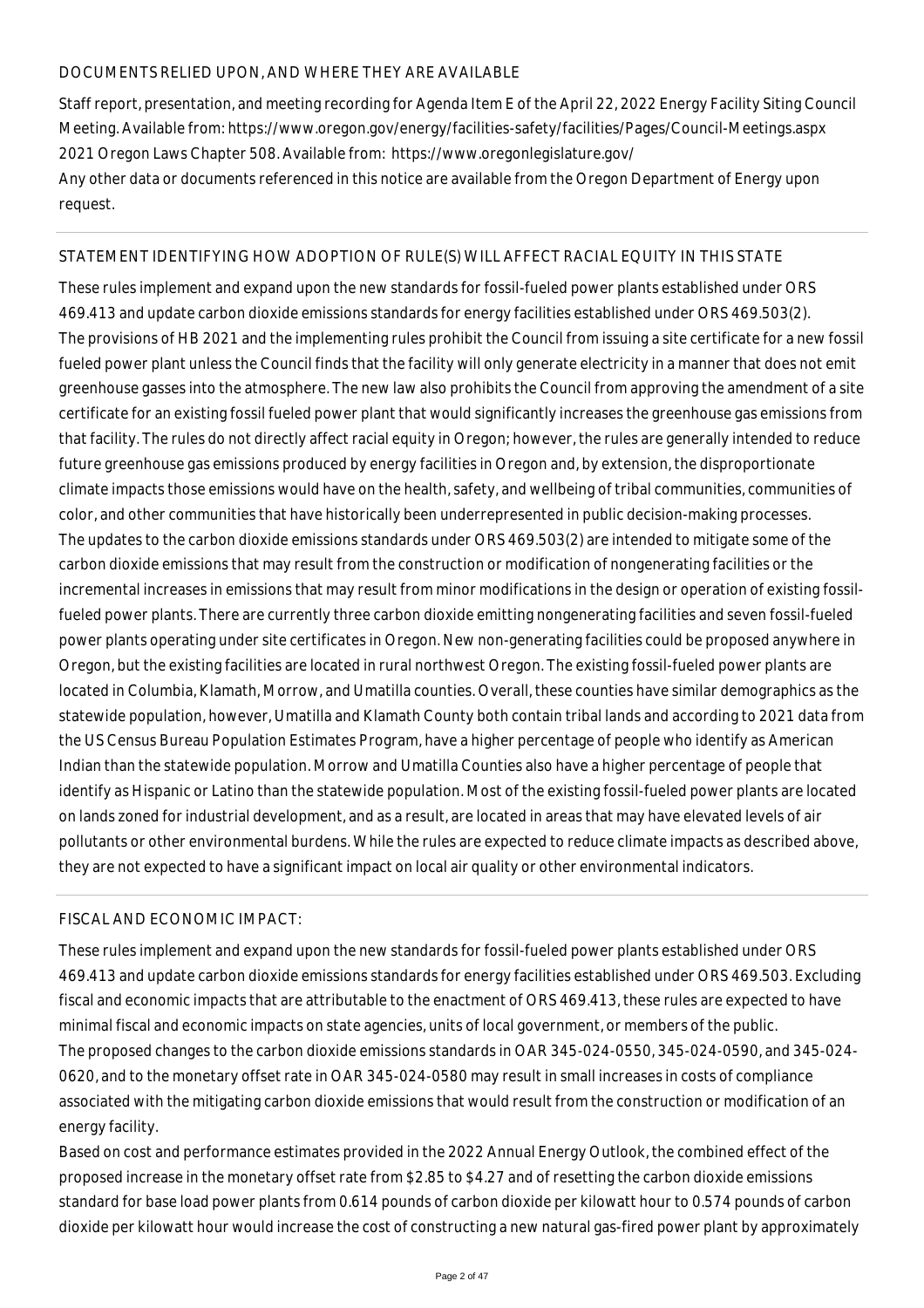## DOCUMENTS RELIED UPON, AND WHERE THEY ARE AVAILABLE

Staff report, presentation, and meeting recording for Agenda Item E of the April 22, 2022 Energy Facility Siting Council Meeting. Available from: https://www.oregon.gov/energy/facilities-safety/facilities/Pages/Council-Meetings.aspx 2021 Oregon Laws Chapter 508. Available from: https://www.oregonlegislature.gov/ Any other data or documents referenced in this notice are available from the Oregon Department of Energy upon request.

## STATEMENT IDENTIFYING HOW ADOPTION OF RULE(S) WILL AFFECT RACIAL EQUITY IN THIS STATE

These rules implement and expand upon the new standards for fossil-fueled power plants established under ORS 469.413 and update carbon dioxide emissions standards for energy facilities established under ORS 469.503(2). The provisions of HB 2021 and the implementing rules prohibit the Council from issuing a site certificate for a new fossil fueled power plant unless the Council finds that the facility will only generate electricity in a manner that does not emit greenhouse gasses into the atmosphere. The new law also prohibits the Council from approving the amendment of a site certificate for an existing fossil fueled power plant that would significantly increases the greenhouse gas emissions from that facility. The rules do not directly affect racial equity in Oregon; however, the rules are generally intended to reduce future greenhouse gas emissions produced by energy facilities in Oregon and, by extension, the disproportionate climate impacts those emissions would have on the health, safety, and wellbeing of tribal communities, communities of color, and other communities that have historically been underrepresented in public decision-making processes. The updates to the carbon dioxide emissions standards under ORS 469.503(2) are intended to mitigate some of the carbon dioxide emissions that may result from the construction or modification of nongenerating facilities or the incremental increases in emissions that may result from minor modifications in the design or operation of existing fossilfueled power plants. There are currently three carbon dioxide emitting nongenerating facilities and seven fossil-fueled power plants operating under site certificates in Oregon. New non-generating facilities could be proposed anywhere in Oregon, but the existing facilities are located in rural northwest Oregon. The existing fossil-fueled power plants are located in Columbia, Klamath, Morrow, and Umatilla counties. Overall, these counties have similar demographics as the statewide population, however, Umatilla and Klamath County both contain tribal lands and according to 2021 data from the US Census Bureau Population Estimates Program, have a higher percentage of people who identify as American Indian than the statewide population. Morrow and Umatilla Counties also have a higher percentage of people that identify as Hispanic or Latino than the statewide population. Most of the existing fossil-fueled power plants are located on lands zoned for industrial development, and as a result, are located in areas that may have elevated levels of air pollutants or other environmental burdens. While the rules are expected to reduce climate impacts as described above, they are not expected to have a significant impact on local air quality or other environmental indicators.

## FISCAL AND ECONOMIC IMPACT:

These rules implement and expand upon the new standards for fossil-fueled power plants established under ORS 469.413 and update carbon dioxide emissions standards for energy facilities established under ORS 469.503. Excluding fiscal and economic impacts that are attributable to the enactment of ORS 469.413, these rules are expected to have minimal fiscal and economic impacts on state agencies, units of local government, or members of the public. The proposed changes to the carbon dioxide emissions standards in OAR 345-024-0550, 345-024-0590, and 345-024- 0620, and to the monetary offset rate in OAR 345-024-0580 may result in small increases in costs of compliance associated with the mitigating carbon dioxide emissions that would result from the construction or modification of an energy facility.

Based on cost and performance estimates provided in the 2022 Annual Energy Outlook, the combined effect of the proposed increase in the monetary offset rate from \$2.85 to \$4.27 and of resetting the carbon dioxide emissions standard for base load power plants from 0.614 pounds of carbon dioxide per kilowatt hour to 0.574 pounds of carbon dioxide per kilowatt hour would increase the cost of constructing a new natural gas-fired power plant by approximately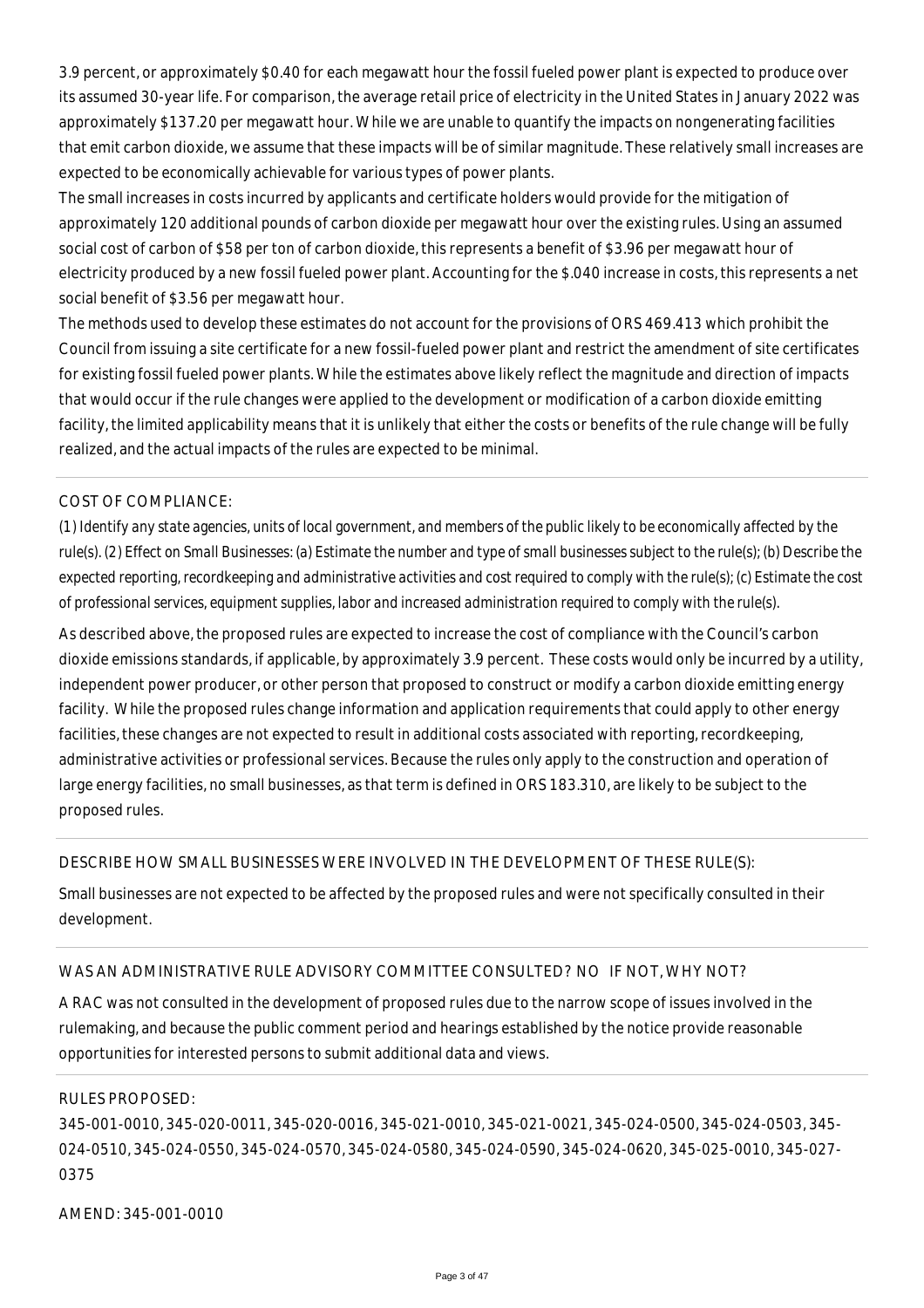3.9 percent, or approximately \$0.40 for each megawatt hour the fossil fueled power plant is expected to produce over its assumed 30-year life. For comparison, the average retail price of electricity in the United States in January 2022 was approximately \$137.20 per megawatt hour. While we are unable to quantify the impacts on nongenerating facilities that emit carbon dioxide, we assume that these impacts will be of similar magnitude. These relatively small increases are expected to be economically achievable for various types of power plants.

The small increases in costs incurred by applicants and certificate holders would provide for the mitigation of approximately 120 additional pounds of carbon dioxide per megawatt hour over the existing rules. Using an assumed social cost of carbon of \$58 per ton of carbon dioxide, this represents a benefit of \$3.96 per megawatt hour of electricity produced by a new fossil fueled power plant. Accounting for the \$.040 increase in costs, this represents a net social benefit of \$3.56 per megawatt hour.

The methods used to develop these estimates do not account for the provisions of ORS 469.413 which prohibit the Council from issuing a site certificate for a new fossil-fueled power plant and restrict the amendment of site certificates for existing fossil fueled power plants. While the estimates above likely reflect the magnitude and direction of impacts that would occur if the rule changes were applied to the development or modification of a carbon dioxide emitting facility, the limited applicability means that it is unlikely that either the costs or benefits of the rule change will be fully realized, and the actual impacts of the rules are expected to be minimal.

## COST OF COMPLIANCE:

*(1) Identify any state agencies, units of local government, and members of the public likely to be economically affected by the rule(s). (2) Effect on Small Businesses: (a) Estimate the number and type of small businesses subject to the rule(s); (b) Describe the expected reporting, recordkeeping and administrative activities and cost required to comply with the rule(s); (c) Estimate the cost of professional services, equipment supplies, labor and increased administration required to comply with the rule(s).*

As described above, the proposed rules are expected to increase the cost of compliance with the Council's carbon dioxide emissions standards, if applicable, by approximately 3.9 percent. These costs would only be incurred by a utility, independent power producer, or other person that proposed to construct or modify a carbon dioxide emitting energy facility. While the proposed rules change information and application requirements that could apply to other energy facilities, these changes are not expected to result in additional costs associated with reporting, recordkeeping, administrative activities or professional services. Because the rules only apply to the construction and operation of large energy facilities, no small businesses, as that term is defined in ORS 183.310, are likely to be subject to the proposed rules.

#### DESCRIBE HOW SMALL BUSINESSES WERE INVOLVED IN THE DEVELOPMENT OF THESE RULE(S):

Small businesses are not expected to be affected by the proposed rules and were not specifically consulted in their development.

#### WAS AN ADMINISTRATIVE RULE ADVISORY COMMITTEE CONSULTED? NO IF NOT, WHY NOT?

A RAC was not consulted in the development of proposed rules due to the narrow scope of issues involved in the rulemaking, and because the public comment period and hearings established by the notice provide reasonable opportunities for interested persons to submit additional data and views.

#### RULES PROPOSED:

345-001-0010, 345-020-0011, 345-020-0016, 345-021-0010, 345-021-0021, 345-024-0500, 345-024-0503, 345- 024-0510, 345-024-0550, 345-024-0570, 345-024-0580, 345-024-0590, 345-024-0620, 345-025-0010, 345-027- 0375

AMEND: 345-001-0010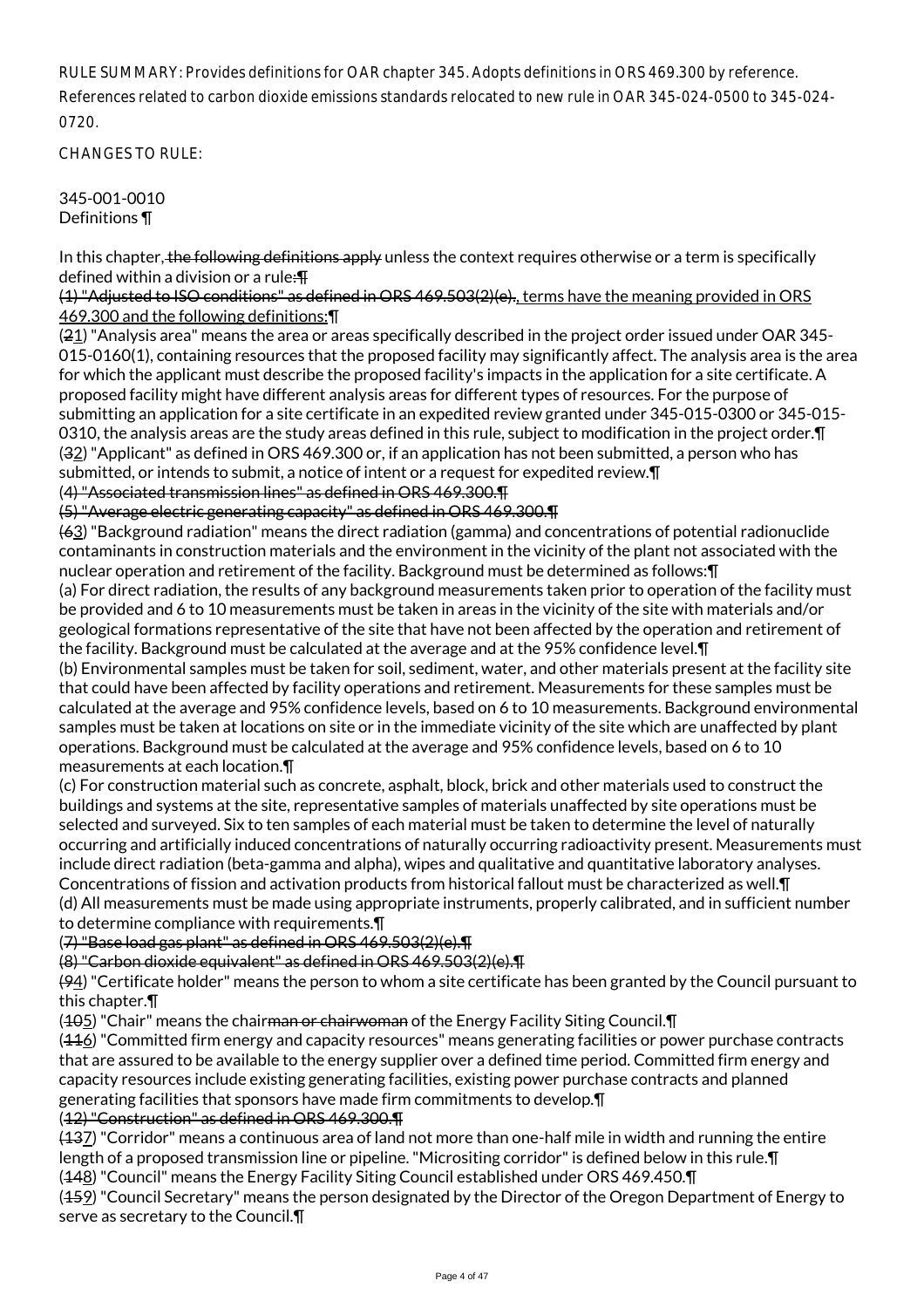RULE SUMMARY: Provides definitions for OAR chapter 345. Adopts definitions in ORS 469.300 by reference. References related to carbon dioxide emissions standards relocated to new rule in OAR 345-024-0500 to 345-024- 0720.

CHANGES TO RULE:

345-001-0010 Definitions ¶

In this chapter, the following definitions apply unless the context requires otherwise or a term is specifically defined within a division or a rule:¶

(1) "Adjusted to ISO conditions" as defined in ORS 469.503(2)(e)., terms have the meaning provided in ORS 469.300 and the following definitions:¶

(21) "Analysis area" means the area or areas specifically described in the project order issued under OAR 345- 015-0160(1), containing resources that the proposed facility may significantly affect. The analysis area is the area for which the applicant must describe the proposed facility's impacts in the application for a site certificate. A proposed facility might have different analysis areas for different types of resources. For the purpose of submitting an application for a site certificate in an expedited review granted under 345-015-0300 or 345-015- 0310, the analysis areas are the study areas defined in this rule, subject to modification in the project order. [1] (32) "Applicant" as defined in ORS 469.300 or, if an application has not been submitted, a person who has submitted, or intends to submit, a notice of intent or a request for expedited review.¶

(4) "Associated transmission lines" as defined in ORS 469.300.¶

(5) "Average electric generating capacity" as defined in ORS 469.300.¶

(63) "Background radiation" means the direct radiation (gamma) and concentrations of potential radionuclide contaminants in construction materials and the environment in the vicinity of the plant not associated with the nuclear operation and retirement of the facility. Background must be determined as follows:¶

(a) For direct radiation, the results of any background measurements taken prior to operation of the facility must be provided and 6 to 10 measurements must be taken in areas in the vicinity of the site with materials and/or geological formations representative of the site that have not been affected by the operation and retirement of the facility. Background must be calculated at the average and at the 95% confidence level.¶

(b) Environmental samples must be taken for soil, sediment, water, and other materials present at the facility site that could have been affected by facility operations and retirement. Measurements for these samples must be calculated at the average and 95% confidence levels, based on 6 to 10 measurements. Background environmental samples must be taken at locations on site or in the immediate vicinity of the site which are unaffected by plant operations. Background must be calculated at the average and 95% confidence levels, based on 6 to 10 measurements at each location.¶

(c) For construction material such as concrete, asphalt, block, brick and other materials used to construct the buildings and systems at the site, representative samples of materials unaffected by site operations must be selected and surveyed. Six to ten samples of each material must be taken to determine the level of naturally occurring and artificially induced concentrations of naturally occurring radioactivity present. Measurements must include direct radiation (beta-gamma and alpha), wipes and qualitative and quantitative laboratory analyses. Concentrations of fission and activation products from historical fallout must be characterized as well.¶ (d) All measurements must be made using appropriate instruments, properly calibrated, and in sufficient number to determine compliance with requirements.¶

(7) "Base load gas plant" as defined in ORS 469.503(2)(e).¶

(8) "Carbon dioxide equivalent" as defined in ORS 469.503(2)(e).¶

 $(94)$  "Certificate holder" means the person to whom a site certificate has been granted by the Council pursuant to this chapter.¶

(405) "Chair" means the chair<del>man or chairwoman</del> of the Energy Facility Siting Council. **T** 

 $(416)$  "Committed firm energy and capacity resources" means generating facilities or power purchase contracts that are assured to be available to the energy supplier over a defined time period. Committed firm energy and capacity resources include existing generating facilities, existing power purchase contracts and planned generating facilities that sponsors have made firm commitments to develop.¶

## (12) "Construction" as defined in ORS 469.300.¶

(137) "Corridor" means a continuous area of land not more than one-half mile in width and running the entire length of a proposed transmission line or pipeline. "Micrositing corridor" is defined below in this rule.¶

(148) "Council" means the Energy Facility Siting Council established under ORS 469.450.¶

(459) "Council Secretary" means the person designated by the Director of the Oregon Department of Energy to serve as secretary to the Council.¶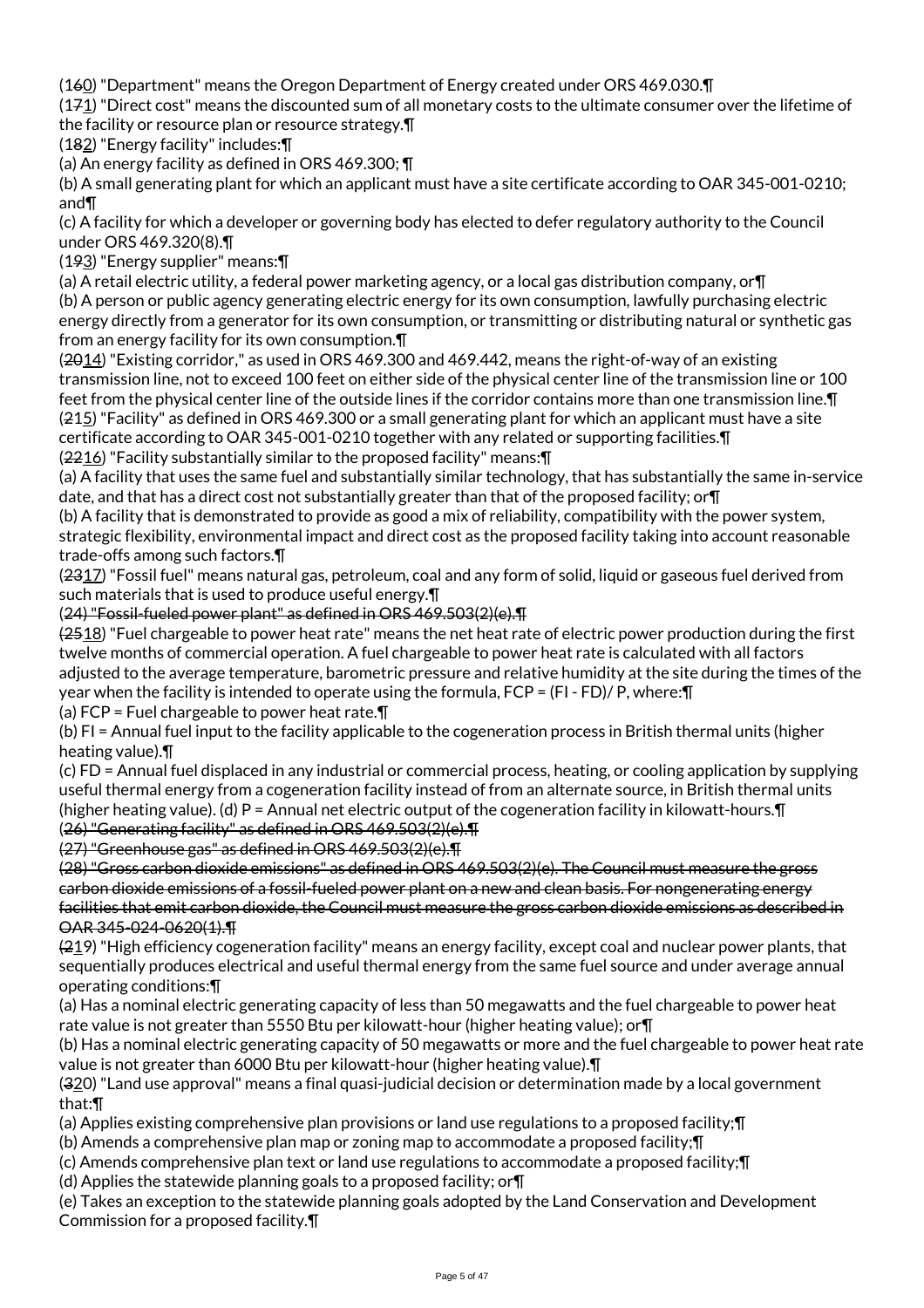(160) "Department" means the Oregon Department of Energy created under ORS 469.030.¶

(171) "Direct cost" means the discounted sum of all monetary costs to the ultimate consumer over the lifetime of the facility or resource plan or resource strategy.¶

(182) "Energy facility" includes:¶

(a) An energy facility as defined in ORS 469.300; ¶

(b) A small generating plant for which an applicant must have a site certificate according to OAR 345-001-0210; and¶

(c) A facility for which a developer or governing body has elected to defer regulatory authority to the Council under ORS 469.320(8).¶

(193) "Energy supplier" means:¶

(a) A retail electric utility, a federal power marketing agency, or a local gas distribution company, or¶ (b) A person or public agency generating electric energy for its own consumption, lawfully purchasing electric energy directly from a generator for its own consumption, or transmitting or distributing natural or synthetic gas from an energy facility for its own consumption.¶

(2014) "Existing corridor," as used in ORS 469.300 and 469.442, means the right-of-way of an existing transmission line, not to exceed 100 feet on either side of the physical center line of the transmission line or 100 feet from the physical center line of the outside lines if the corridor contains more than one transmission line.¶ (215) "Facility" as defined in ORS 469.300 or a small generating plant for which an applicant must have a site certificate according to OAR 345-001-0210 together with any related or supporting facilities.¶ (2216) "Facility substantially similar to the proposed facility" means:¶

(a) A facility that uses the same fuel and substantially similar technology, that has substantially the same in-service date, and that has a direct cost not substantially greater than that of the proposed facility; or¶

(b) A facility that is demonstrated to provide as good a mix of reliability, compatibility with the power system, strategic flexibility, environmental impact and direct cost as the proposed facility taking into account reasonable trade-offs among such factors.¶

(2317) "Fossil fuel" means natural gas, petroleum, coal and any form of solid, liquid or gaseous fuel derived from such materials that is used to produce useful energy.¶

(24) "Fossil-fueled power plant" as defined in ORS 469.503(2)(e).¶

(2518) "Fuel chargeable to power heat rate" means the net heat rate of electric power production during the first twelve months of commercial operation. A fuel chargeable to power heat rate is calculated with all factors adjusted to the average temperature, barometric pressure and relative humidity at the site during the times of the year when the facility is intended to operate using the formula, FCP = (FI - FD)/ P, where:¶

(a) FCP = Fuel chargeable to power heat rate.¶

(b) FI = Annual fuel input to the facility applicable to the cogeneration process in British thermal units (higher heating value).¶

(c) FD = Annual fuel displaced in any industrial or commercial process, heating, or cooling application by supplying useful thermal energy from a cogeneration facility instead of from an alternate source, in British thermal units (higher heating value). (d) P = Annual net electric output of the cogeneration facility in kilowatt-hours.¶ (26) "Generating facility" as defined in ORS 469.503(2)(e).¶

(27) "Greenhouse gas" as defined in ORS 469.503(2)(e).¶

(28) "Gross carbon dioxide emissions" as defined in ORS 469.503(2)(e). The Council must measure the gross carbon dioxide emissions of a fossil-fueled power plant on a new and clean basis. For nongenerating energy facilities that emit carbon dioxide, the Council must measure the gross carbon dioxide emissions as described in OAR 345-024-0620(1).¶

(219) "High efficiency cogeneration facility" means an energy facility, except coal and nuclear power plants, that sequentially produces electrical and useful thermal energy from the same fuel source and under average annual operating conditions:¶

(a) Has a nominal electric generating capacity of less than 50 megawatts and the fuel chargeable to power heat rate value is not greater than 5550 Btu per kilowatt-hour (higher heating value); or¶

(b) Has a nominal electric generating capacity of 50 megawatts or more and the fuel chargeable to power heat rate value is not greater than 6000 Btu per kilowatt-hour (higher heating value).¶

(320) "Land use approval" means a final quasi-judicial decision or determination made by a local government that:¶

(a) Applies existing comprehensive plan provisions or land use regulations to a proposed facility;¶

(b) Amends a comprehensive plan map or zoning map to accommodate a proposed facility;¶

(c) Amends comprehensive plan text or land use regulations to accommodate a proposed facility;¶

(d) Applies the statewide planning goals to a proposed facility; or¶

(e) Takes an exception to the statewide planning goals adopted by the Land Conservation and Development Commission for a proposed facility.¶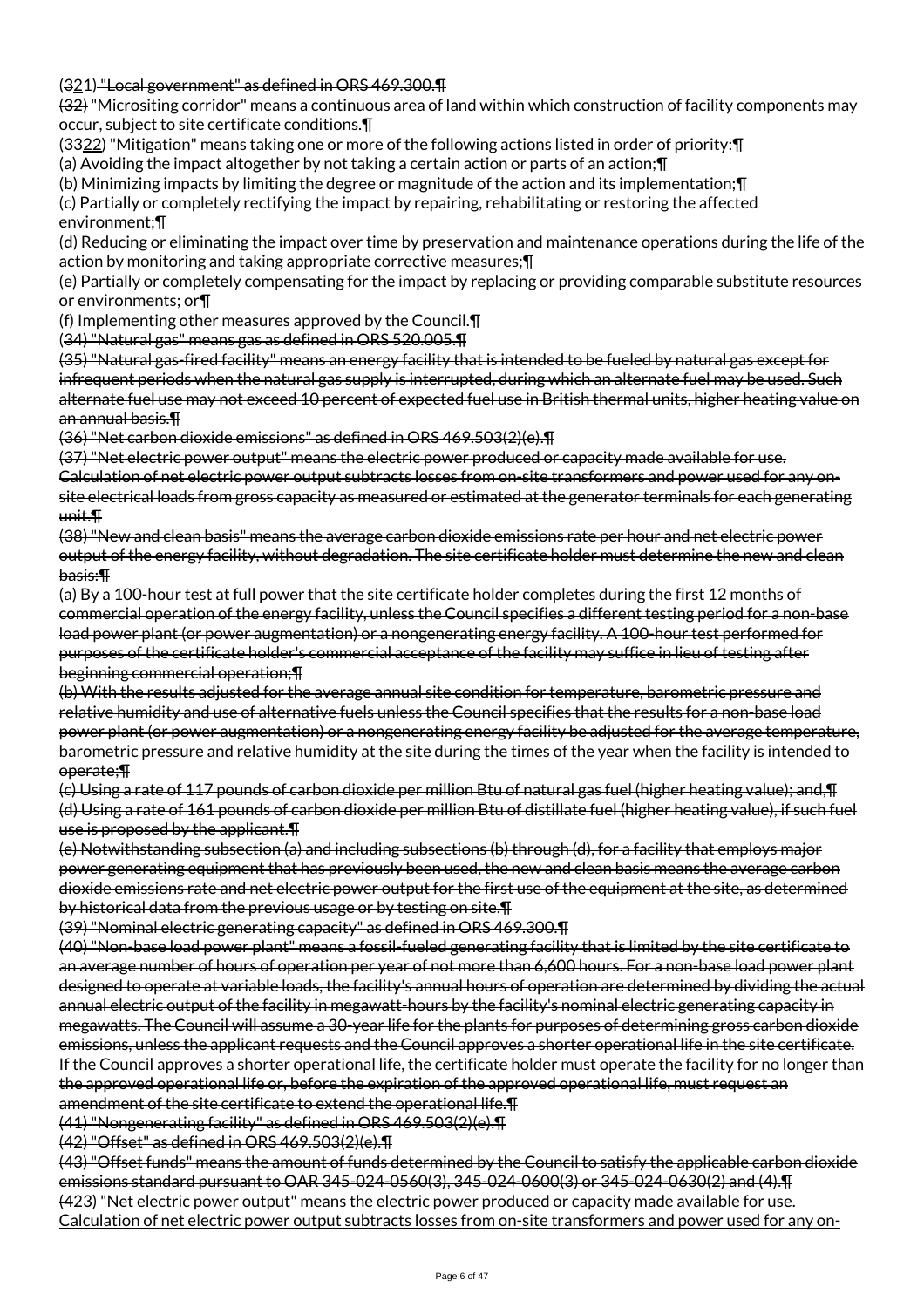(321) "Local government" as defined in ORS 469.300.¶

(32) "Micrositing corridor" means a continuous area of land within which construction of facility components may occur, subject to site certificate conditions.¶

(3322) "Mitigation" means taking one or more of the following actions listed in order of priority:¶

(a) Avoiding the impact altogether by not taking a certain action or parts of an action;¶

(b) Minimizing impacts by limiting the degree or magnitude of the action and its implementation;¶

(c) Partially or completely rectifying the impact by repairing, rehabilitating or restoring the affected environment;¶

(d) Reducing or eliminating the impact over time by preservation and maintenance operations during the life of the action by monitoring and taking appropriate corrective measures;¶

(e) Partially or completely compensating for the impact by replacing or providing comparable substitute resources or environments; or¶

(f) Implementing other measures approved by the Council.¶

(34) "Natural gas" means gas as defined in ORS 520.005.¶

(35) "Natural gas-fired facility" means an energy facility that is intended to be fueled by natural gas except for infrequent periods when the natural gas supply is interrupted, during which an alternate fuel may be used. Such alternate fuel use may not exceed 10 percent of expected fuel use in British thermal units, higher heating value on an annual basis.¶

(36) "Net carbon dioxide emissions" as defined in ORS 469.503(2)(e).¶

(37) "Net electric power output" means the electric power produced or capacity made available for use. Calculation of net electric power output subtracts losses from on-site transformers and power used for any onsite electrical loads from gross capacity as measured or estimated at the generator terminals for each generating unit.¶

(38) "New and clean basis" means the average carbon dioxide emissions rate per hour and net electric power output of the energy facility, without degradation. The site certificate holder must determine the new and clean basis:¶

(a) By a 100-hour test at full power that the site certificate holder completes during the first 12 months of commercial operation of the energy facility, unless the Council specifies a different testing period for a non-base load power plant (or power augmentation) or a nongenerating energy facility. A 100-hour test performed for purposes of the certificate holder's commercial acceptance of the facility may suffice in lieu of testing after beginning commercial operation;¶

(b) With the results adjusted for the average annual site condition for temperature, barometric pressure and relative humidity and use of alternative fuels unless the Council specifies that the results for a non-base load power plant (or power augmentation) or a nongenerating energy facility be adjusted for the average temperature, barometric pressure and relative humidity at the site during the times of the year when the facility is intended to operate;¶

(c) Using a rate of 117 pounds of carbon dioxide per million Btu of natural gas fuel (higher heating value); and,¶ (d) Using a rate of 161 pounds of carbon dioxide per million Btu of distillate fuel (higher heating value), if such fuel use is proposed by the applicant.¶

(e) Notwithstanding subsection (a) and including subsections (b) through (d), for a facility that employs major power generating equipment that has previously been used, the new and clean basis means the average carbon dioxide emissions rate and net electric power output for the first use of the equipment at the site, as determined by historical data from the previous usage or by testing on site.¶

(39) "Nominal electric generating capacity" as defined in ORS 469.300.¶

(40) "Non-base load power plant" means a fossil-fueled generating facility that is limited by the site certificate to an average number of hours of operation per year of not more than 6,600 hours. For a non-base load power plant designed to operate at variable loads, the facility's annual hours of operation are determined by dividing the actual annual electric output of the facility in megawatt-hours by the facility's nominal electric generating capacity in megawatts. The Council will assume a 30-year life for the plants for purposes of determining gross carbon dioxide emissions, unless the applicant requests and the Council approves a shorter operational life in the site certificate. If the Council approves a shorter operational life, the certificate holder must operate the facility for no longer than the approved operational life or, before the expiration of the approved operational life, must request an amendment of the site certificate to extend the operational life.¶

(41) "Nongenerating facility" as defined in ORS 469.503(2)(e).¶

(42) "Offset" as defined in ORS 469.503(2)(e).¶

(43) "Offset funds" means the amount of funds determined by the Council to satisfy the applicable carbon dioxide emissions standard pursuant to OAR 345-024-0560(3), 345-024-0600(3) or 345-024-0630(2) and (4).¶ (423) "Net electric power output" means the electric power produced or capacity made available for use. Calculation of net electric power output subtracts losses from on-site transformers and power used for any on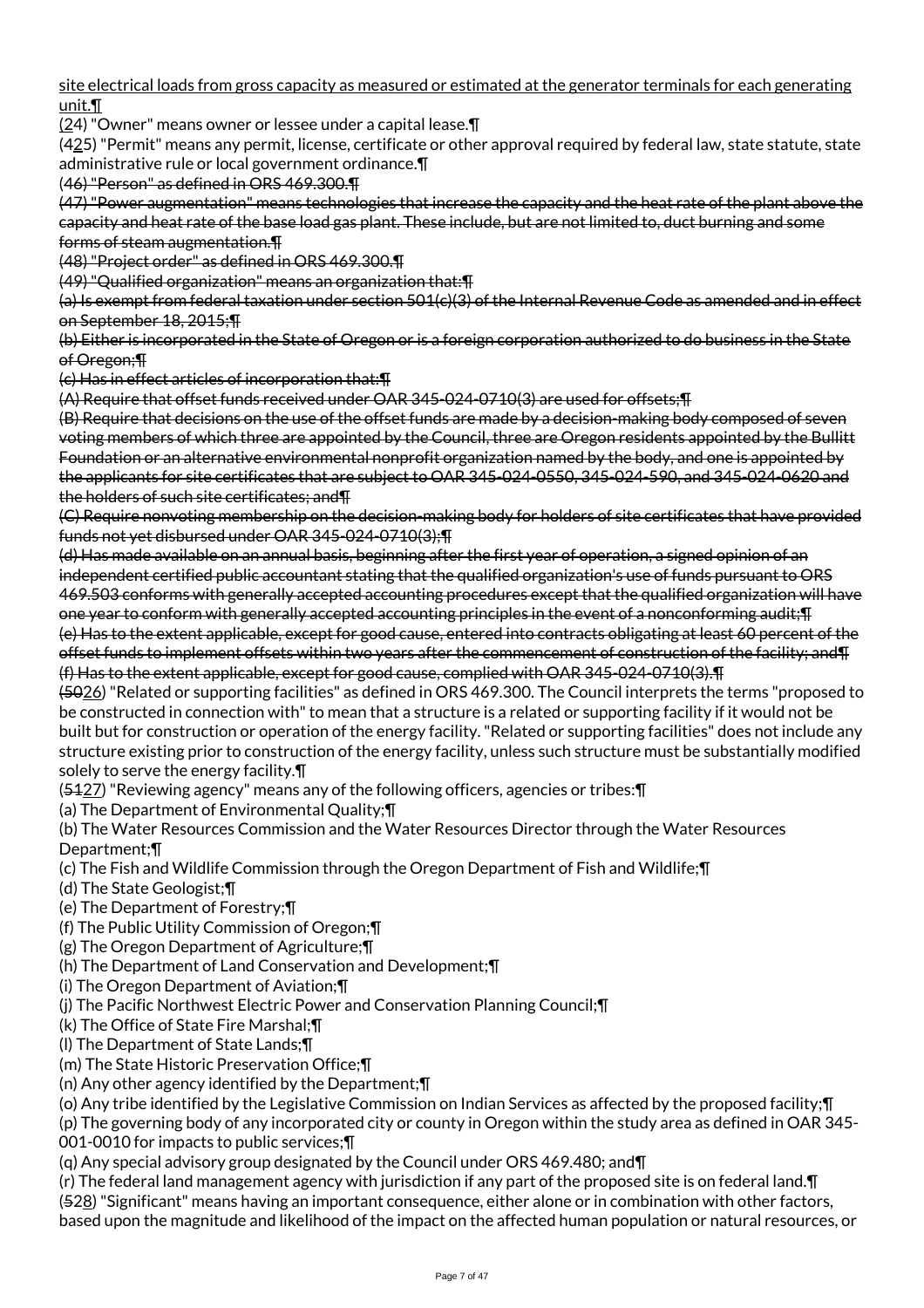site electrical loads from gross capacity as measured or estimated at the generator terminals for each generating unit.¶

(24) "Owner" means owner or lessee under a capital lease.¶

 $(425)$  "Permit" means any permit, license, certificate or other approval required by federal law, state statute, state administrative rule or local government ordinance.¶

(46) "Person" as defined in ORS 469.300.¶

(47) "Power augmentation" means technologies that increase the capacity and the heat rate of the plant above the capacity and heat rate of the base load gas plant. These include, but are not limited to, duct burning and some forms of steam augmentation.¶

(48) "Project order" as defined in ORS 469.300.¶

(49) "Qualified organization" means an organization that:¶

(a) Is exempt from federal taxation under section 501(c)(3) of the Internal Revenue Code as amended and in effect on September 18, 2015;¶

(b) Either is incorporated in the State of Oregon or is a foreign corporation authorized to do business in the State of Oregon;¶

(c) Has in effect articles of incorporation that:¶

(A) Require that offset funds received under OAR 345-024-0710(3) are used for offsets;¶

(B) Require that decisions on the use of the offset funds are made by a decision-making body composed of seven voting members of which three are appointed by the Council, three are Oregon residents appointed by the Bullitt Foundation or an alternative environmental nonprofit organization named by the body, and one is appointed by the applicants for site certificates that are subject to OAR 345-024-0550, 345-024-590, and 345-024-0620 and the holders of such site certificates; and¶

(C) Require nonvoting membership on the decision-making body for holders of site certificates that have provided funds not yet disbursed under OAR 345-024-0710(3);¶

(d) Has made available on an annual basis, beginning after the first year of operation, a signed opinion of an independent certified public accountant stating that the qualified organization's use of funds pursuant to ORS 469.503 conforms with generally accepted accounting procedures except that the qualified organization will have one year to conform with generally accepted accounting principles in the event of a nonconforming audit;¶ (e) Has to the extent applicable, except for good cause, entered into contracts obligating at least 60 percent of the offset funds to implement offsets within two years after the commencement of construction of the facility; and¶ (f) Has to the extent applicable, except for good cause, complied with OAR 345-024-0710(3).¶

(5026) "Related or supporting facilities" as defined in ORS 469.300. The Council interprets the terms "proposed to be constructed in connection with" to mean that a structure is a related or supporting facility if it would not be built but for construction or operation of the energy facility. "Related or supporting facilities" does not include any structure existing prior to construction of the energy facility, unless such structure must be substantially modified solely to serve the energy facility.¶

(5127) "Reviewing agency" means any of the following officers, agencies or tribes:¶

(a) The Department of Environmental Quality;¶

(b) The Water Resources Commission and the Water Resources Director through the Water Resources Department;¶

(c) The Fish and Wildlife Commission through the Oregon Department of Fish and Wildlife;¶

(d) The State Geologist;¶

(e) The Department of Forestry;¶

(f) The Public Utility Commission of Oregon;¶

(g) The Oregon Department of Agriculture;¶

(h) The Department of Land Conservation and Development;¶

(i) The Oregon Department of Aviation;¶

(j) The Pacific Northwest Electric Power and Conservation Planning Council;¶

(k) The Office of State Fire Marshal;¶

(l) The Department of State Lands;¶

(m) The State Historic Preservation Office;¶

(n) Any other agency identified by the Department;¶

(o) Any tribe identified by the Legislative Commission on Indian Services as affected by the proposed facility;¶

(p) The governing body of any incorporated city or county in Oregon within the study area as defined in OAR 345- 001-0010 for impacts to public services;¶

(q) Any special advisory group designated by the Council under ORS 469.480; and¶

(r) The federal land management agency with jurisdiction if any part of the proposed site is on federal land.¶ (528) "Significant" means having an important consequence, either alone or in combination with other factors, based upon the magnitude and likelihood of the impact on the affected human population or natural resources, or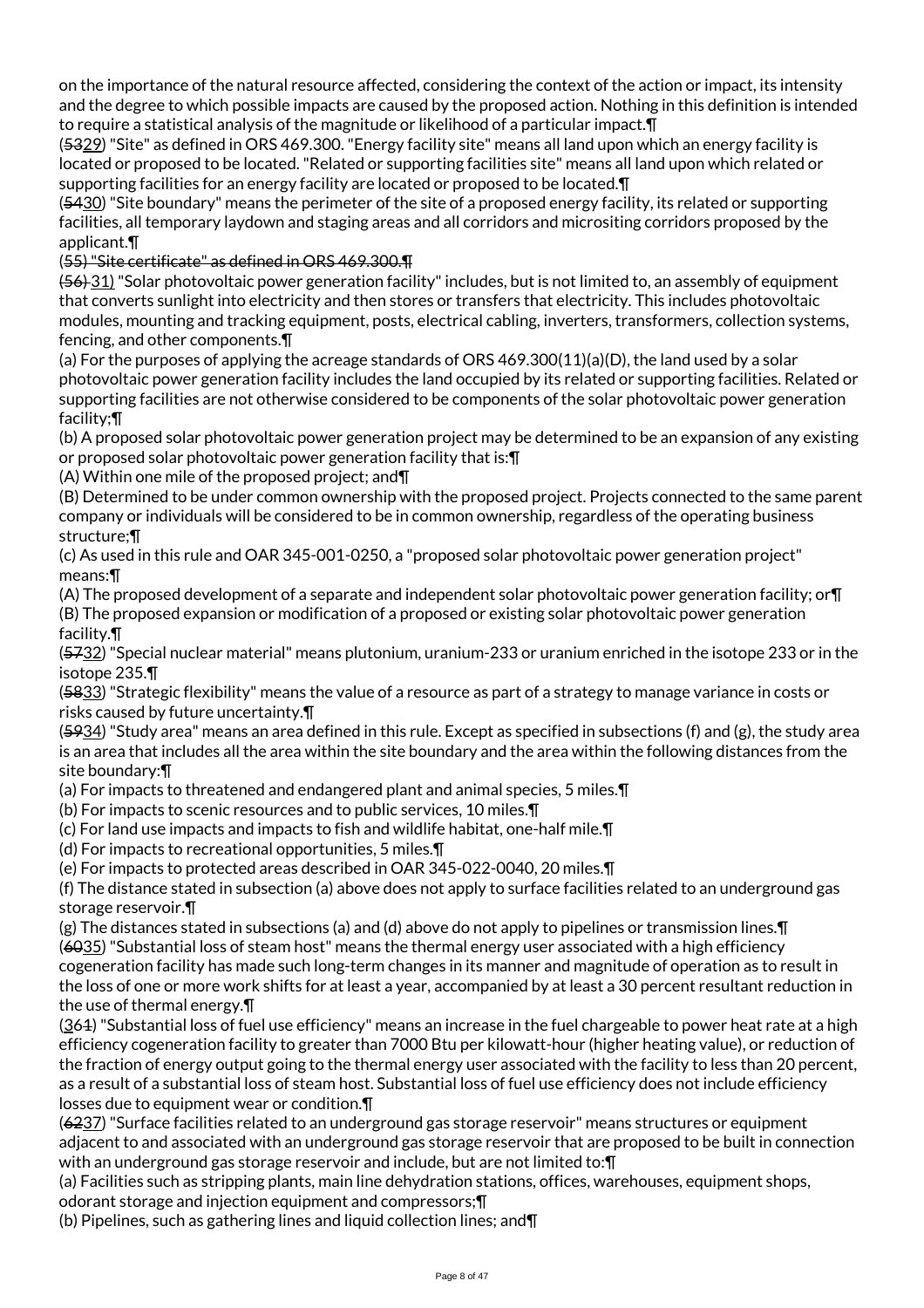on the importance of the natural resource affected, considering the context of the action or impact, its intensity and the degree to which possible impacts are caused by the proposed action. Nothing in this definition is intended to require a statistical analysis of the magnitude or likelihood of a particular impact.¶

(5329) "Site" as defined in ORS 469.300. "Energy facility site" means all land upon which an energy facility is located or proposed to be located. "Related or supporting facilities site" means all land upon which related or supporting facilities for an energy facility are located or proposed to be located.¶

(5430) "Site boundary" means the perimeter of the site of a proposed energy facility, its related or supporting facilities, all temporary laydown and staging areas and all corridors and micrositing corridors proposed by the applicant.¶

(55) "Site certificate" as defined in ORS 469.300.¶

(56) 31) "Solar photovoltaic power generation facility" includes, but is not limited to, an assembly of equipment that converts sunlight into electricity and then stores or transfers that electricity. This includes photovoltaic modules, mounting and tracking equipment, posts, electrical cabling, inverters, transformers, collection systems, fencing, and other components.¶

(a) For the purposes of applying the acreage standards of ORS 469.300(11)(a)(D), the land used by a solar photovoltaic power generation facility includes the land occupied by its related or supporting facilities. Related or supporting facilities are not otherwise considered to be components of the solar photovoltaic power generation facility;¶

(b) A proposed solar photovoltaic power generation project may be determined to be an expansion of any existing or proposed solar photovoltaic power generation facility that is:¶

(A) Within one mile of the proposed project; and¶

(B) Determined to be under common ownership with the proposed project. Projects connected to the same parent company or individuals will be considered to be in common ownership, regardless of the operating business structure;¶

(c) As used in this rule and OAR 345-001-0250, a "proposed solar photovoltaic power generation project" means:¶

(A) The proposed development of a separate and independent solar photovoltaic power generation facility; or¶ (B) The proposed expansion or modification of a proposed or existing solar photovoltaic power generation facility.¶

(5732) "Special nuclear material" means plutonium, uranium-233 or uranium enriched in the isotope 233 or in the isotope 235.¶

(5833) "Strategic flexibility" means the value of a resource as part of a strategy to manage variance in costs or risks caused by future uncertainty.¶

 $(5934)$  "Study area" means an area defined in this rule. Except as specified in subsections (f) and (g), the study area is an area that includes all the area within the site boundary and the area within the following distances from the site boundary:¶

(a) For impacts to threatened and endangered plant and animal species, 5 miles.¶

(b) For impacts to scenic resources and to public services, 10 miles.¶

(c) For land use impacts and impacts to fish and wildlife habitat, one-half mile.¶

(d) For impacts to recreational opportunities, 5 miles.¶

(e) For impacts to protected areas described in OAR 345-022-0040, 20 miles.¶

(f) The distance stated in subsection (a) above does not apply to surface facilities related to an underground gas storage reservoir.¶

(g) The distances stated in subsections (a) and (d) above do not apply to pipelines or transmission lines.¶  $(6035)$  "Substantial loss of steam host" means the thermal energy user associated with a high efficiency cogeneration facility has made such long-term changes in its manner and magnitude of operation as to result in the loss of one or more work shifts for at least a year, accompanied by at least a 30 percent resultant reduction in the use of thermal energy.¶

(361) "Substantial loss of fuel use efficiency" means an increase in the fuel chargeable to power heat rate at a high efficiency cogeneration facility to greater than 7000 Btu per kilowatt-hour (higher heating value), or reduction of the fraction of energy output going to the thermal energy user associated with the facility to less than 20 percent, as a result of a substantial loss of steam host. Substantial loss of fuel use efficiency does not include efficiency losses due to equipment wear or condition.¶

(6237) "Surface facilities related to an underground gas storage reservoir" means structures or equipment adjacent to and associated with an underground gas storage reservoir that are proposed to be built in connection with an underground gas storage reservoir and include, but are not limited to: [1]

(a) Facilities such as stripping plants, main line dehydration stations, offices, warehouses, equipment shops, odorant storage and injection equipment and compressors;¶

(b) Pipelines, such as gathering lines and liquid collection lines; and¶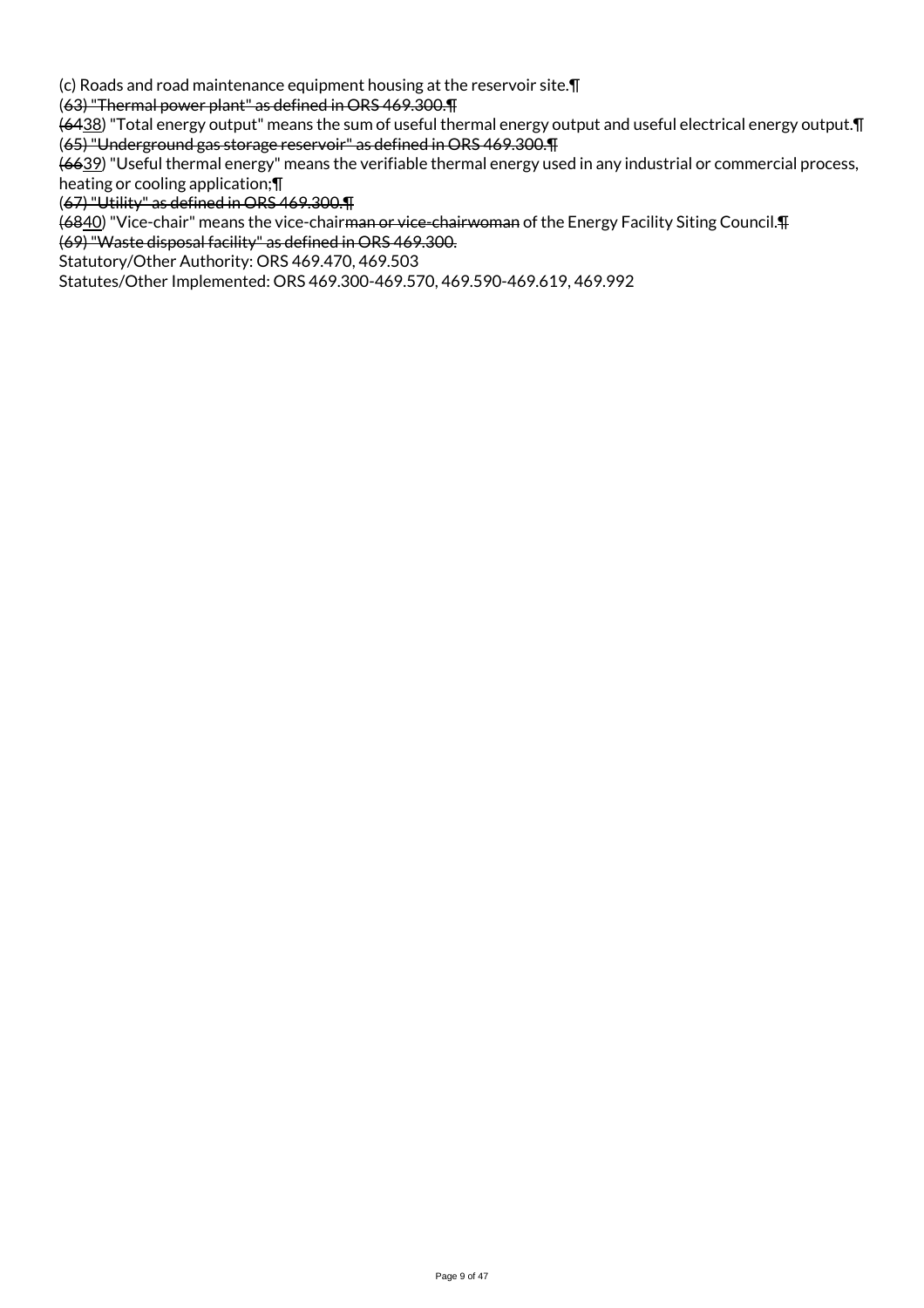(c) Roads and road maintenance equipment housing at the reservoir site.¶

(63) "Thermal power plant" as defined in ORS 469.300.¶

(6438) "Total energy output" means the sum of useful thermal energy output and useful electrical energy output.¶ (65) "Underground gas storage reservoir" as defined in ORS 469.300.¶

(6639) "Useful thermal energy" means the verifiable thermal energy used in any industrial or commercial process, heating or cooling application;¶

(67) "Utility" as defined in ORS 469.300.¶

(6840) "Vice-chair" means the vice-chairman or vice-chairwoman of the Energy Facility Siting Council.¶

(69) "Waste disposal facility" as defined in ORS 469.300.

Statutory/Other Authority: ORS 469.470, 469.503

Statutes/Other Implemented: ORS 469.300-469.570, 469.590-469.619, 469.992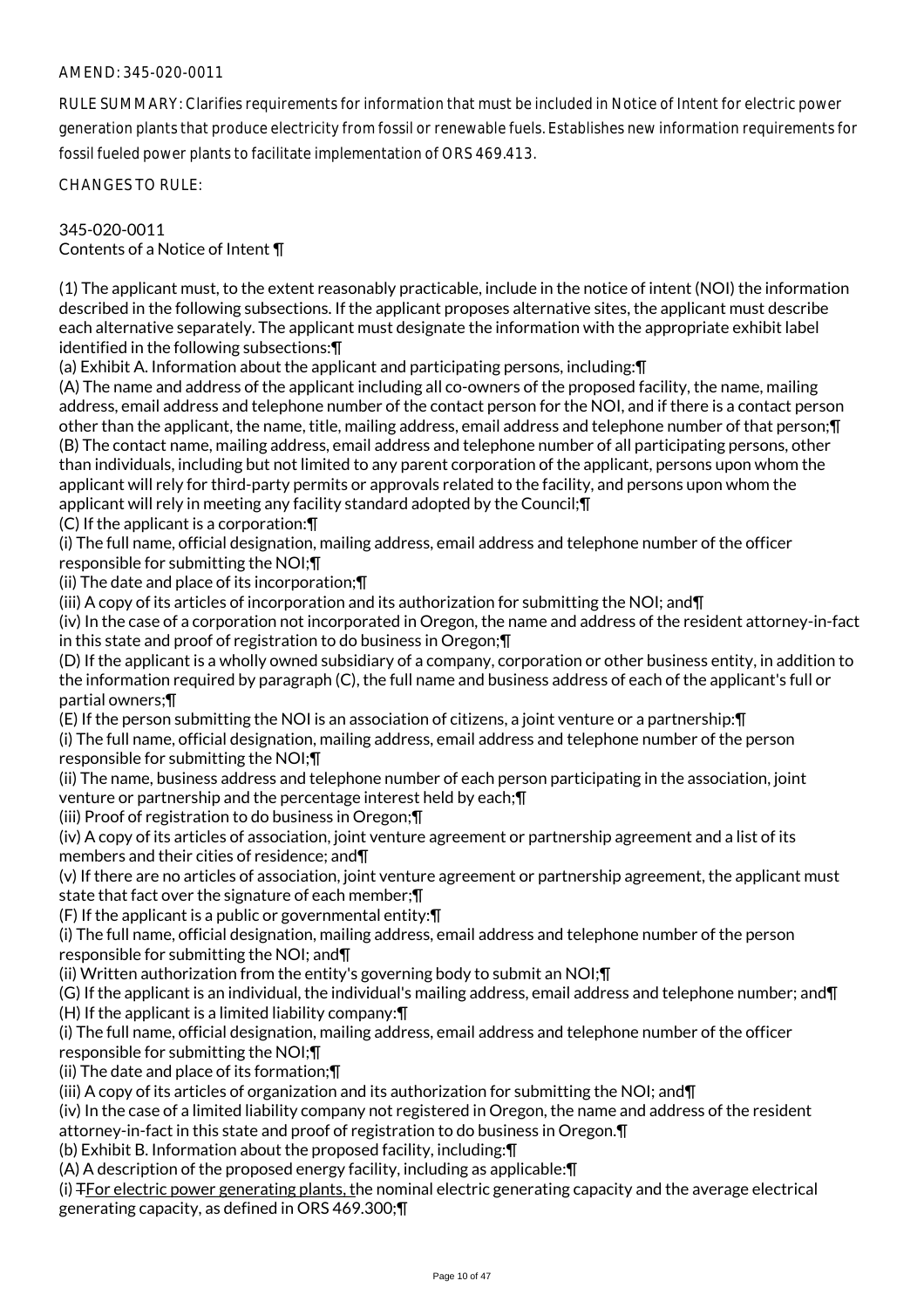RULE SUMMARY: Clarifies requirements for information that must be included in Notice of Intent for electric power generation plants that produce electricity from fossil or renewable fuels. Establishes new information requirements for fossil fueled power plants to facilitate implementation of ORS 469.413.

CHANGES TO RULE:

## 345-020-0011 Contents of a Notice of Intent ¶

(1) The applicant must, to the extent reasonably practicable, include in the notice of intent (NOI) the information described in the following subsections. If the applicant proposes alternative sites, the applicant must describe each alternative separately. The applicant must designate the information with the appropriate exhibit label identified in the following subsections:¶

(a) Exhibit A. Information about the applicant and participating persons, including:¶

(A) The name and address of the applicant including all co-owners of the proposed facility, the name, mailing address, email address and telephone number of the contact person for the NOI, and if there is a contact person other than the applicant, the name, title, mailing address, email address and telephone number of that person;¶ (B) The contact name, mailing address, email address and telephone number of all participating persons, other than individuals, including but not limited to any parent corporation of the applicant, persons upon whom the applicant will rely for third-party permits or approvals related to the facility, and persons upon whom the applicant will rely in meeting any facility standard adopted by the Council;¶

(C) If the applicant is a corporation:¶

(i) The full name, official designation, mailing address, email address and telephone number of the officer responsible for submitting the NOI;¶

(ii) The date and place of its incorporation;¶

(iii) A copy of its articles of incorporation and its authorization for submitting the NOI; and¶

(iv) In the case of a corporation not incorporated in Oregon, the name and address of the resident attorney-in-fact in this state and proof of registration to do business in Oregon;¶

(D) If the applicant is a wholly owned subsidiary of a company, corporation or other business entity, in addition to the information required by paragraph (C), the full name and business address of each of the applicant's full or partial owners;¶

(E) If the person submitting the NOI is an association of citizens, a joint venture or a partnership:¶

(i) The full name, official designation, mailing address, email address and telephone number of the person responsible for submitting the NOI;¶

(ii) The name, business address and telephone number of each person participating in the association, joint venture or partnership and the percentage interest held by each;¶

(iii) Proof of registration to do business in Oregon;¶

(iv) A copy of its articles of association, joint venture agreement or partnership agreement and a list of its members and their cities of residence; and¶

(v) If there are no articles of association, joint venture agreement or partnership agreement, the applicant must state that fact over the signature of each member;¶

(F) If the applicant is a public or governmental entity:¶

(i) The full name, official designation, mailing address, email address and telephone number of the person responsible for submitting the NOI; and¶

(ii) Written authorization from the entity's governing body to submit an NOI;¶

(G) If the applicant is an individual, the individual's mailing address, email address and telephone number; and¶ (H) If the applicant is a limited liability company:¶

(i) The full name, official designation, mailing address, email address and telephone number of the officer responsible for submitting the NOI;¶

(ii) The date and place of its formation;¶

(iii) A copy of its articles of organization and its authorization for submitting the NOI; and  $\P$ 

(iv) In the case of a limited liability company not registered in Oregon, the name and address of the resident attorney-in-fact in this state and proof of registration to do business in Oregon.¶

(b) Exhibit B. Information about the proposed facility, including:¶

(A) A description of the proposed energy facility, including as applicable:¶

(i) TFor electric power generating plants, the nominal electric generating capacity and the average electrical generating capacity, as defined in ORS 469.300;¶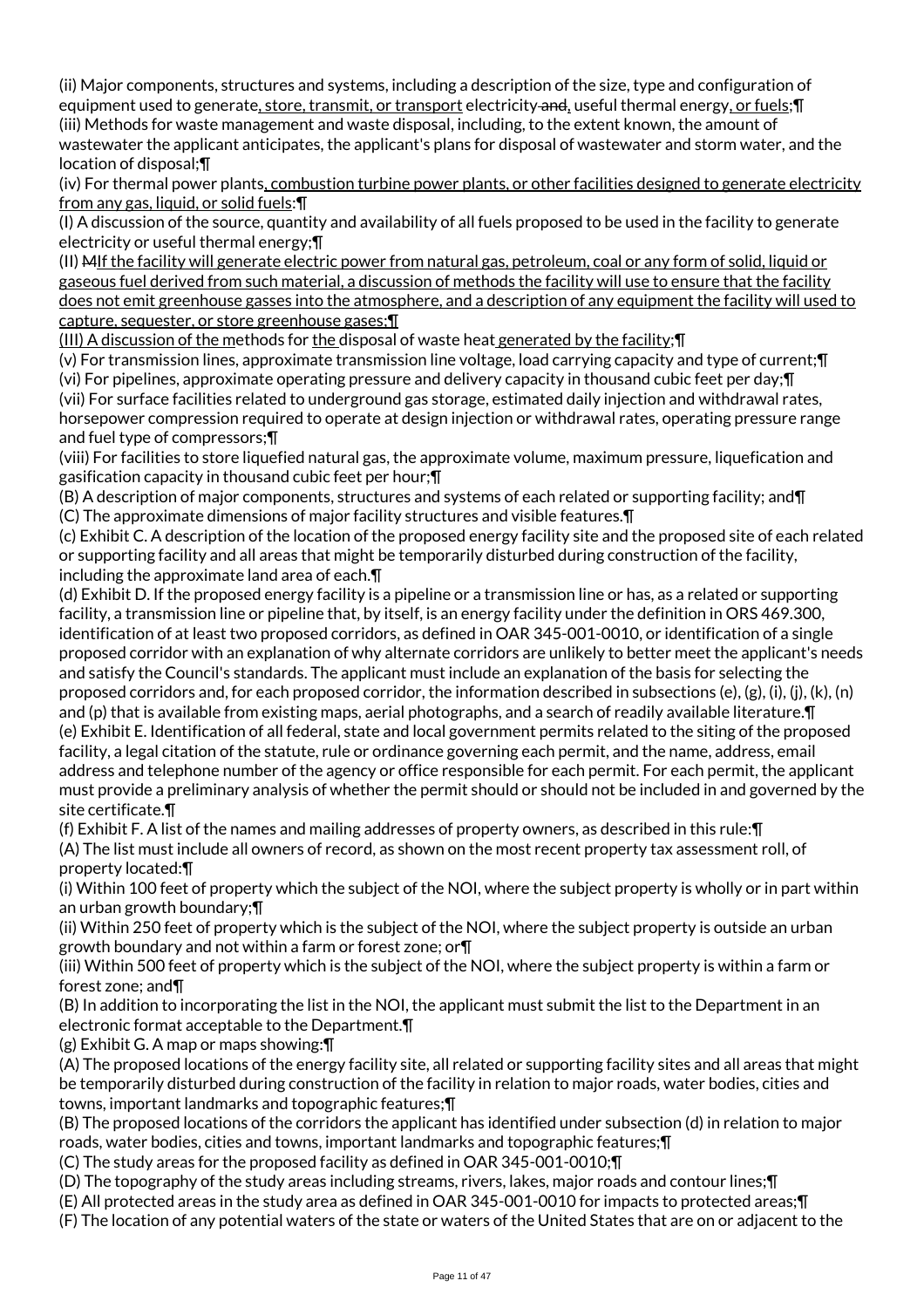(ii) Major components, structures and systems, including a description of the size, type and configuration of equipment used to generate, store, transmit, or transport electricity and, useful thermal energy, or fuels; [[ (iii) Methods for waste management and waste disposal, including, to the extent known, the amount of wastewater the applicant anticipates, the applicant's plans for disposal of wastewater and storm water, and the location of disposal;¶

(iv) For thermal power plants, combustion turbine power plants, or other facilities designed to generate electricity from any gas, liquid, or solid fuels: ¶

(I) A discussion of the source, quantity and availability of all fuels proposed to be used in the facility to generate electricity or useful thermal energy;¶

(II) MIf the facility will generate electric power from natural gas, petroleum, coal or any form of solid, liquid or gaseous fuel derived from such material, a discussion of methods the facility will use to ensure that the facility does not emit greenhouse gasses into the atmosphere, and a description of any equipment the facility will used to capture, sequester, or store greenhouse gases;¶

(III) A discussion of the methods for the disposal of waste heat generated by the facility; $\P$ 

(v) For transmission lines, approximate transmission line voltage, load carrying capacity and type of current;¶ (vi) For pipelines, approximate operating pressure and delivery capacity in thousand cubic feet per day;¶

(vii) For surface facilities related to underground gas storage, estimated daily injection and withdrawal rates, horsepower compression required to operate at design injection or withdrawal rates, operating pressure range and fuel type of compressors;¶

(viii) For facilities to store liquefied natural gas, the approximate volume, maximum pressure, liquefication and gasification capacity in thousand cubic feet per hour;¶

(B) A description of major components, structures and systems of each related or supporting facility; and¶ (C) The approximate dimensions of major facility structures and visible features.¶

(c) Exhibit C. A description of the location of the proposed energy facility site and the proposed site of each related or supporting facility and all areas that might be temporarily disturbed during construction of the facility, including the approximate land area of each.¶

(d) Exhibit D. If the proposed energy facility is a pipeline or a transmission line or has, as a related or supporting facility, a transmission line or pipeline that, by itself, is an energy facility under the definition in ORS 469.300, identification of at least two proposed corridors, as defined in OAR 345-001-0010, or identification of a single proposed corridor with an explanation of why alternate corridors are unlikely to better meet the applicant's needs and satisfy the Council's standards. The applicant must include an explanation of the basis for selecting the proposed corridors and, for each proposed corridor, the information described in subsections (e), (g), (i), (j), (k), (n) and (p) that is available from existing maps, aerial photographs, and a search of readily available literature. [1] (e) Exhibit E. Identification of all federal, state and local government permits related to the siting of the proposed facility, a legal citation of the statute, rule or ordinance governing each permit, and the name, address, email address and telephone number of the agency or office responsible for each permit. For each permit, the applicant must provide a preliminary analysis of whether the permit should or should not be included in and governed by the site certificate.¶

(f) Exhibit F. A list of the names and mailing addresses of property owners, as described in this rule:¶

(A) The list must include all owners of record, as shown on the most recent property tax assessment roll, of property located:¶

(i) Within 100 feet of property which the subject of the NOI, where the subject property is wholly or in part within an urban growth boundary;¶

(ii) Within 250 feet of property which is the subject of the NOI, where the subject property is outside an urban growth boundary and not within a farm or forest zone; or¶

(iii) Within 500 feet of property which is the subject of the NOI, where the subject property is within a farm or forest zone; and¶

(B) In addition to incorporating the list in the NOI, the applicant must submit the list to the Department in an electronic format acceptable to the Department.¶

(g) Exhibit G. A map or maps showing:¶

(A) The proposed locations of the energy facility site, all related or supporting facility sites and all areas that might be temporarily disturbed during construction of the facility in relation to major roads, water bodies, cities and towns, important landmarks and topographic features;¶

(B) The proposed locations of the corridors the applicant has identified under subsection (d) in relation to major roads, water bodies, cities and towns, important landmarks and topographic features;¶

(C) The study areas for the proposed facility as defined in OAR 345-001-0010;¶

(D) The topography of the study areas including streams, rivers, lakes, major roads and contour lines;¶

(E) All protected areas in the study area as defined in OAR 345-001-0010 for impacts to protected areas;¶

(F) The location of any potential waters of the state or waters of the United States that are on or adjacent to the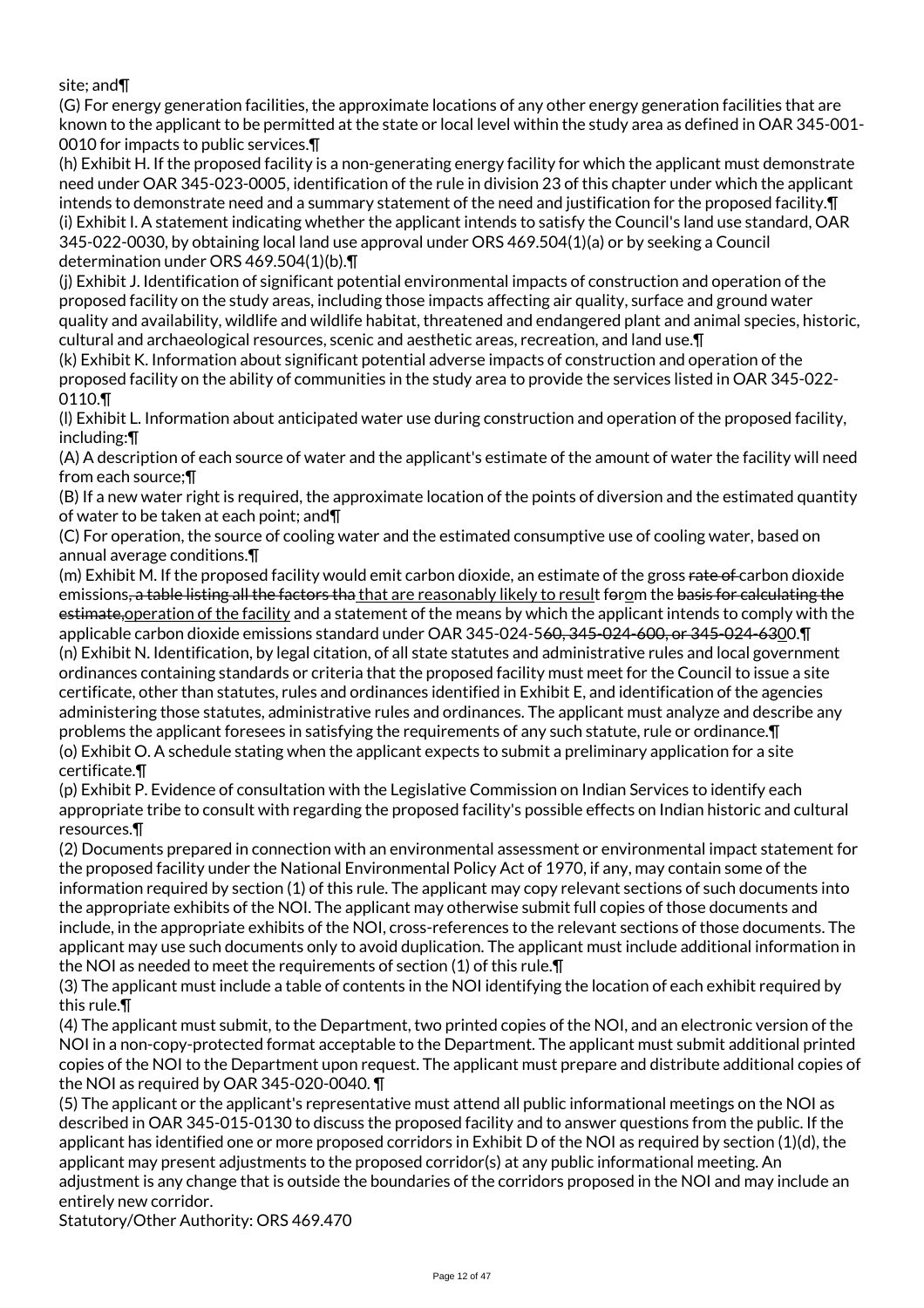site; and¶

(G) For energy generation facilities, the approximate locations of any other energy generation facilities that are known to the applicant to be permitted at the state or local level within the study area as defined in OAR 345-001- 0010 for impacts to public services.¶

(h) Exhibit H. If the proposed facility is a non-generating energy facility for which the applicant must demonstrate need under OAR 345-023-0005, identification of the rule in division 23 of this chapter under which the applicant intends to demonstrate need and a summary statement of the need and justification for the proposed facility.¶ (i) Exhibit I. A statement indicating whether the applicant intends to satisfy the Council's land use standard, OAR 345-022-0030, by obtaining local land use approval under ORS 469.504(1)(a) or by seeking a Council determination under ORS 469.504(1)(b).¶

(j) Exhibit J. Identification of significant potential environmental impacts of construction and operation of the proposed facility on the study areas, including those impacts affecting air quality, surface and ground water quality and availability, wildlife and wildlife habitat, threatened and endangered plant and animal species, historic, cultural and archaeological resources, scenic and aesthetic areas, recreation, and land use.¶

(k) Exhibit K. Information about significant potential adverse impacts of construction and operation of the proposed facility on the ability of communities in the study area to provide the services listed in OAR 345-022- 0110.¶

(l) Exhibit L. Information about anticipated water use during construction and operation of the proposed facility, including:¶

(A) A description of each source of water and the applicant's estimate of the amount of water the facility will need from each source;¶

(B) If a new water right is required, the approximate location of the points of diversion and the estimated quantity of water to be taken at each point; and¶

(C) For operation, the source of cooling water and the estimated consumptive use of cooling water, based on annual average conditions.¶

(m) Exhibit M. If the proposed facility would emit carbon dioxide, an estimate of the gross rate of carbon dioxide emissions, a table listing all the factors tha that are reasonably likely to result forom the basis for calculating the estimate,operation of the facility and a statement of the means by which the applicant intends to comply with the applicable carbon dioxide emissions standard under OAR 345-024-560, 345-024-600, or 345-024-6300.¶ (n) Exhibit N. Identification, by legal citation, of all state statutes and administrative rules and local government ordinances containing standards or criteria that the proposed facility must meet for the Council to issue a site certificate, other than statutes, rules and ordinances identified in Exhibit E, and identification of the agencies administering those statutes, administrative rules and ordinances. The applicant must analyze and describe any problems the applicant foresees in satisfying the requirements of any such statute, rule or ordinance.¶ (o) Exhibit O. A schedule stating when the applicant expects to submit a preliminary application for a site certificate.¶

(p) Exhibit P. Evidence of consultation with the Legislative Commission on Indian Services to identify each appropriate tribe to consult with regarding the proposed facility's possible effects on Indian historic and cultural resources.¶

(2) Documents prepared in connection with an environmental assessment or environmental impact statement for the proposed facility under the National Environmental Policy Act of 1970, if any, may contain some of the information required by section (1) of this rule. The applicant may copy relevant sections of such documents into the appropriate exhibits of the NOI. The applicant may otherwise submit full copies of those documents and include, in the appropriate exhibits of the NOI, cross-references to the relevant sections of those documents. The applicant may use such documents only to avoid duplication. The applicant must include additional information in the NOI as needed to meet the requirements of section (1) of this rule.¶

(3) The applicant must include a table of contents in the NOI identifying the location of each exhibit required by this rule.¶

(4) The applicant must submit, to the Department, two printed copies of the NOI, and an electronic version of the NOI in a non-copy-protected format acceptable to the Department. The applicant must submit additional printed copies of the NOI to the Department upon request. The applicant must prepare and distribute additional copies of the NOI as required by OAR 345-020-0040. ¶

(5) The applicant or the applicant's representative must attend all public informational meetings on the NOI as described in OAR 345-015-0130 to discuss the proposed facility and to answer questions from the public. If the applicant has identified one or more proposed corridors in Exhibit D of the NOI as required by section (1)(d), the applicant may present adjustments to the proposed corridor(s) at any public informational meeting. An adjustment is any change that is outside the boundaries of the corridors proposed in the NOI and may include an entirely new corridor.

Statutory/Other Authority: ORS 469.470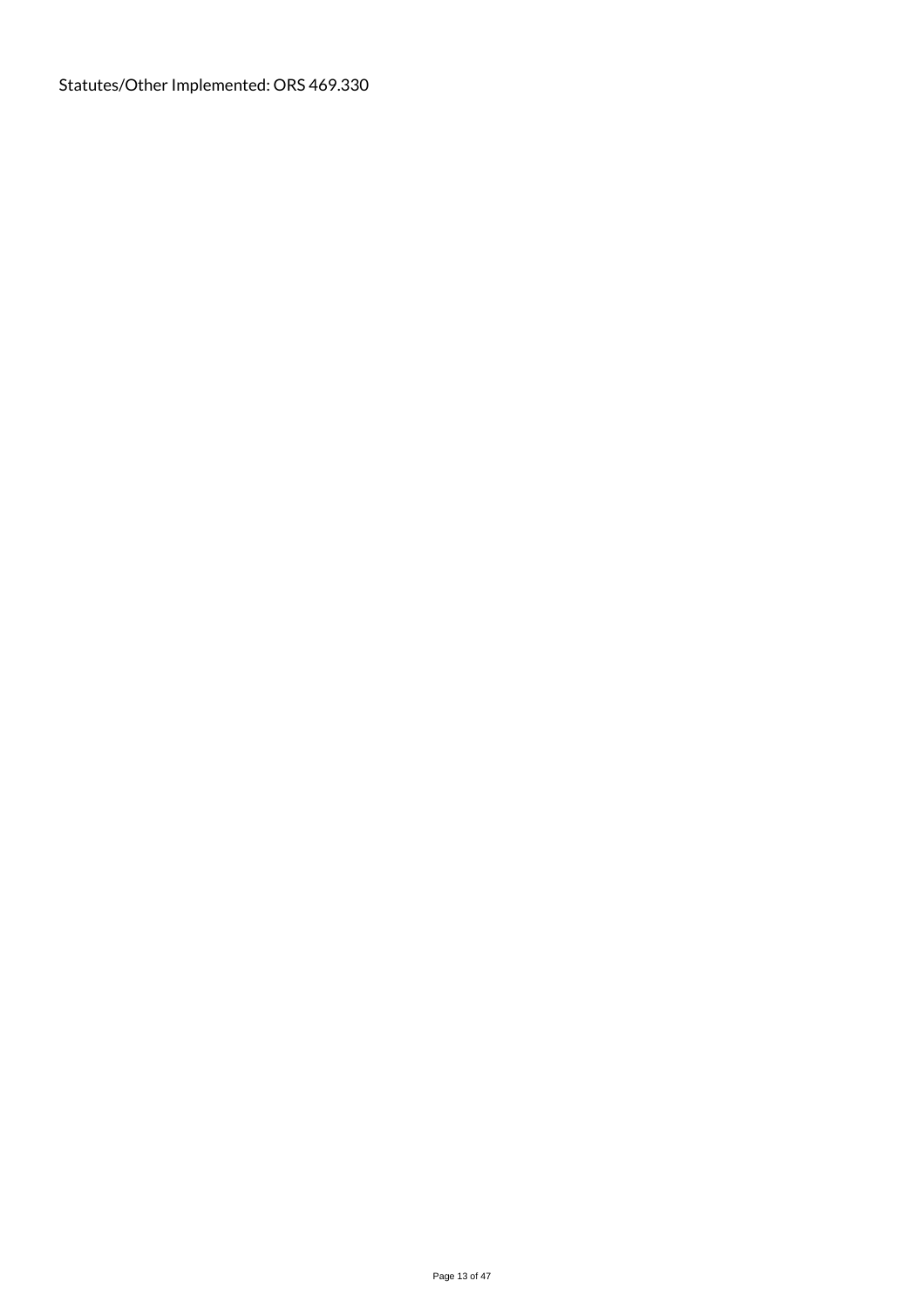Statutes/Other Implemented: ORS 469.330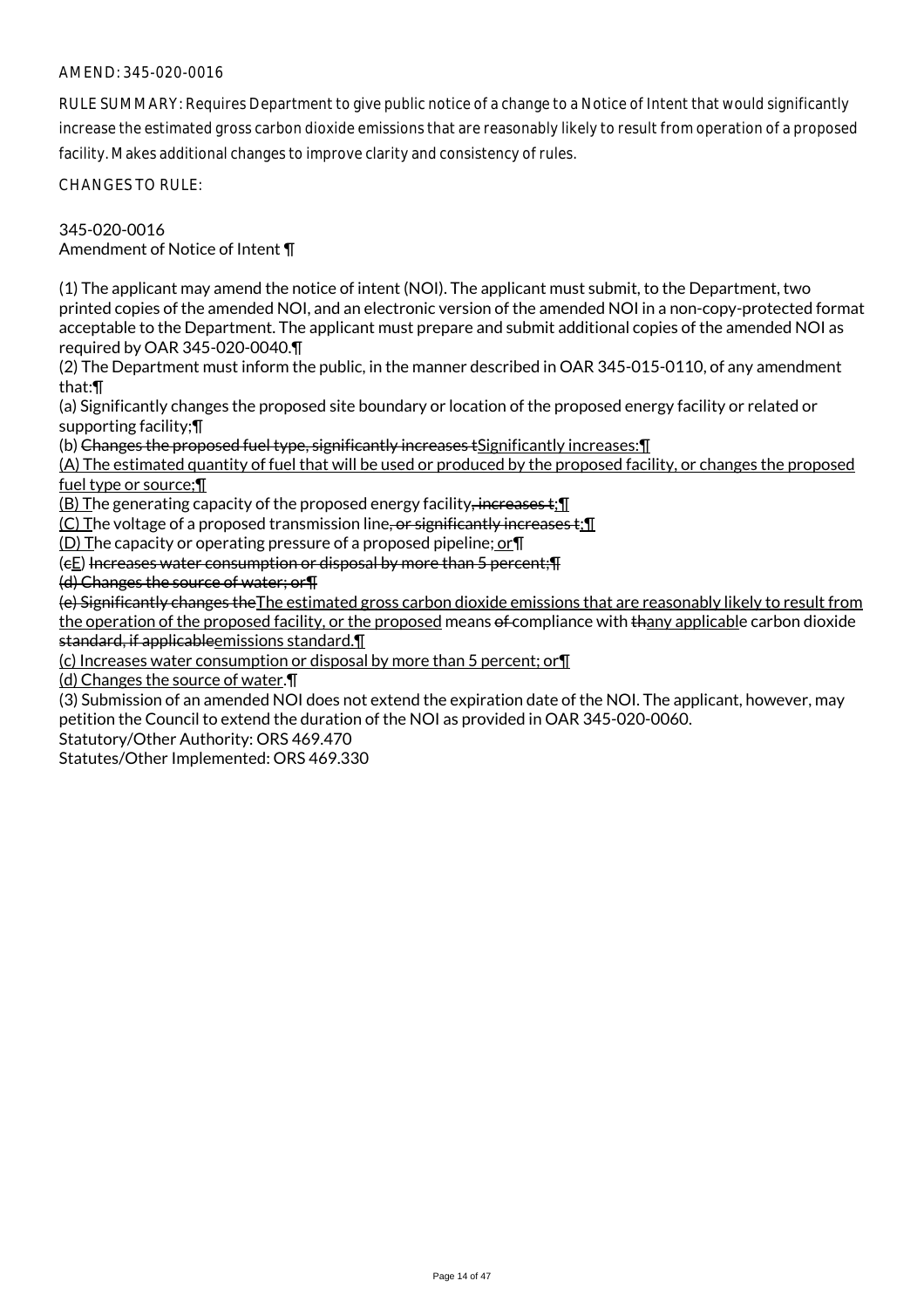RULE SUMMARY: Requires Department to give public notice of a change to a Notice of Intent that would significantly increase the estimated gross carbon dioxide emissions that are reasonably likely to result from operation of a proposed facility. Makes additional changes to improve clarity and consistency of rules.

CHANGES TO RULE:

345-020-0016 Amendment of Notice of Intent ¶

(1) The applicant may amend the notice of intent (NOI). The applicant must submit, to the Department, two printed copies of the amended NOI, and an electronic version of the amended NOI in a non-copy-protected format acceptable to the Department. The applicant must prepare and submit additional copies of the amended NOI as required by OAR 345-020-0040.¶

(2) The Department must inform the public, in the manner described in OAR 345-015-0110, of any amendment that:¶

(a) Significantly changes the proposed site boundary or location of the proposed energy facility or related or supporting facility;¶

(b) Changes the proposed fuel type, significantly increases tSignificantly increases:¶

(A) The estimated quantity of fuel that will be used or produced by the proposed facility, or changes the proposed fuel type or source;¶

(B) The generating capacity of the proposed energy facility, increases t;¶

(C) The voltage of a proposed transmission line, or significantly increases  $t$ ;  $\mathbb T$ 

(D) The capacity or operating pressure of a proposed pipeline; or¶

(cE) Increases water consumption or disposal by more than 5 percent;¶

(d) Changes the source of water; or¶

(e) Significantly changes theThe estimated gross carbon dioxide emissions that are reasonably likely to result from the operation of the proposed facility, or the proposed means of compliance with thany applicable carbon dioxide standard, if applicableemissions standard.¶

(c) Increases water consumption or disposal by more than 5 percent; or¶

(d) Changes the source of water.¶

(3) Submission of an amended NOI does not extend the expiration date of the NOI. The applicant, however, may petition the Council to extend the duration of the NOI as provided in OAR 345-020-0060.

Statutory/Other Authority: ORS 469.470

Statutes/Other Implemented: ORS 469.330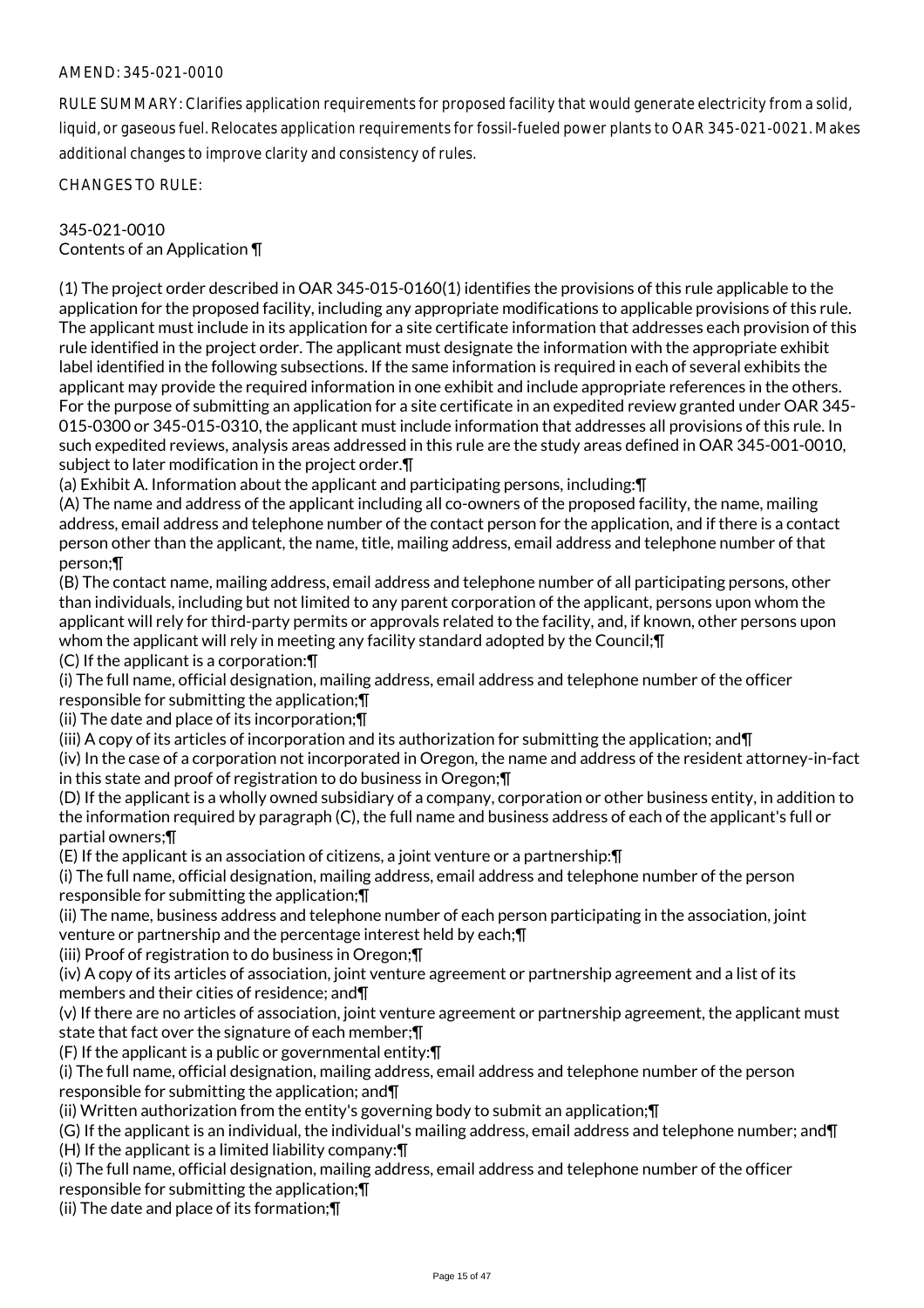RULE SUMMARY: Clarifies application requirements for proposed facility that would generate electricity from a solid, liquid, or gaseous fuel. Relocates application requirements for fossil-fueled power plants to OAR 345-021-0021. Makes additional changes to improve clarity and consistency of rules.

CHANGES TO RULE:

## 345-021-0010 Contents of an Application ¶

(1) The project order described in OAR 345-015-0160(1) identifies the provisions of this rule applicable to the application for the proposed facility, including any appropriate modifications to applicable provisions of this rule. The applicant must include in its application for a site certificate information that addresses each provision of this rule identified in the project order. The applicant must designate the information with the appropriate exhibit label identified in the following subsections. If the same information is required in each of several exhibits the applicant may provide the required information in one exhibit and include appropriate references in the others. For the purpose of submitting an application for a site certificate in an expedited review granted under OAR 345- 015-0300 or 345-015-0310, the applicant must include information that addresses all provisions of this rule. In such expedited reviews, analysis areas addressed in this rule are the study areas defined in OAR 345-001-0010, subject to later modification in the project order.¶

(a) Exhibit A. Information about the applicant and participating persons, including:¶

(A) The name and address of the applicant including all co-owners of the proposed facility, the name, mailing address, email address and telephone number of the contact person for the application, and if there is a contact person other than the applicant, the name, title, mailing address, email address and telephone number of that person;¶

(B) The contact name, mailing address, email address and telephone number of all participating persons, other than individuals, including but not limited to any parent corporation of the applicant, persons upon whom the applicant will rely for third-party permits or approvals related to the facility, and, if known, other persons upon whom the applicant will rely in meeting any facility standard adopted by the Council;¶

(C) If the applicant is a corporation:¶

(i) The full name, official designation, mailing address, email address and telephone number of the officer responsible for submitting the application;¶

(ii) The date and place of its incorporation;¶

(iii) A copy of its articles of incorporation and its authorization for submitting the application; and  $\P$ 

(iv) In the case of a corporation not incorporated in Oregon, the name and address of the resident attorney-in-fact in this state and proof of registration to do business in Oregon;¶

(D) If the applicant is a wholly owned subsidiary of a company, corporation or other business entity, in addition to the information required by paragraph (C), the full name and business address of each of the applicant's full or partial owners;¶

(E) If the applicant is an association of citizens, a joint venture or a partnership:¶

(i) The full name, official designation, mailing address, email address and telephone number of the person responsible for submitting the application;¶

(ii) The name, business address and telephone number of each person participating in the association, joint venture or partnership and the percentage interest held by each;¶

(iii) Proof of registration to do business in Oregon;¶

(iv) A copy of its articles of association, joint venture agreement or partnership agreement and a list of its members and their cities of residence; and¶

(v) If there are no articles of association, joint venture agreement or partnership agreement, the applicant must state that fact over the signature of each member;¶

(F) If the applicant is a public or governmental entity:¶

(i) The full name, official designation, mailing address, email address and telephone number of the person responsible for submitting the application; and¶

(ii) Written authorization from the entity's governing body to submit an application;¶

(G) If the applicant is an individual, the individual's mailing address, email address and telephone number; and¶ (H) If the applicant is a limited liability company:¶

(i) The full name, official designation, mailing address, email address and telephone number of the officer responsible for submitting the application;¶

(ii) The date and place of its formation;¶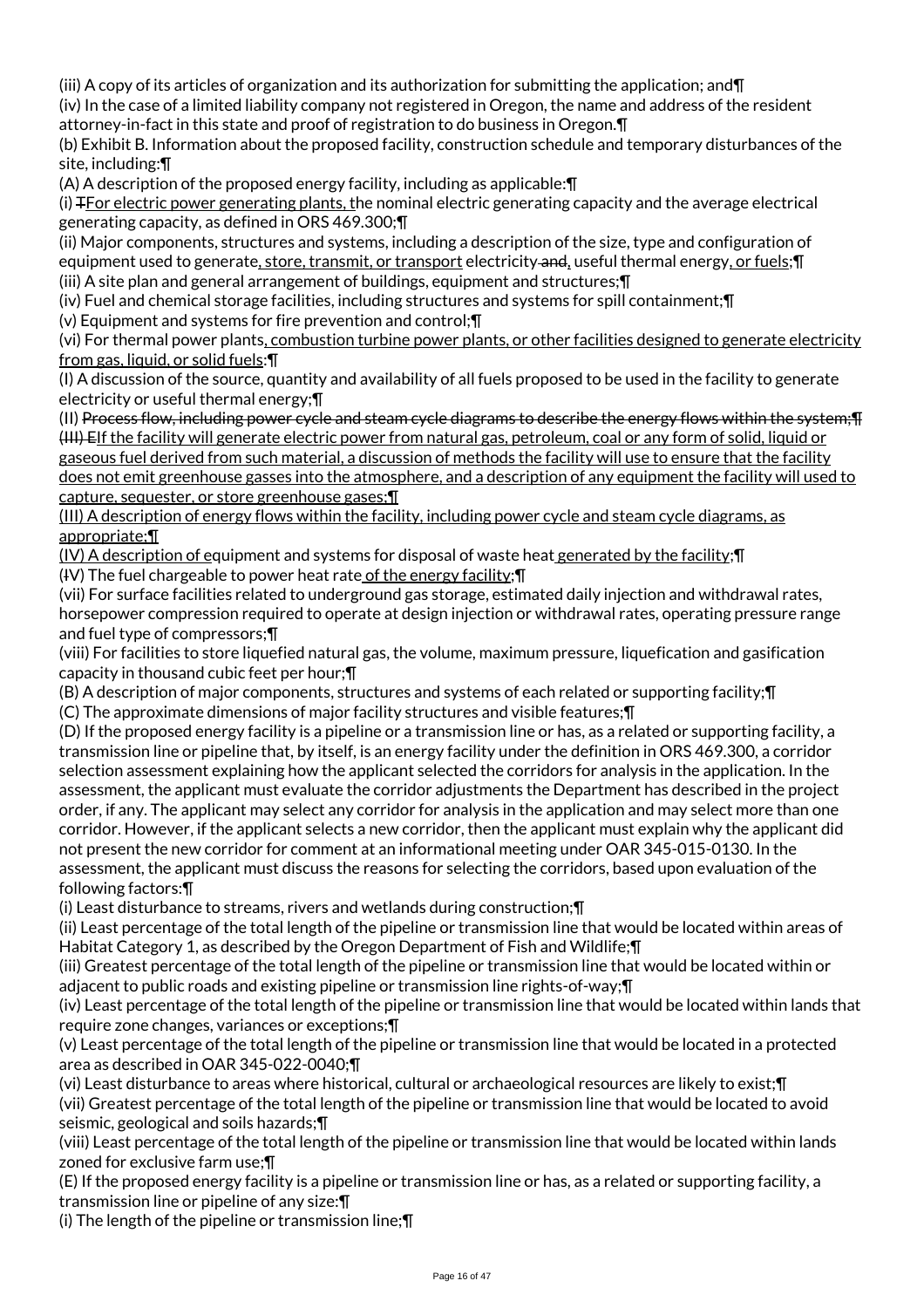(iii) A copy of its articles of organization and its authorization for submitting the application; and¶

(iv) In the case of a limited liability company not registered in Oregon, the name and address of the resident attorney-in-fact in this state and proof of registration to do business in Oregon.¶

(b) Exhibit B. Information about the proposed facility, construction schedule and temporary disturbances of the site, including:¶

(A) A description of the proposed energy facility, including as applicable:¶

(i) TFor electric power generating plants, the nominal electric generating capacity and the average electrical generating capacity, as defined in ORS 469.300;¶

(ii) Major components, structures and systems, including a description of the size, type and configuration of equipment used to generate, store, transmit, or transport electricity and, useful thermal energy, or fuels; [] (iii) A site plan and general arrangement of buildings, equipment and structures;¶

(iv) Fuel and chemical storage facilities, including structures and systems for spill containment;¶

(v) Equipment and systems for fire prevention and control;¶

(vi) For thermal power plants, combustion turbine power plants, or other facilities designed to generate electricity from gas, liquid, or solid fuels:¶

(I) A discussion of the source, quantity and availability of all fuels proposed to be used in the facility to generate electricity or useful thermal energy;¶

(II) Process flow, including power cycle and steam cycle diagrams to describe the energy flows within the system;¶ (III) EIf the facility will generate electric power from natural gas, petroleum, coal or any form of solid, liquid or gaseous fuel derived from such material, a discussion of methods the facility will use to ensure that the facility does not emit greenhouse gasses into the atmosphere, and a description of any equipment the facility will used to capture, sequester, or store greenhouse gases;¶

(III) A description of energy flows within the facility, including power cycle and steam cycle diagrams, as appropriate;¶

(IV) A description of equipment and systems for disposal of waste heat generated by the facility;¶ (IV) The fuel chargeable to power heat rate of the energy facility;¶

(vii) For surface facilities related to underground gas storage, estimated daily injection and withdrawal rates, horsepower compression required to operate at design injection or withdrawal rates, operating pressure range and fuel type of compressors;¶

(viii) For facilities to store liquefied natural gas, the volume, maximum pressure, liquefication and gasification capacity in thousand cubic feet per hour;¶

(B) A description of major components, structures and systems of each related or supporting facility;¶

(C) The approximate dimensions of major facility structures and visible features;¶

(D) If the proposed energy facility is a pipeline or a transmission line or has, as a related or supporting facility, a transmission line or pipeline that, by itself, is an energy facility under the definition in ORS 469.300, a corridor selection assessment explaining how the applicant selected the corridors for analysis in the application. In the assessment, the applicant must evaluate the corridor adjustments the Department has described in the project order, if any. The applicant may select any corridor for analysis in the application and may select more than one corridor. However, if the applicant selects a new corridor, then the applicant must explain why the applicant did not present the new corridor for comment at an informational meeting under OAR 345-015-0130. In the assessment, the applicant must discuss the reasons for selecting the corridors, based upon evaluation of the following factors:¶

(i) Least disturbance to streams, rivers and wetlands during construction;¶

(ii) Least percentage of the total length of the pipeline or transmission line that would be located within areas of Habitat Category 1, as described by the Oregon Department of Fish and Wildlife;¶

(iii) Greatest percentage of the total length of the pipeline or transmission line that would be located within or adjacent to public roads and existing pipeline or transmission line rights-of-way;¶

(iv) Least percentage of the total length of the pipeline or transmission line that would be located within lands that require zone changes, variances or exceptions;¶

(v) Least percentage of the total length of the pipeline or transmission line that would be located in a protected area as described in OAR 345-022-0040;¶

(vi) Least disturbance to areas where historical, cultural or archaeological resources are likely to exist;¶ (vii) Greatest percentage of the total length of the pipeline or transmission line that would be located to avoid seismic, geological and soils hazards;¶

(viii) Least percentage of the total length of the pipeline or transmission line that would be located within lands zoned for exclusive farm use;¶

(E) If the proposed energy facility is a pipeline or transmission line or has, as a related or supporting facility, a transmission line or pipeline of any size:¶

(i) The length of the pipeline or transmission line;¶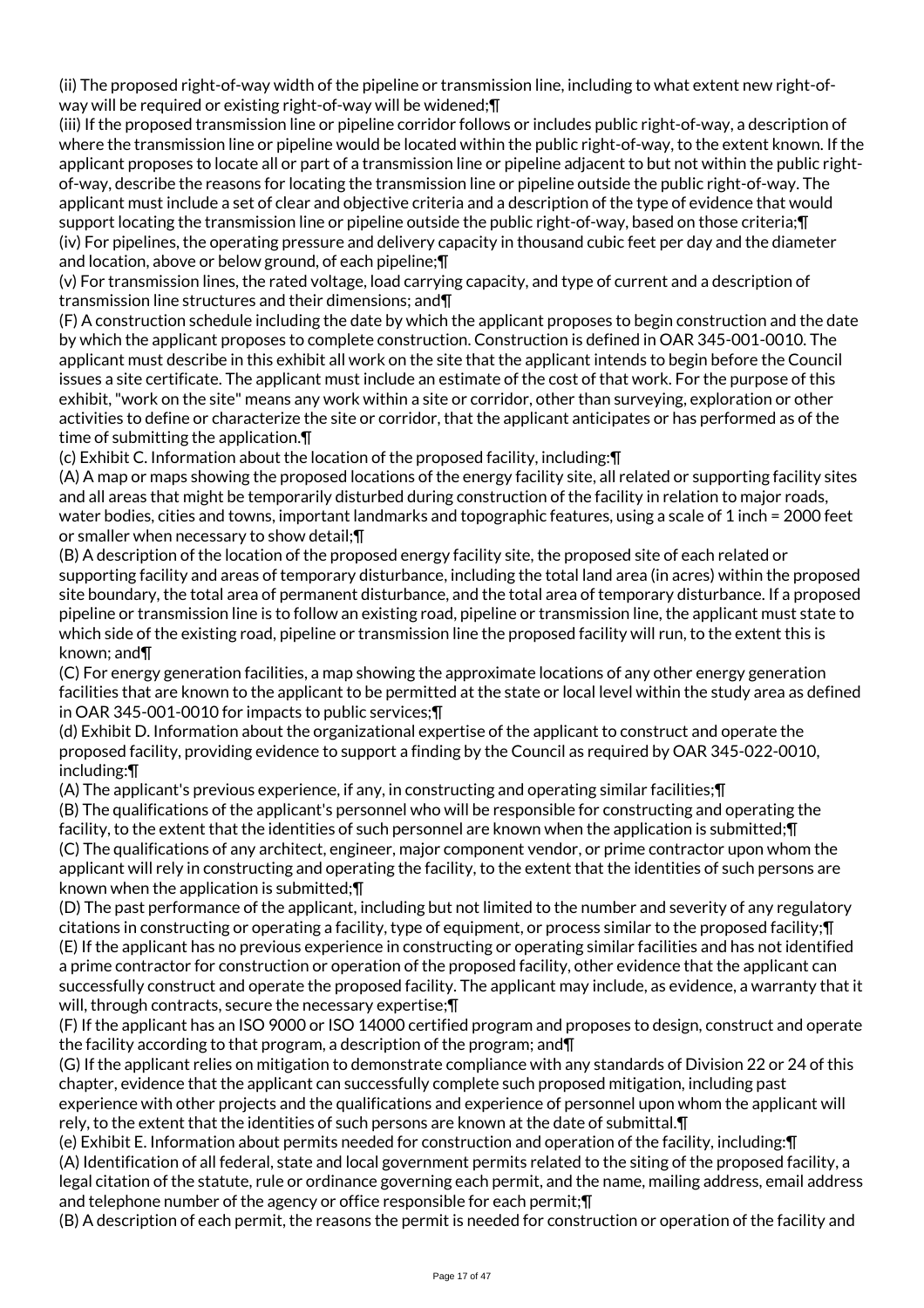(ii) The proposed right-of-way width of the pipeline or transmission line, including to what extent new right-ofway will be required or existing right-of-way will be widened;¶

(iii) If the proposed transmission line or pipeline corridor follows or includes public right-of-way, a description of where the transmission line or pipeline would be located within the public right-of-way, to the extent known. If the applicant proposes to locate all or part of a transmission line or pipeline adjacent to but not within the public rightof-way, describe the reasons for locating the transmission line or pipeline outside the public right-of-way. The applicant must include a set of clear and objective criteria and a description of the type of evidence that would support locating the transmission line or pipeline outside the public right-of-way, based on those criteria;¶ (iv) For pipelines, the operating pressure and delivery capacity in thousand cubic feet per day and the diameter and location, above or below ground, of each pipeline;¶

(v) For transmission lines, the rated voltage, load carrying capacity, and type of current and a description of transmission line structures and their dimensions; and¶

(F) A construction schedule including the date by which the applicant proposes to begin construction and the date by which the applicant proposes to complete construction. Construction is defined in OAR 345-001-0010. The applicant must describe in this exhibit all work on the site that the applicant intends to begin before the Council issues a site certificate. The applicant must include an estimate of the cost of that work. For the purpose of this exhibit, "work on the site" means any work within a site or corridor, other than surveying, exploration or other activities to define or characterize the site or corridor, that the applicant anticipates or has performed as of the time of submitting the application.¶

(c) Exhibit C. Information about the location of the proposed facility, including:¶

(A) A map or maps showing the proposed locations of the energy facility site, all related or supporting facility sites and all areas that might be temporarily disturbed during construction of the facility in relation to major roads, water bodies, cities and towns, important landmarks and topographic features, using a scale of 1 inch = 2000 feet or smaller when necessary to show detail;¶

(B) A description of the location of the proposed energy facility site, the proposed site of each related or supporting facility and areas of temporary disturbance, including the total land area (in acres) within the proposed site boundary, the total area of permanent disturbance, and the total area of temporary disturbance. If a proposed pipeline or transmission line is to follow an existing road, pipeline or transmission line, the applicant must state to which side of the existing road, pipeline or transmission line the proposed facility will run, to the extent this is known; and¶

(C) For energy generation facilities, a map showing the approximate locations of any other energy generation facilities that are known to the applicant to be permitted at the state or local level within the study area as defined in OAR 345-001-0010 for impacts to public services;¶

(d) Exhibit D. Information about the organizational expertise of the applicant to construct and operate the proposed facility, providing evidence to support a finding by the Council as required by OAR 345-022-0010, including:¶

(A) The applicant's previous experience, if any, in constructing and operating similar facilities;¶

(B) The qualifications of the applicant's personnel who will be responsible for constructing and operating the facility, to the extent that the identities of such personnel are known when the application is submitted;¶ (C) The qualifications of any architect, engineer, major component vendor, or prime contractor upon whom the applicant will rely in constructing and operating the facility, to the extent that the identities of such persons are known when the application is submitted;¶

(D) The past performance of the applicant, including but not limited to the number and severity of any regulatory citations in constructing or operating a facility, type of equipment, or process similar to the proposed facility;¶ (E) If the applicant has no previous experience in constructing or operating similar facilities and has not identified a prime contractor for construction or operation of the proposed facility, other evidence that the applicant can successfully construct and operate the proposed facility. The applicant may include, as evidence, a warranty that it will, through contracts, secure the necessary expertise;¶

(F) If the applicant has an ISO 9000 or ISO 14000 certified program and proposes to design, construct and operate the facility according to that program, a description of the program; and¶

(G) If the applicant relies on mitigation to demonstrate compliance with any standards of Division 22 or 24 of this chapter, evidence that the applicant can successfully complete such proposed mitigation, including past experience with other projects and the qualifications and experience of personnel upon whom the applicant will rely, to the extent that the identities of such persons are known at the date of submittal.¶

(e) Exhibit E. Information about permits needed for construction and operation of the facility, including:¶ (A) Identification of all federal, state and local government permits related to the siting of the proposed facility, a legal citation of the statute, rule or ordinance governing each permit, and the name, mailing address, email address and telephone number of the agency or office responsible for each permit;¶

(B) A description of each permit, the reasons the permit is needed for construction or operation of the facility and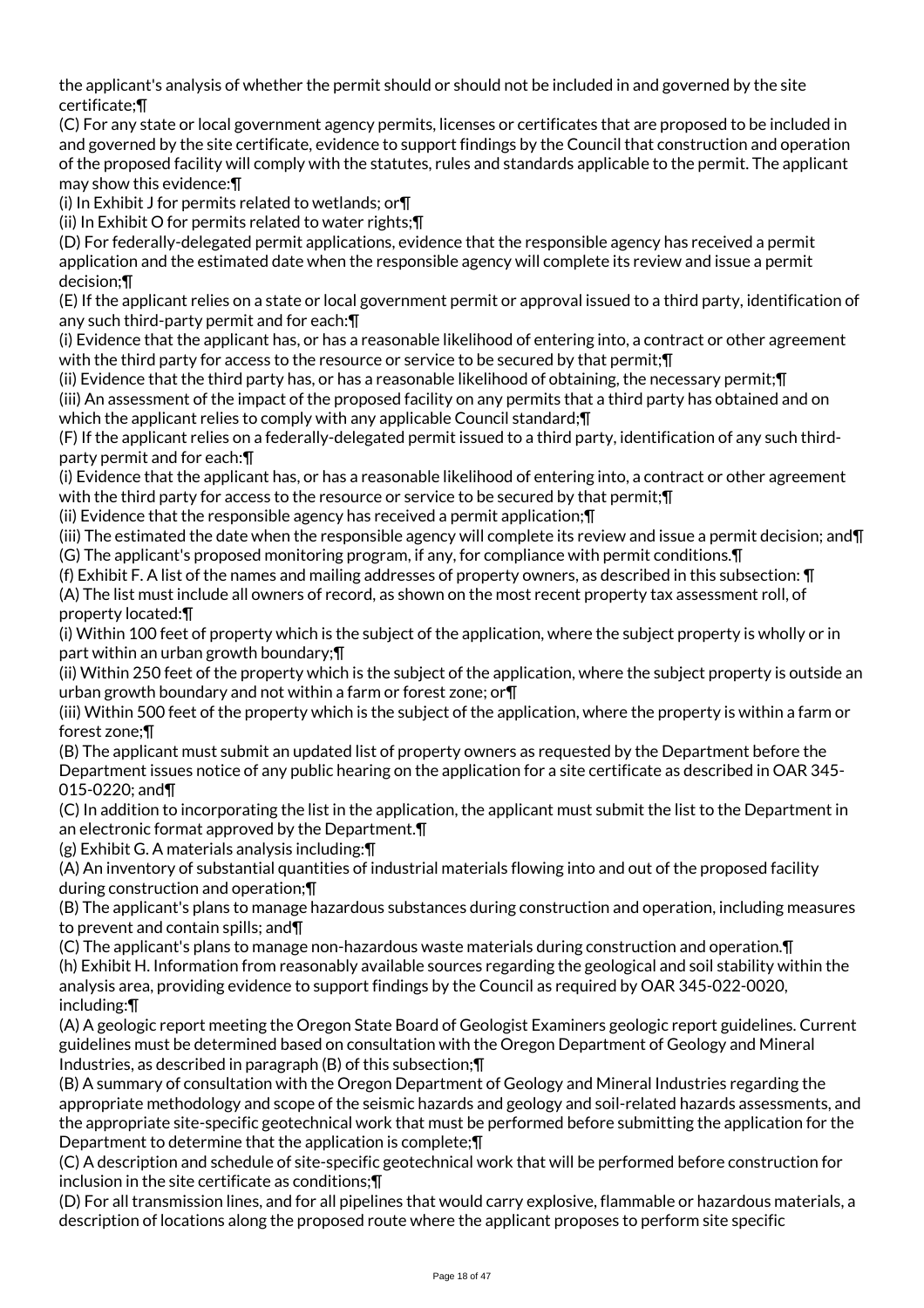the applicant's analysis of whether the permit should or should not be included in and governed by the site certificate;¶

(C) For any state or local government agency permits, licenses or certificates that are proposed to be included in and governed by the site certificate, evidence to support findings by the Council that construction and operation of the proposed facility will comply with the statutes, rules and standards applicable to the permit. The applicant may show this evidence:¶

(i) In Exhibit J for permits related to wetlands; or¶

(ii) In Exhibit O for permits related to water rights;¶

(D) For federally-delegated permit applications, evidence that the responsible agency has received a permit application and the estimated date when the responsible agency will complete its review and issue a permit decision;¶

(E) If the applicant relies on a state or local government permit or approval issued to a third party, identification of any such third-party permit and for each:¶

(i) Evidence that the applicant has, or has a reasonable likelihood of entering into, a contract or other agreement with the third party for access to the resource or service to be secured by that permit;¶

(ii) Evidence that the third party has, or has a reasonable likelihood of obtaining, the necessary permit;¶ (iii) An assessment of the impact of the proposed facility on any permits that a third party has obtained and on which the applicant relies to comply with any applicable Council standard;  $\P$ 

(F) If the applicant relies on a federally-delegated permit issued to a third party, identification of any such thirdparty permit and for each:¶

(i) Evidence that the applicant has, or has a reasonable likelihood of entering into, a contract or other agreement with the third party for access to the resource or service to be secured by that permit;¶

(ii) Evidence that the responsible agency has received a permit application;¶

(iii) The estimated the date when the responsible agency will complete its review and issue a permit decision; and¶ (G) The applicant's proposed monitoring program, if any, for compliance with permit conditions.¶

(f) Exhibit F. A list of the names and mailing addresses of property owners, as described in this subsection: ¶ (A) The list must include all owners of record, as shown on the most recent property tax assessment roll, of property located:¶

(i) Within 100 feet of property which is the subject of the application, where the subject property is wholly or in part within an urban growth boundary;¶

(ii) Within 250 feet of the property which is the subject of the application, where the subject property is outside an urban growth boundary and not within a farm or forest zone; or¶

(iii) Within 500 feet of the property which is the subject of the application, where the property is within a farm or forest zone;¶

(B) The applicant must submit an updated list of property owners as requested by the Department before the Department issues notice of any public hearing on the application for a site certificate as described in OAR 345- 015-0220; and¶

(C) In addition to incorporating the list in the application, the applicant must submit the list to the Department in an electronic format approved by the Department.¶

(g) Exhibit G. A materials analysis including:¶

(A) An inventory of substantial quantities of industrial materials flowing into and out of the proposed facility during construction and operation;¶

(B) The applicant's plans to manage hazardous substances during construction and operation, including measures to prevent and contain spills; and¶

(C) The applicant's plans to manage non-hazardous waste materials during construction and operation.¶

(h) Exhibit H. Information from reasonably available sources regarding the geological and soil stability within the analysis area, providing evidence to support findings by the Council as required by OAR 345-022-0020, including:¶

(A) A geologic report meeting the Oregon State Board of Geologist Examiners geologic report guidelines. Current guidelines must be determined based on consultation with the Oregon Department of Geology and Mineral Industries, as described in paragraph (B) of this subsection;¶

(B) A summary of consultation with the Oregon Department of Geology and Mineral Industries regarding the appropriate methodology and scope of the seismic hazards and geology and soil-related hazards assessments, and the appropriate site-specific geotechnical work that must be performed before submitting the application for the Department to determine that the application is complete;¶

(C) A description and schedule of site-specific geotechnical work that will be performed before construction for inclusion in the site certificate as conditions;¶

(D) For all transmission lines, and for all pipelines that would carry explosive, flammable or hazardous materials, a description of locations along the proposed route where the applicant proposes to perform site specific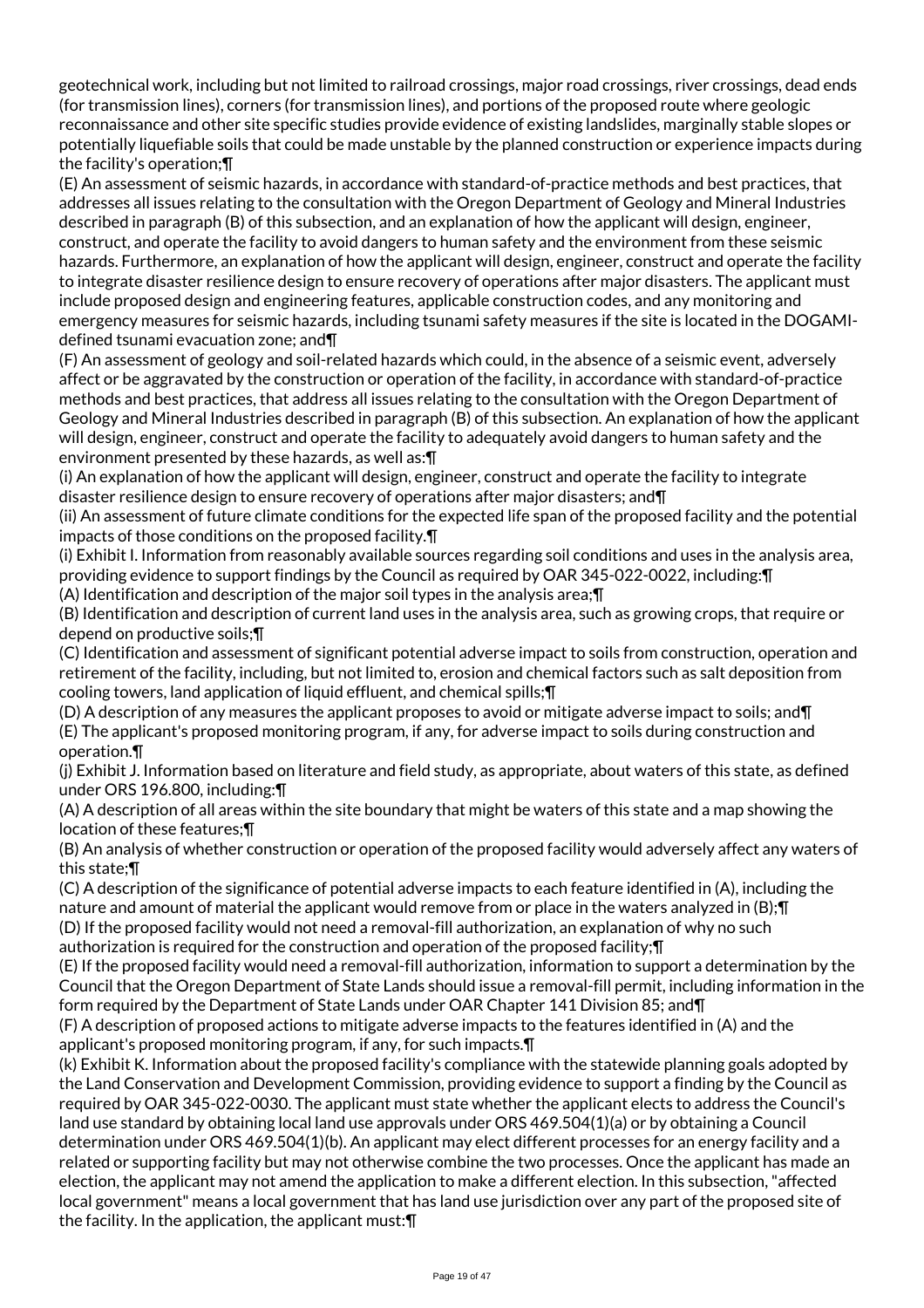geotechnical work, including but not limited to railroad crossings, major road crossings, river crossings, dead ends (for transmission lines), corners (for transmission lines), and portions of the proposed route where geologic reconnaissance and other site specific studies provide evidence of existing landslides, marginally stable slopes or potentially liquefiable soils that could be made unstable by the planned construction or experience impacts during the facility's operation;¶

(E) An assessment of seismic hazards, in accordance with standard-of-practice methods and best practices, that addresses all issues relating to the consultation with the Oregon Department of Geology and Mineral Industries described in paragraph (B) of this subsection, and an explanation of how the applicant will design, engineer, construct, and operate the facility to avoid dangers to human safety and the environment from these seismic hazards. Furthermore, an explanation of how the applicant will design, engineer, construct and operate the facility to integrate disaster resilience design to ensure recovery of operations after major disasters. The applicant must include proposed design and engineering features, applicable construction codes, and any monitoring and emergency measures for seismic hazards, including tsunami safety measures if the site is located in the DOGAMIdefined tsunami evacuation zone; and¶

(F) An assessment of geology and soil-related hazards which could, in the absence of a seismic event, adversely affect or be aggravated by the construction or operation of the facility, in accordance with standard-of-practice methods and best practices, that address all issues relating to the consultation with the Oregon Department of Geology and Mineral Industries described in paragraph (B) of this subsection. An explanation of how the applicant will design, engineer, construct and operate the facility to adequately avoid dangers to human safety and the environment presented by these hazards, as well as:¶

(i) An explanation of how the applicant will design, engineer, construct and operate the facility to integrate disaster resilience design to ensure recovery of operations after major disasters; and¶

(ii) An assessment of future climate conditions for the expected life span of the proposed facility and the potential impacts of those conditions on the proposed facility.¶

(i) Exhibit I. Information from reasonably available sources regarding soil conditions and uses in the analysis area, providing evidence to support findings by the Council as required by OAR 345-022-0022, including:¶ (A) Identification and description of the major soil types in the analysis area;¶

(B) Identification and description of current land uses in the analysis area, such as growing crops, that require or depend on productive soils;¶

(C) Identification and assessment of significant potential adverse impact to soils from construction, operation and retirement of the facility, including, but not limited to, erosion and chemical factors such as salt deposition from cooling towers, land application of liquid effluent, and chemical spills;¶

(D) A description of any measures the applicant proposes to avoid or mitigate adverse impact to soils; and¶ (E) The applicant's proposed monitoring program, if any, for adverse impact to soils during construction and operation.¶

(j) Exhibit J. Information based on literature and field study, as appropriate, about waters of this state, as defined under ORS 196.800, including:¶

(A) A description of all areas within the site boundary that might be waters of this state and a map showing the location of these features;¶

(B) An analysis of whether construction or operation of the proposed facility would adversely affect any waters of this state;¶

(C) A description of the significance of potential adverse impacts to each feature identified in (A), including the nature and amount of material the applicant would remove from or place in the waters analyzed in (B); [I] (D) If the proposed facility would not need a removal-fill authorization, an explanation of why no such

authorization is required for the construction and operation of the proposed facility;¶

(E) If the proposed facility would need a removal-fill authorization, information to support a determination by the Council that the Oregon Department of State Lands should issue a removal-fill permit, including information in the form required by the Department of State Lands under OAR Chapter 141 Division 85; and¶

(F) A description of proposed actions to mitigate adverse impacts to the features identified in (A) and the applicant's proposed monitoring program, if any, for such impacts.¶

(k) Exhibit K. Information about the proposed facility's compliance with the statewide planning goals adopted by the Land Conservation and Development Commission, providing evidence to support a finding by the Council as required by OAR 345-022-0030. The applicant must state whether the applicant elects to address the Council's land use standard by obtaining local land use approvals under ORS 469.504(1)(a) or by obtaining a Council determination under ORS 469.504(1)(b). An applicant may elect different processes for an energy facility and a related or supporting facility but may not otherwise combine the two processes. Once the applicant has made an election, the applicant may not amend the application to make a different election. In this subsection, "affected local government" means a local government that has land use jurisdiction over any part of the proposed site of the facility. In the application, the applicant must:¶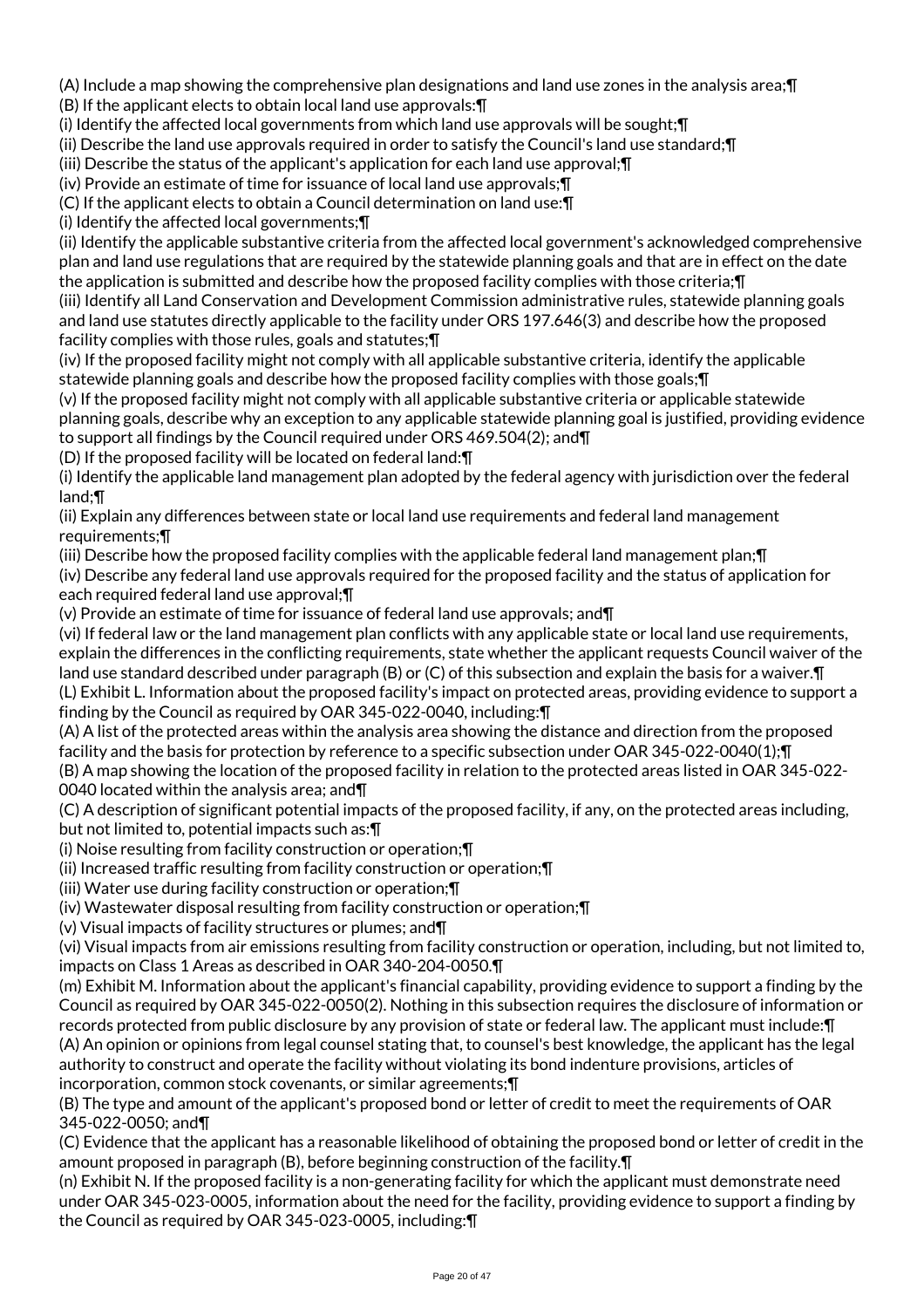(A) Include a map showing the comprehensive plan designations and land use zones in the analysis area;¶ (B) If the applicant elects to obtain local land use approvals:¶

(i) Identify the affected local governments from which land use approvals will be sought;¶

(ii) Describe the land use approvals required in order to satisfy the Council's land use standard;¶

(iii) Describe the status of the applicant's application for each land use approval;¶

(iv) Provide an estimate of time for issuance of local land use approvals;¶

(C) If the applicant elects to obtain a Council determination on land use:¶

(i) Identify the affected local governments;¶

(ii) Identify the applicable substantive criteria from the affected local government's acknowledged comprehensive plan and land use regulations that are required by the statewide planning goals and that are in effect on the date the application is submitted and describe how the proposed facility complies with those criteria;¶

(iii) Identify all Land Conservation and Development Commission administrative rules, statewide planning goals and land use statutes directly applicable to the facility under ORS 197.646(3) and describe how the proposed facility complies with those rules, goals and statutes;¶

(iv) If the proposed facility might not comply with all applicable substantive criteria, identify the applicable statewide planning goals and describe how the proposed facility complies with those goals;¶

(v) If the proposed facility might not comply with all applicable substantive criteria or applicable statewide planning goals, describe why an exception to any applicable statewide planning goal is justified, providing evidence to support all findings by the Council required under ORS 469.504(2); and¶

(D) If the proposed facility will be located on federal land:¶

(i) Identify the applicable land management plan adopted by the federal agency with jurisdiction over the federal land;¶

(ii) Explain any differences between state or local land use requirements and federal land management requirements;¶

(iii) Describe how the proposed facility complies with the applicable federal land management plan;¶

(iv) Describe any federal land use approvals required for the proposed facility and the status of application for each required federal land use approval;¶

(v) Provide an estimate of time for issuance of federal land use approvals; and¶

(vi) If federal law or the land management plan conflicts with any applicable state or local land use requirements, explain the differences in the conflicting requirements, state whether the applicant requests Council waiver of the land use standard described under paragraph (B) or (C) of this subsection and explain the basis for a waiver.¶ (L) Exhibit L. Information about the proposed facility's impact on protected areas, providing evidence to support a finding by the Council as required by OAR 345-022-0040, including:¶

(A) A list of the protected areas within the analysis area showing the distance and direction from the proposed facility and the basis for protection by reference to a specific subsection under OAR 345-022-0040(1); [[

(B) A map showing the location of the proposed facility in relation to the protected areas listed in OAR 345-022- 0040 located within the analysis area; and¶

(C) A description of significant potential impacts of the proposed facility, if any, on the protected areas including, but not limited to, potential impacts such as:¶

(i) Noise resulting from facility construction or operation;¶

(ii) Increased traffic resulting from facility construction or operation;¶

(iii) Water use during facility construction or operation;¶

(iv) Wastewater disposal resulting from facility construction or operation;¶

(v) Visual impacts of facility structures or plumes; and¶

(vi) Visual impacts from air emissions resulting from facility construction or operation, including, but not limited to, impacts on Class 1 Areas as described in OAR 340-204-0050.¶

(m) Exhibit M. Information about the applicant's financial capability, providing evidence to support a finding by the Council as required by OAR 345-022-0050(2). Nothing in this subsection requires the disclosure of information or records protected from public disclosure by any provision of state or federal law. The applicant must include:¶ (A) An opinion or opinions from legal counsel stating that, to counsel's best knowledge, the applicant has the legal authority to construct and operate the facility without violating its bond indenture provisions, articles of incorporation, common stock covenants, or similar agreements;¶

(B) The type and amount of the applicant's proposed bond or letter of credit to meet the requirements of OAR 345-022-0050; and¶

(C) Evidence that the applicant has a reasonable likelihood of obtaining the proposed bond or letter of credit in the amount proposed in paragraph (B), before beginning construction of the facility.¶

(n) Exhibit N. If the proposed facility is a non-generating facility for which the applicant must demonstrate need under OAR 345-023-0005, information about the need for the facility, providing evidence to support a finding by the Council as required by OAR 345-023-0005, including:¶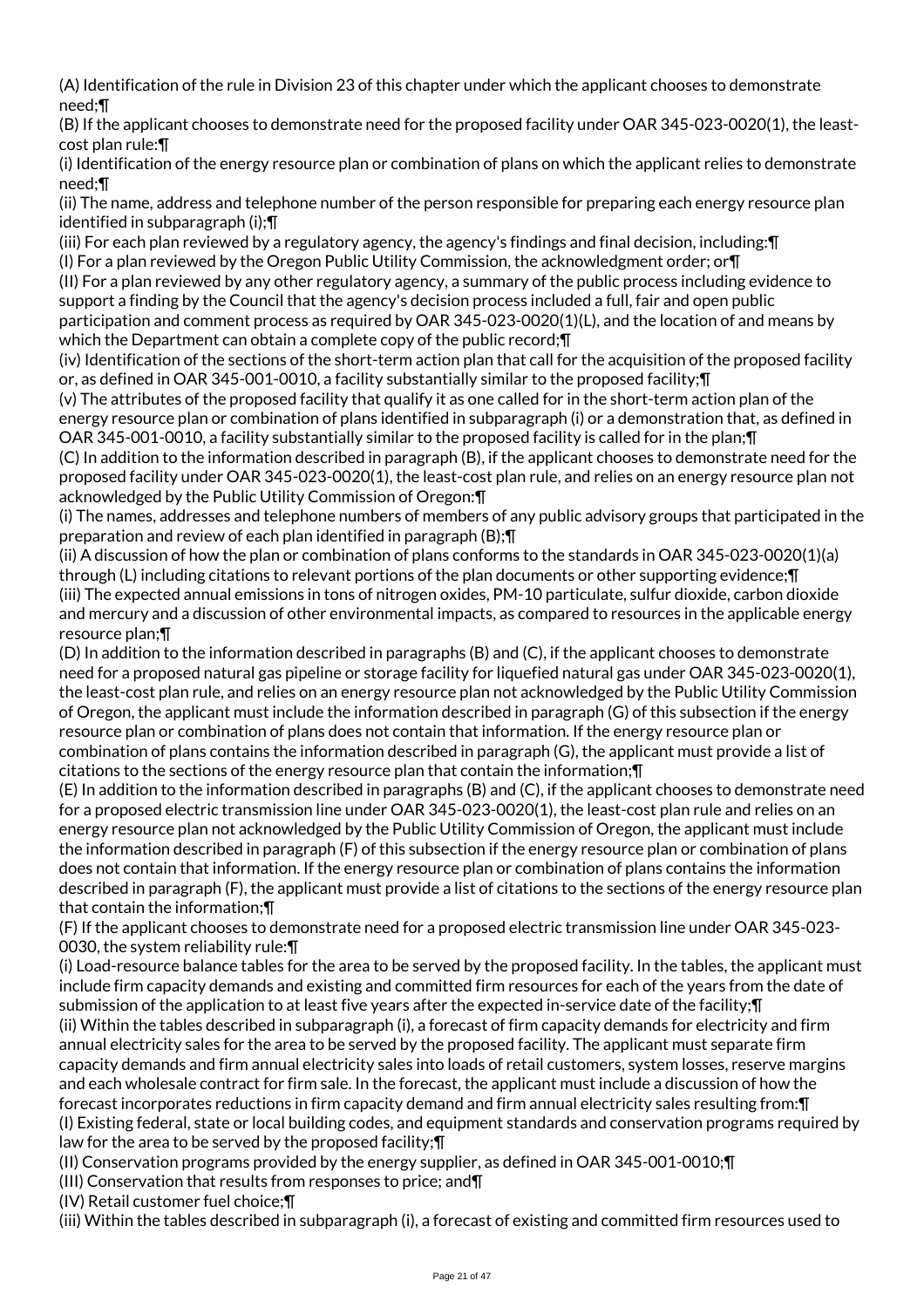(A) Identification of the rule in Division 23 of this chapter under which the applicant chooses to demonstrate need;¶

(B) If the applicant chooses to demonstrate need for the proposed facility under OAR 345-023-0020(1), the leastcost plan rule:¶

(i) Identification of the energy resource plan or combination of plans on which the applicant relies to demonstrate need;¶

(ii) The name, address and telephone number of the person responsible for preparing each energy resource plan identified in subparagraph (i);¶

(iii) For each plan reviewed by a regulatory agency, the agency's findings and final decision, including:¶ (I) For a plan reviewed by the Oregon Public Utility Commission, the acknowledgment order; or¶

(II) For a plan reviewed by any other regulatory agency, a summary of the public process including evidence to support a finding by the Council that the agency's decision process included a full, fair and open public participation and comment process as required by OAR 345-023-0020(1)(L), and the location of and means by which the Department can obtain a complete copy of the public record;¶

(iv) Identification of the sections of the short-term action plan that call for the acquisition of the proposed facility or, as defined in OAR 345-001-0010, a facility substantially similar to the proposed facility;¶

(v) The attributes of the proposed facility that qualify it as one called for in the short-term action plan of the energy resource plan or combination of plans identified in subparagraph (i) or a demonstration that, as defined in OAR 345-001-0010, a facility substantially similar to the proposed facility is called for in the plan;¶ (C) In addition to the information described in paragraph (B), if the applicant chooses to demonstrate need for the

proposed facility under OAR 345-023-0020(1), the least-cost plan rule, and relies on an energy resource plan not acknowledged by the Public Utility Commission of Oregon:¶

(i) The names, addresses and telephone numbers of members of any public advisory groups that participated in the preparation and review of each plan identified in paragraph (B);¶

(ii) A discussion of how the plan or combination of plans conforms to the standards in OAR 345-023-0020(1)(a) through (L) including citations to relevant portions of the plan documents or other supporting evidence;¶ (iii) The expected annual emissions in tons of nitrogen oxides, PM-10 particulate, sulfur dioxide, carbon dioxide and mercury and a discussion of other environmental impacts, as compared to resources in the applicable energy resource plan;¶

(D) In addition to the information described in paragraphs (B) and (C), if the applicant chooses to demonstrate need for a proposed natural gas pipeline or storage facility for liquefied natural gas under OAR 345-023-0020(1), the least-cost plan rule, and relies on an energy resource plan not acknowledged by the Public Utility Commission of Oregon, the applicant must include the information described in paragraph (G) of this subsection if the energy resource plan or combination of plans does not contain that information. If the energy resource plan or combination of plans contains the information described in paragraph (G), the applicant must provide a list of citations to the sections of the energy resource plan that contain the information;¶

(E) In addition to the information described in paragraphs (B) and (C), if the applicant chooses to demonstrate need for a proposed electric transmission line under OAR 345-023-0020(1), the least-cost plan rule and relies on an energy resource plan not acknowledged by the Public Utility Commission of Oregon, the applicant must include the information described in paragraph (F) of this subsection if the energy resource plan or combination of plans does not contain that information. If the energy resource plan or combination of plans contains the information described in paragraph (F), the applicant must provide a list of citations to the sections of the energy resource plan that contain the information;¶

(F) If the applicant chooses to demonstrate need for a proposed electric transmission line under OAR 345-023- 0030, the system reliability rule:¶

(i) Load-resource balance tables for the area to be served by the proposed facility. In the tables, the applicant must include firm capacity demands and existing and committed firm resources for each of the years from the date of submission of the application to at least five years after the expected in-service date of the facility;¶ (ii) Within the tables described in subparagraph (i), a forecast of firm capacity demands for electricity and firm annual electricity sales for the area to be served by the proposed facility. The applicant must separate firm capacity demands and firm annual electricity sales into loads of retail customers, system losses, reserve margins and each wholesale contract for firm sale. In the forecast, the applicant must include a discussion of how the forecast incorporates reductions in firm capacity demand and firm annual electricity sales resulting from:¶ (I) Existing federal, state or local building codes, and equipment standards and conservation programs required by law for the area to be served by the proposed facility;¶

(II) Conservation programs provided by the energy supplier, as defined in OAR 345-001-0010;¶

(III) Conservation that results from responses to price; and¶

(IV) Retail customer fuel choice;¶

(iii) Within the tables described in subparagraph (i), a forecast of existing and committed firm resources used to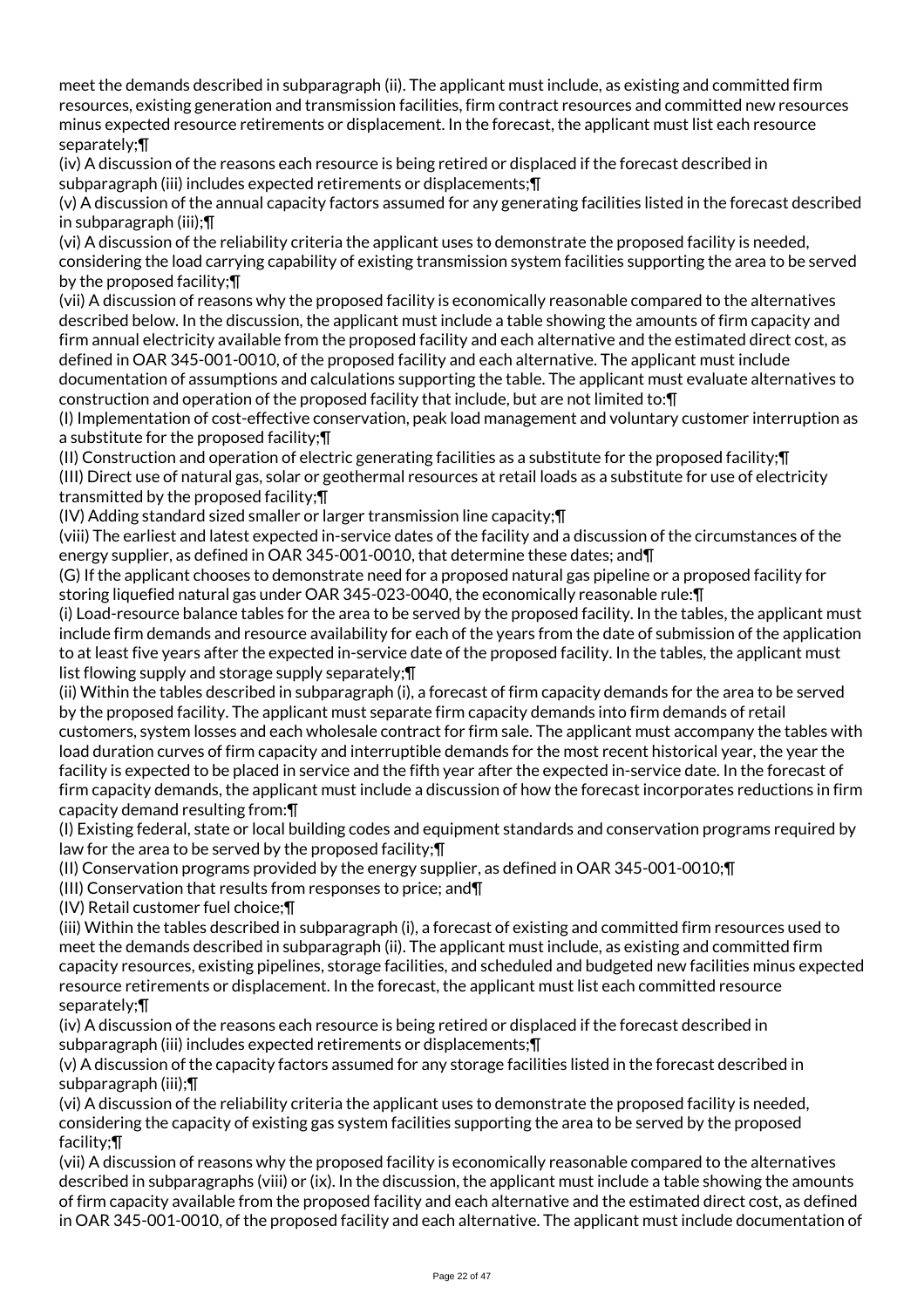meet the demands described in subparagraph (ii). The applicant must include, as existing and committed firm resources, existing generation and transmission facilities, firm contract resources and committed new resources minus expected resource retirements or displacement. In the forecast, the applicant must list each resource separately;¶

(iv) A discussion of the reasons each resource is being retired or displaced if the forecast described in subparagraph (iii) includes expected retirements or displacements;¶

(v) A discussion of the annual capacity factors assumed for any generating facilities listed in the forecast described in subparagraph (iii);¶

(vi) A discussion of the reliability criteria the applicant uses to demonstrate the proposed facility is needed, considering the load carrying capability of existing transmission system facilities supporting the area to be served by the proposed facility;¶

(vii) A discussion of reasons why the proposed facility is economically reasonable compared to the alternatives described below. In the discussion, the applicant must include a table showing the amounts of firm capacity and firm annual electricity available from the proposed facility and each alternative and the estimated direct cost, as defined in OAR 345-001-0010, of the proposed facility and each alternative. The applicant must include documentation of assumptions and calculations supporting the table. The applicant must evaluate alternatives to construction and operation of the proposed facility that include, but are not limited to:¶

(I) Implementation of cost-effective conservation, peak load management and voluntary customer interruption as a substitute for the proposed facility;¶

(II) Construction and operation of electric generating facilities as a substitute for the proposed facility;¶

(III) Direct use of natural gas, solar or geothermal resources at retail loads as a substitute for use of electricity transmitted by the proposed facility;¶

(IV) Adding standard sized smaller or larger transmission line capacity;¶

(viii) The earliest and latest expected in-service dates of the facility and a discussion of the circumstances of the energy supplier, as defined in OAR 345-001-0010, that determine these dates; and¶

(G) If the applicant chooses to demonstrate need for a proposed natural gas pipeline or a proposed facility for storing liquefied natural gas under OAR 345-023-0040, the economically reasonable rule:¶

(i) Load-resource balance tables for the area to be served by the proposed facility. In the tables, the applicant must include firm demands and resource availability for each of the years from the date of submission of the application to at least five years after the expected in-service date of the proposed facility. In the tables, the applicant must list flowing supply and storage supply separately;¶

(ii) Within the tables described in subparagraph (i), a forecast of firm capacity demands for the area to be served by the proposed facility. The applicant must separate firm capacity demands into firm demands of retail customers, system losses and each wholesale contract for firm sale. The applicant must accompany the tables with load duration curves of firm capacity and interruptible demands for the most recent historical year, the year the facility is expected to be placed in service and the fifth year after the expected in-service date. In the forecast of firm capacity demands, the applicant must include a discussion of how the forecast incorporates reductions in firm capacity demand resulting from:¶

(I) Existing federal, state or local building codes and equipment standards and conservation programs required by law for the area to be served by the proposed facility;¶

(II) Conservation programs provided by the energy supplier, as defined in OAR 345-001-0010;¶

(III) Conservation that results from responses to price; and¶

(IV) Retail customer fuel choice;¶

(iii) Within the tables described in subparagraph (i), a forecast of existing and committed firm resources used to meet the demands described in subparagraph (ii). The applicant must include, as existing and committed firm capacity resources, existing pipelines, storage facilities, and scheduled and budgeted new facilities minus expected resource retirements or displacement. In the forecast, the applicant must list each committed resource separately;¶

(iv) A discussion of the reasons each resource is being retired or displaced if the forecast described in subparagraph (iii) includes expected retirements or displacements; [

(v) A discussion of the capacity factors assumed for any storage facilities listed in the forecast described in subparagraph (iii);¶

(vi) A discussion of the reliability criteria the applicant uses to demonstrate the proposed facility is needed, considering the capacity of existing gas system facilities supporting the area to be served by the proposed facility;¶

(vii) A discussion of reasons why the proposed facility is economically reasonable compared to the alternatives described in subparagraphs (viii) or (ix). In the discussion, the applicant must include a table showing the amounts of firm capacity available from the proposed facility and each alternative and the estimated direct cost, as defined in OAR 345-001-0010, of the proposed facility and each alternative. The applicant must include documentation of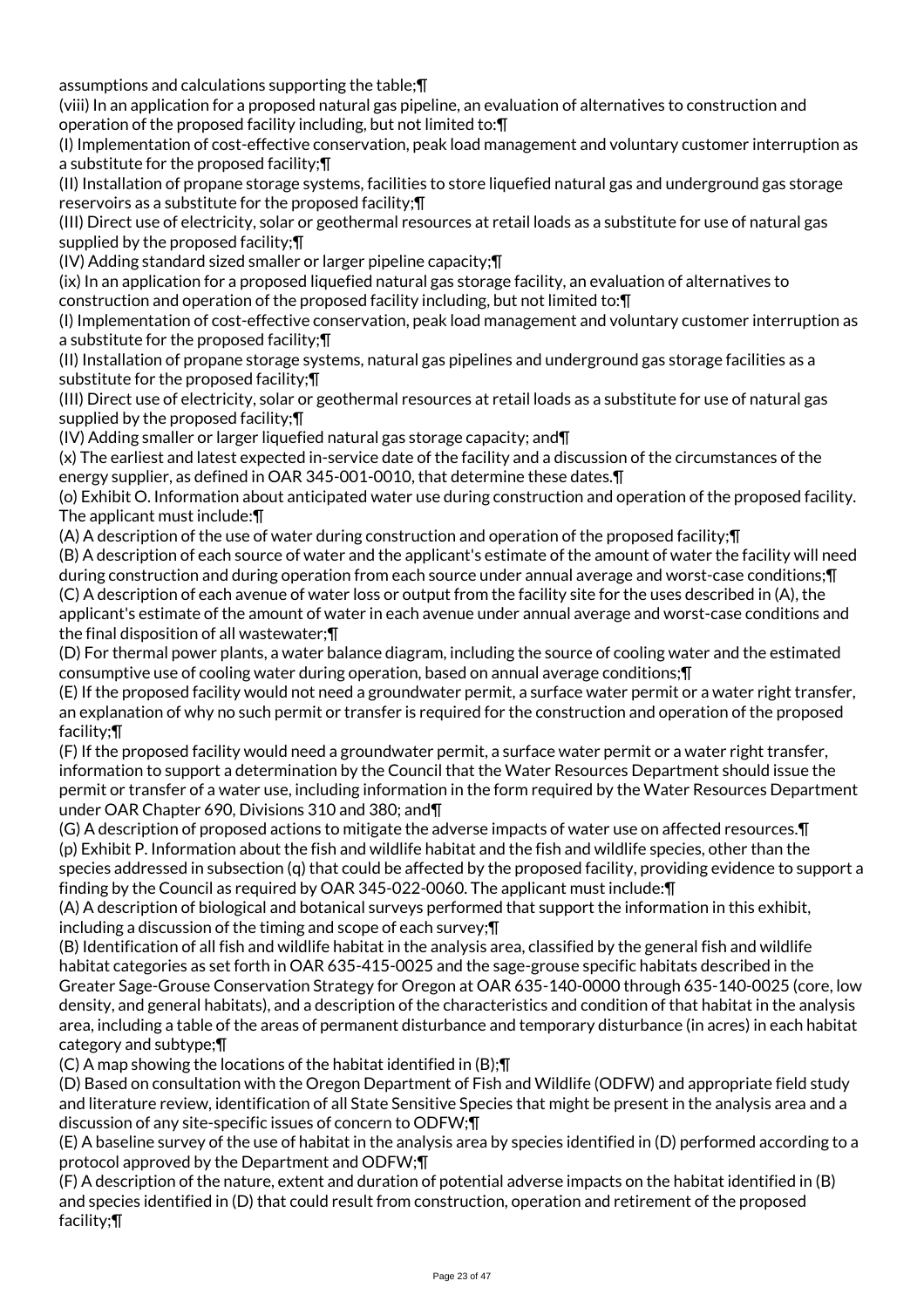assumptions and calculations supporting the table;¶

(viii) In an application for a proposed natural gas pipeline, an evaluation of alternatives to construction and operation of the proposed facility including, but not limited to:¶

(I) Implementation of cost-effective conservation, peak load management and voluntary customer interruption as a substitute for the proposed facility;¶

(II) Installation of propane storage systems, facilities to store liquefied natural gas and underground gas storage reservoirs as a substitute for the proposed facility;¶

(III) Direct use of electricity, solar or geothermal resources at retail loads as a substitute for use of natural gas supplied by the proposed facility;¶

(IV) Adding standard sized smaller or larger pipeline capacity;¶

(ix) In an application for a proposed liquefied natural gas storage facility, an evaluation of alternatives to construction and operation of the proposed facility including, but not limited to:¶

(I) Implementation of cost-effective conservation, peak load management and voluntary customer interruption as a substitute for the proposed facility;¶

(II) Installation of propane storage systems, natural gas pipelines and underground gas storage facilities as a substitute for the proposed facility;¶

(III) Direct use of electricity, solar or geothermal resources at retail loads as a substitute for use of natural gas supplied by the proposed facility;¶

(IV) Adding smaller or larger liquefied natural gas storage capacity; and¶

(x) The earliest and latest expected in-service date of the facility and a discussion of the circumstances of the energy supplier, as defined in OAR 345-001-0010, that determine these dates.¶

(o) Exhibit O. Information about anticipated water use during construction and operation of the proposed facility. The applicant must include:¶

(A) A description of the use of water during construction and operation of the proposed facility;¶

(B) A description of each source of water and the applicant's estimate of the amount of water the facility will need during construction and during operation from each source under annual average and worst-case conditions;¶ (C) A description of each avenue of water loss or output from the facility site for the uses described in (A), the applicant's estimate of the amount of water in each avenue under annual average and worst-case conditions and the final disposition of all wastewater;¶

(D) For thermal power plants, a water balance diagram, including the source of cooling water and the estimated consumptive use of cooling water during operation, based on annual average conditions;¶

(E) If the proposed facility would not need a groundwater permit, a surface water permit or a water right transfer, an explanation of why no such permit or transfer is required for the construction and operation of the proposed facility;¶

(F) If the proposed facility would need a groundwater permit, a surface water permit or a water right transfer, information to support a determination by the Council that the Water Resources Department should issue the permit or transfer of a water use, including information in the form required by the Water Resources Department under OAR Chapter 690, Divisions 310 and 380; and¶

(G) A description of proposed actions to mitigate the adverse impacts of water use on affected resources.¶ (p) Exhibit P. Information about the fish and wildlife habitat and the fish and wildlife species, other than the species addressed in subsection (q) that could be affected by the proposed facility, providing evidence to support a finding by the Council as required by OAR 345-022-0060. The applicant must include:¶

(A) A description of biological and botanical surveys performed that support the information in this exhibit, including a discussion of the timing and scope of each survey;¶

(B) Identification of all fish and wildlife habitat in the analysis area, classified by the general fish and wildlife habitat categories as set forth in OAR 635-415-0025 and the sage-grouse specific habitats described in the Greater Sage-Grouse Conservation Strategy for Oregon at OAR 635-140-0000 through 635-140-0025 (core, low density, and general habitats), and a description of the characteristics and condition of that habitat in the analysis area, including a table of the areas of permanent disturbance and temporary disturbance (in acres) in each habitat category and subtype;¶

(C) A map showing the locations of the habitat identified in (B);¶

(D) Based on consultation with the Oregon Department of Fish and Wildlife (ODFW) and appropriate field study and literature review, identification of all State Sensitive Species that might be present in the analysis area and a discussion of any site-specific issues of concern to ODFW;¶

(E) A baseline survey of the use of habitat in the analysis area by species identified in (D) performed according to a protocol approved by the Department and ODFW;¶

(F) A description of the nature, extent and duration of potential adverse impacts on the habitat identified in (B) and species identified in (D) that could result from construction, operation and retirement of the proposed facility;¶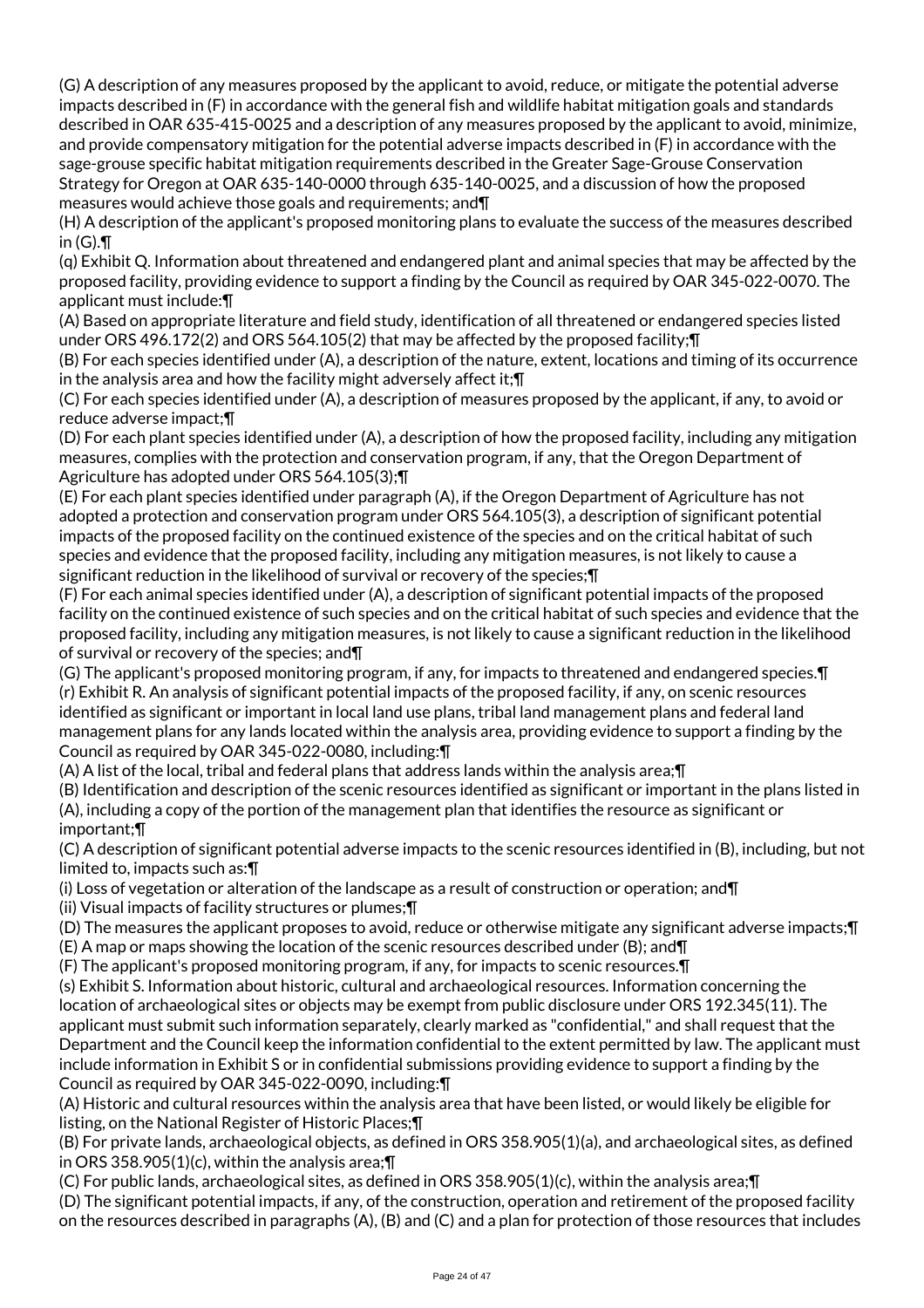(G) A description of any measures proposed by the applicant to avoid, reduce, or mitigate the potential adverse impacts described in (F) in accordance with the general fish and wildlife habitat mitigation goals and standards described in OAR 635-415-0025 and a description of any measures proposed by the applicant to avoid, minimize, and provide compensatory mitigation for the potential adverse impacts described in (F) in accordance with the sage-grouse specific habitat mitigation requirements described in the Greater Sage-Grouse Conservation Strategy for Oregon at OAR 635-140-0000 through 635-140-0025, and a discussion of how the proposed measures would achieve those goals and requirements; and¶

(H) A description of the applicant's proposed monitoring plans to evaluate the success of the measures described in (G).¶

(q) Exhibit Q. Information about threatened and endangered plant and animal species that may be affected by the proposed facility, providing evidence to support a finding by the Council as required by OAR 345-022-0070. The applicant must include:¶

(A) Based on appropriate literature and field study, identification of all threatened or endangered species listed under ORS 496.172(2) and ORS 564.105(2) that may be affected by the proposed facility;¶

(B) For each species identified under (A), a description of the nature, extent, locations and timing of its occurrence in the analysis area and how the facility might adversely affect it;¶

(C) For each species identified under (A), a description of measures proposed by the applicant, if any, to avoid or reduce adverse impact;¶

(D) For each plant species identified under (A), a description of how the proposed facility, including any mitigation measures, complies with the protection and conservation program, if any, that the Oregon Department of Agriculture has adopted under ORS 564.105(3);¶

(E) For each plant species identified under paragraph (A), if the Oregon Department of Agriculture has not adopted a protection and conservation program under ORS 564.105(3), a description of significant potential impacts of the proposed facility on the continued existence of the species and on the critical habitat of such species and evidence that the proposed facility, including any mitigation measures, is not likely to cause a significant reduction in the likelihood of survival or recovery of the species;¶

(F) For each animal species identified under (A), a description of significant potential impacts of the proposed facility on the continued existence of such species and on the critical habitat of such species and evidence that the proposed facility, including any mitigation measures, is not likely to cause a significant reduction in the likelihood of survival or recovery of the species; and¶

(G) The applicant's proposed monitoring program, if any, for impacts to threatened and endangered species.¶ (r) Exhibit R. An analysis of significant potential impacts of the proposed facility, if any, on scenic resources identified as significant or important in local land use plans, tribal land management plans and federal land management plans for any lands located within the analysis area, providing evidence to support a finding by the Council as required by OAR 345-022-0080, including:¶

(A) A list of the local, tribal and federal plans that address lands within the analysis area;¶

(B) Identification and description of the scenic resources identified as significant or important in the plans listed in (A), including a copy of the portion of the management plan that identifies the resource as significant or important;¶

(C) A description of significant potential adverse impacts to the scenic resources identified in (B), including, but not limited to, impacts such as:¶

(i) Loss of vegetation or alteration of the landscape as a result of construction or operation; and¶

(ii) Visual impacts of facility structures or plumes;¶

(D) The measures the applicant proposes to avoid, reduce or otherwise mitigate any significant adverse impacts;¶

(E) A map or maps showing the location of the scenic resources described under (B); and¶

(F) The applicant's proposed monitoring program, if any, for impacts to scenic resources.¶

(s) Exhibit S. Information about historic, cultural and archaeological resources. Information concerning the location of archaeological sites or objects may be exempt from public disclosure under ORS 192.345(11). The applicant must submit such information separately, clearly marked as "confidential," and shall request that the Department and the Council keep the information confidential to the extent permitted by law. The applicant must include information in Exhibit S or in confidential submissions providing evidence to support a finding by the Council as required by OAR 345-022-0090, including:¶

(A) Historic and cultural resources within the analysis area that have been listed, or would likely be eligible for listing, on the National Register of Historic Places;¶

(B) For private lands, archaeological objects, as defined in ORS 358.905(1)(a), and archaeological sites, as defined in ORS 358.905(1)(c), within the analysis area;¶

(C) For public lands, archaeological sites, as defined in ORS 358.905(1)(c), within the analysis area;¶

(D) The significant potential impacts, if any, of the construction, operation and retirement of the proposed facility on the resources described in paragraphs (A), (B) and (C) and a plan for protection of those resources that includes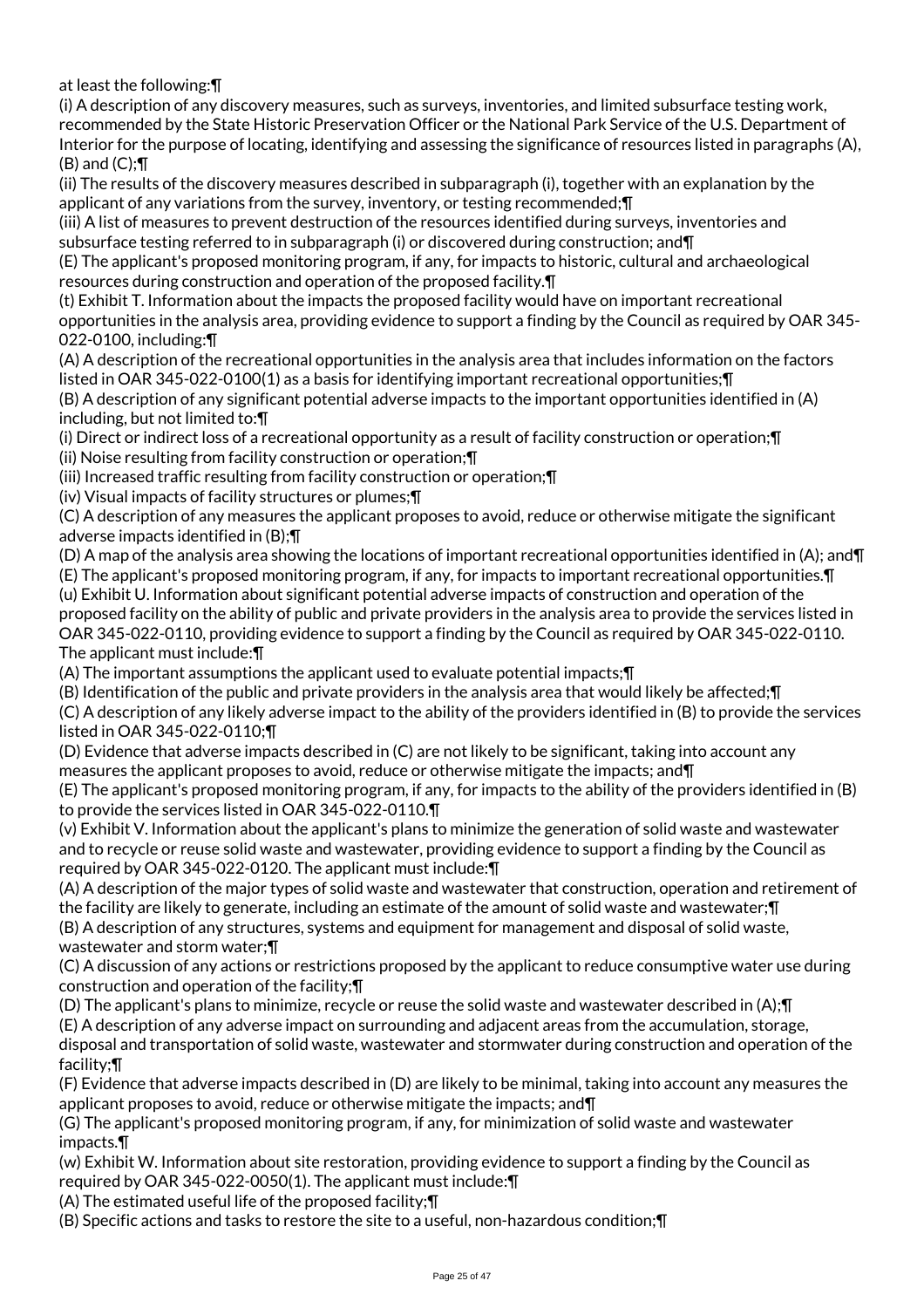at least the following:¶

(i) A description of any discovery measures, such as surveys, inventories, and limited subsurface testing work, recommended by the State Historic Preservation Officer or the National Park Service of the U.S. Department of Interior for the purpose of locating, identifying and assessing the significance of resources listed in paragraphs (A),  $(B)$  and  $(C)$ ;  $\P$ 

(ii) The results of the discovery measures described in subparagraph (i), together with an explanation by the applicant of any variations from the survey, inventory, or testing recommended;¶

(iii) A list of measures to prevent destruction of the resources identified during surveys, inventories and subsurface testing referred to in subparagraph (i) or discovered during construction; and¶

(E) The applicant's proposed monitoring program, if any, for impacts to historic, cultural and archaeological resources during construction and operation of the proposed facility.¶

(t) Exhibit T. Information about the impacts the proposed facility would have on important recreational opportunities in the analysis area, providing evidence to support a finding by the Council as required by OAR 345- 022-0100, including:¶

(A) A description of the recreational opportunities in the analysis area that includes information on the factors listed in OAR 345-022-0100(1) as a basis for identifying important recreational opportunities;¶

(B) A description of any significant potential adverse impacts to the important opportunities identified in (A) including, but not limited to:¶

(i) Direct or indirect loss of a recreational opportunity as a result of facility construction or operation;¶

(ii) Noise resulting from facility construction or operation;¶

(iii) Increased traffic resulting from facility construction or operation;¶

(iv) Visual impacts of facility structures or plumes;¶

(C) A description of any measures the applicant proposes to avoid, reduce or otherwise mitigate the significant adverse impacts identified in (B);¶

(D) A map of the analysis area showing the locations of important recreational opportunities identified in (A); and¶

(E) The applicant's proposed monitoring program, if any, for impacts to important recreational opportunities.¶ (u) Exhibit U. Information about significant potential adverse impacts of construction and operation of the proposed facility on the ability of public and private providers in the analysis area to provide the services listed in OAR 345-022-0110, providing evidence to support a finding by the Council as required by OAR 345-022-0110. The applicant must include:¶

(A) The important assumptions the applicant used to evaluate potential impacts;¶

(B) Identification of the public and private providers in the analysis area that would likely be affected;¶

(C) A description of any likely adverse impact to the ability of the providers identified in (B) to provide the services listed in OAR 345-022-0110;¶

(D) Evidence that adverse impacts described in (C) are not likely to be significant, taking into account any measures the applicant proposes to avoid, reduce or otherwise mitigate the impacts; and¶

(E) The applicant's proposed monitoring program, if any, for impacts to the ability of the providers identified in (B) to provide the services listed in OAR 345-022-0110.¶

(v) Exhibit V. Information about the applicant's plans to minimize the generation of solid waste and wastewater and to recycle or reuse solid waste and wastewater, providing evidence to support a finding by the Council as required by OAR 345-022-0120. The applicant must include:¶

(A) A description of the major types of solid waste and wastewater that construction, operation and retirement of the facility are likely to generate, including an estimate of the amount of solid waste and wastewater;¶ (B) A description of any structures, systems and equipment for management and disposal of solid waste,

wastewater and storm water;¶

(C) A discussion of any actions or restrictions proposed by the applicant to reduce consumptive water use during construction and operation of the facility;¶

(D) The applicant's plans to minimize, recycle or reuse the solid waste and wastewater described in (A);¶

(E) A description of any adverse impact on surrounding and adjacent areas from the accumulation, storage,

disposal and transportation of solid waste, wastewater and stormwater during construction and operation of the facility;¶

(F) Evidence that adverse impacts described in (D) are likely to be minimal, taking into account any measures the applicant proposes to avoid, reduce or otherwise mitigate the impacts; and¶

(G) The applicant's proposed monitoring program, if any, for minimization of solid waste and wastewater impacts.¶

(w) Exhibit W. Information about site restoration, providing evidence to support a finding by the Council as required by OAR 345-022-0050(1). The applicant must include:¶

(A) The estimated useful life of the proposed facility;¶

(B) Specific actions and tasks to restore the site to a useful, non-hazardous condition;¶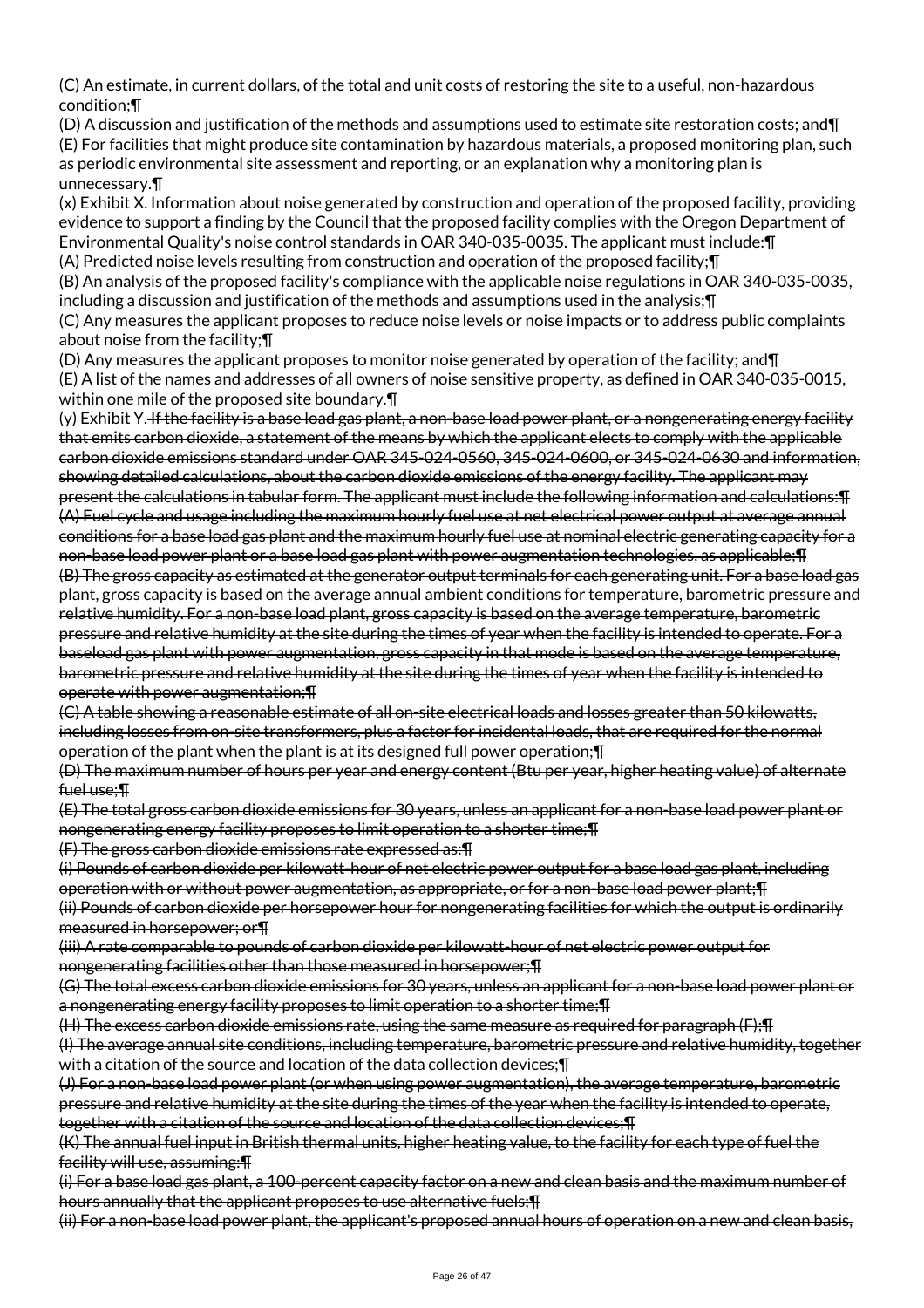(C) An estimate, in current dollars, of the total and unit costs of restoring the site to a useful, non-hazardous condition;¶

(D) A discussion and justification of the methods and assumptions used to estimate site restoration costs; and¶ (E) For facilities that might produce site contamination by hazardous materials, a proposed monitoring plan, such as periodic environmental site assessment and reporting, or an explanation why a monitoring plan is unnecessary.¶

(x) Exhibit X. Information about noise generated by construction and operation of the proposed facility, providing evidence to support a finding by the Council that the proposed facility complies with the Oregon Department of Environmental Quality's noise control standards in OAR 340-035-0035. The applicant must include:¶ (A) Predicted noise levels resulting from construction and operation of the proposed facility;¶

(B) An analysis of the proposed facility's compliance with the applicable noise regulations in OAR 340-035-0035, including a discussion and justification of the methods and assumptions used in the analysis;¶ (C) Any measures the applicant proposes to reduce noise levels or noise impacts or to address public complaints about noise from the facility;¶

(D) Any measures the applicant proposes to monitor noise generated by operation of the facility; and¶ (E) A list of the names and addresses of all owners of noise sensitive property, as defined in OAR 340-035-0015, within one mile of the proposed site boundary.¶

(y) Exhibit Y. If the facility is a base load gas plant, a non-base load power plant, or a nongenerating energy facility that emits carbon dioxide, a statement of the means by which the applicant elects to comply with the applicable carbon dioxide emissions standard under OAR 345-024-0560, 345-024-0600, or 345-024-0630 and information, showing detailed calculations, about the carbon dioxide emissions of the energy facility. The applicant may present the calculations in tabular form. The applicant must include the following information and calculations:¶ (A) Fuel cycle and usage including the maximum hourly fuel use at net electrical power output at average annual conditions for a base load gas plant and the maximum hourly fuel use at nominal electric generating capacity for a non-base load power plant or a base load gas plant with power augmentation technologies, as applicable;¶ (B) The gross capacity as estimated at the generator output terminals for each generating unit. For a base load gas plant, gross capacity is based on the average annual ambient conditions for temperature, barometric pressure and relative humidity. For a non-base load plant, gross capacity is based on the average temperature, barometric pressure and relative humidity at the site during the times of year when the facility is intended to operate. For a baseload gas plant with power augmentation, gross capacity in that mode is based on the average temperature, barometric pressure and relative humidity at the site during the times of year when the facility is intended to operate with power augmentation;¶

(C) A table showing a reasonable estimate of all on-site electrical loads and losses greater than 50 kilowatts, including losses from on-site transformers, plus a factor for incidental loads, that are required for the normal operation of the plant when the plant is at its designed full power operation;¶

(D) The maximum number of hours per year and energy content (Btu per year, higher heating value) of alternate fuel use;¶

(E) The total gross carbon dioxide emissions for 30 years, unless an applicant for a non-base load power plant or nongenerating energy facility proposes to limit operation to a shorter time;¶

(F) The gross carbon dioxide emissions rate expressed as:¶

(i) Pounds of carbon dioxide per kilowatt-hour of net electric power output for a base load gas plant, including operation with or without power augmentation, as appropriate, or for a non-base load power plant;¶ (ii) Pounds of carbon dioxide per horsepower hour for nongenerating facilities for which the output is ordinarily measured in horsepower; or¶

(iii) A rate comparable to pounds of carbon dioxide per kilowatt-hour of net electric power output for nongenerating facilities other than those measured in horsepower;¶

(G) The total excess carbon dioxide emissions for 30 years, unless an applicant for a non-base load power plant or a nongenerating energy facility proposes to limit operation to a shorter time;¶

(H) The excess carbon dioxide emissions rate, using the same measure as required for paragraph (F);¶

(I) The average annual site conditions, including temperature, barometric pressure and relative humidity, together with a citation of the source and location of the data collection devices: [41]

(J) For a non-base load power plant (or when using power augmentation), the average temperature, barometric pressure and relative humidity at the site during the times of the year when the facility is intended to operate, together with a citation of the source and location of the data collection devices;¶

(K) The annual fuel input in British thermal units, higher heating value, to the facility for each type of fuel the facility will use, assuming:¶

(i) For a base load gas plant, a 100-percent capacity factor on a new and clean basis and the maximum number of hours annually that the applicant proposes to use alternative fuels;¶

(ii) For a non-base load power plant, the applicant's proposed annual hours of operation on a new and clean basis,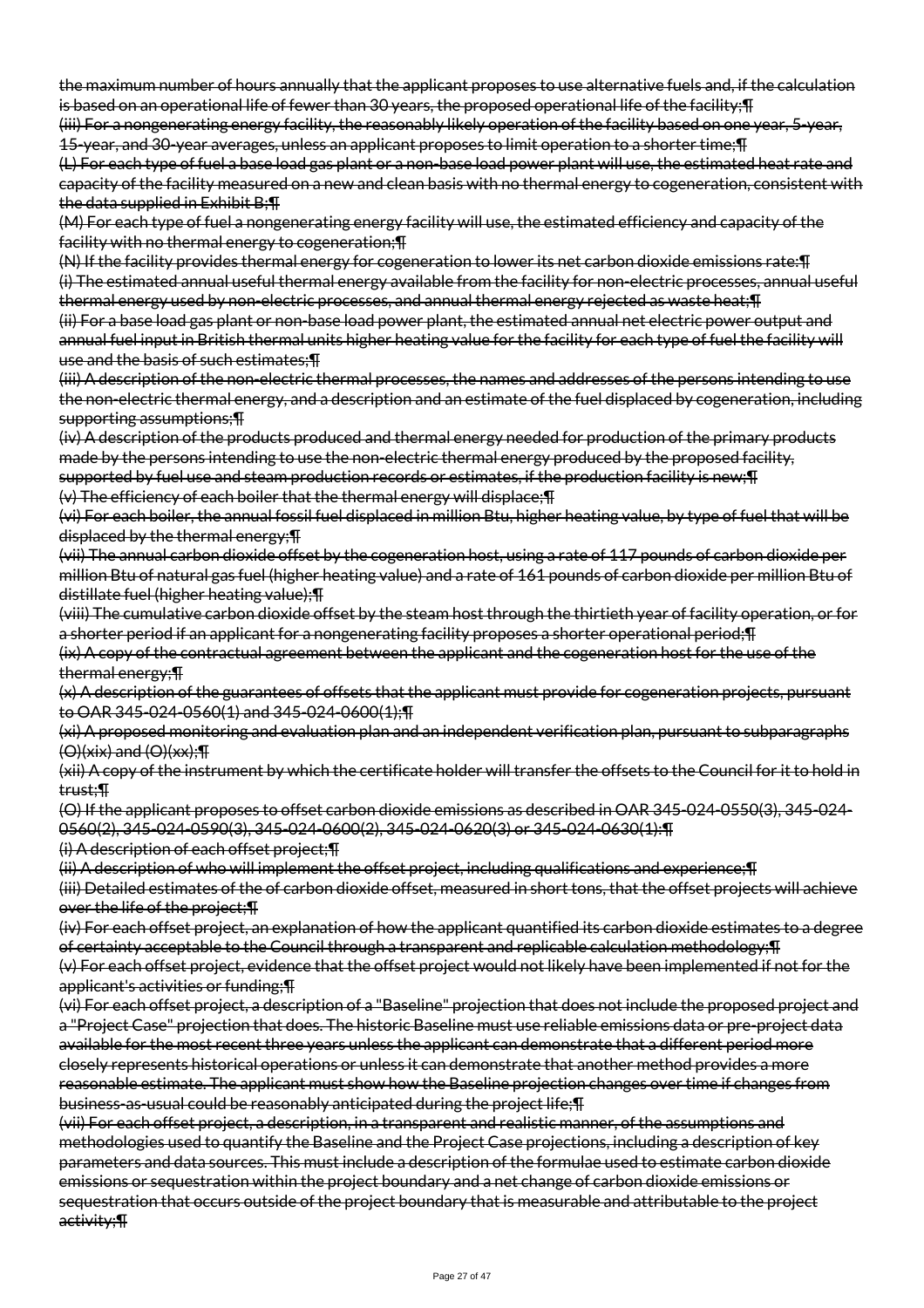the maximum number of hours annually that the applicant proposes to use alternative fuels and, if the calculation is based on an operational life of fewer than 30 years, the proposed operational life of the facility; [I]

(iii) For a nongenerating energy facility, the reasonably likely operation of the facility based on one year, 5-year, 15-year, and 30-year averages, unless an applicant proposes to limit operation to a shorter time;¶

(L) For each type of fuel a base load gas plant or a non-base load power plant will use, the estimated heat rate and capacity of the facility measured on a new and clean basis with no thermal energy to cogeneration, consistent with the data supplied in Exhibit B;¶

(M) For each type of fuel a nongenerating energy facility will use, the estimated efficiency and capacity of the facility with no thermal energy to cogeneration;¶

(N) If the facility provides thermal energy for cogeneration to lower its net carbon dioxide emissions rate:¶ (i) The estimated annual useful thermal energy available from the facility for non-electric processes, annual useful thermal energy used by non-electric processes, and annual thermal energy rejected as waste heat;¶

(ii) For a base load gas plant or non-base load power plant, the estimated annual net electric power output and annual fuel input in British thermal units higher heating value for the facility for each type of fuel the facility will use and the basis of such estimates;¶

(iii) A description of the non-electric thermal processes, the names and addresses of the persons intending to use the non-electric thermal energy, and a description and an estimate of the fuel displaced by cogeneration, including supporting assumptions;¶

(iv) A description of the products produced and thermal energy needed for production of the primary products made by the persons intending to use the non-electric thermal energy produced by the proposed facility, supported by fuel use and steam production records or estimates, if the production facility is new;¶ (v) The efficiency of each boiler that the thermal energy will displace;¶

(vi) For each boiler, the annual fossil fuel displaced in million Btu, higher heating value, by type of fuel that will be displaced by the thermal energy;¶

(vii) The annual carbon dioxide offset by the cogeneration host, using a rate of 117 pounds of carbon dioxide per million Btu of natural gas fuel (higher heating value) and a rate of 161 pounds of carbon dioxide per million Btu of distillate fuel (higher heating value);¶

(viii) The cumulative carbon dioxide offset by the steam host through the thirtieth year of facility operation, or for a shorter period if an applicant for a nongenerating facility proposes a shorter operational period; [1]

(ix) A copy of the contractual agreement between the applicant and the cogeneration host for the use of the thermal energy;¶

(x) A description of the guarantees of offsets that the applicant must provide for cogeneration projects, pursuant to OAR 345-024-0560(1) and 345-024-0600(1);¶

(xi) A proposed monitoring and evaluation plan and an independent verification plan, pursuant to subparagraphs  $(O)(xix)$  and  $(O)(xx);$  T

(xii) A copy of the instrument by which the certificate holder will transfer the offsets to the Council for it to hold in trust;¶

(O) If the applicant proposes to offset carbon dioxide emissions as described in OAR 345-024-0550(3), 345-024- 0560(2), 345-024-0590(3), 345-024-0600(2), 345-024-0620(3) or 345-024-0630(1):¶

(i) A description of each offset project;¶

(ii) A description of who will implement the offset project, including qualifications and experience;¶

(iii) Detailed estimates of the of carbon dioxide offset, measured in short tons, that the offset projects will achieve over the life of the project;¶

(iv) For each offset project, an explanation of how the applicant quantified its carbon dioxide estimates to a degree of certainty acceptable to the Council through a transparent and replicable calculation methodology;¶

(v) For each offset project, evidence that the offset project would not likely have been implemented if not for the applicant's activities or funding;¶

(vi) For each offset project, a description of a "Baseline" projection that does not include the proposed project and a "Project Case" projection that does. The historic Baseline must use reliable emissions data or pre-project data available for the most recent three years unless the applicant can demonstrate that a different period more closely represents historical operations or unless it can demonstrate that another method provides a more reasonable estimate. The applicant must show how the Baseline projection changes over time if changes from business-as-usual could be reasonably anticipated during the project life;¶

(vii) For each offset project, a description, in a transparent and realistic manner, of the assumptions and methodologies used to quantify the Baseline and the Project Case projections, including a description of key parameters and data sources. This must include a description of the formulae used to estimate carbon dioxide emissions or sequestration within the project boundary and a net change of carbon dioxide emissions or sequestration that occurs outside of the project boundary that is measurable and attributable to the project activity;¶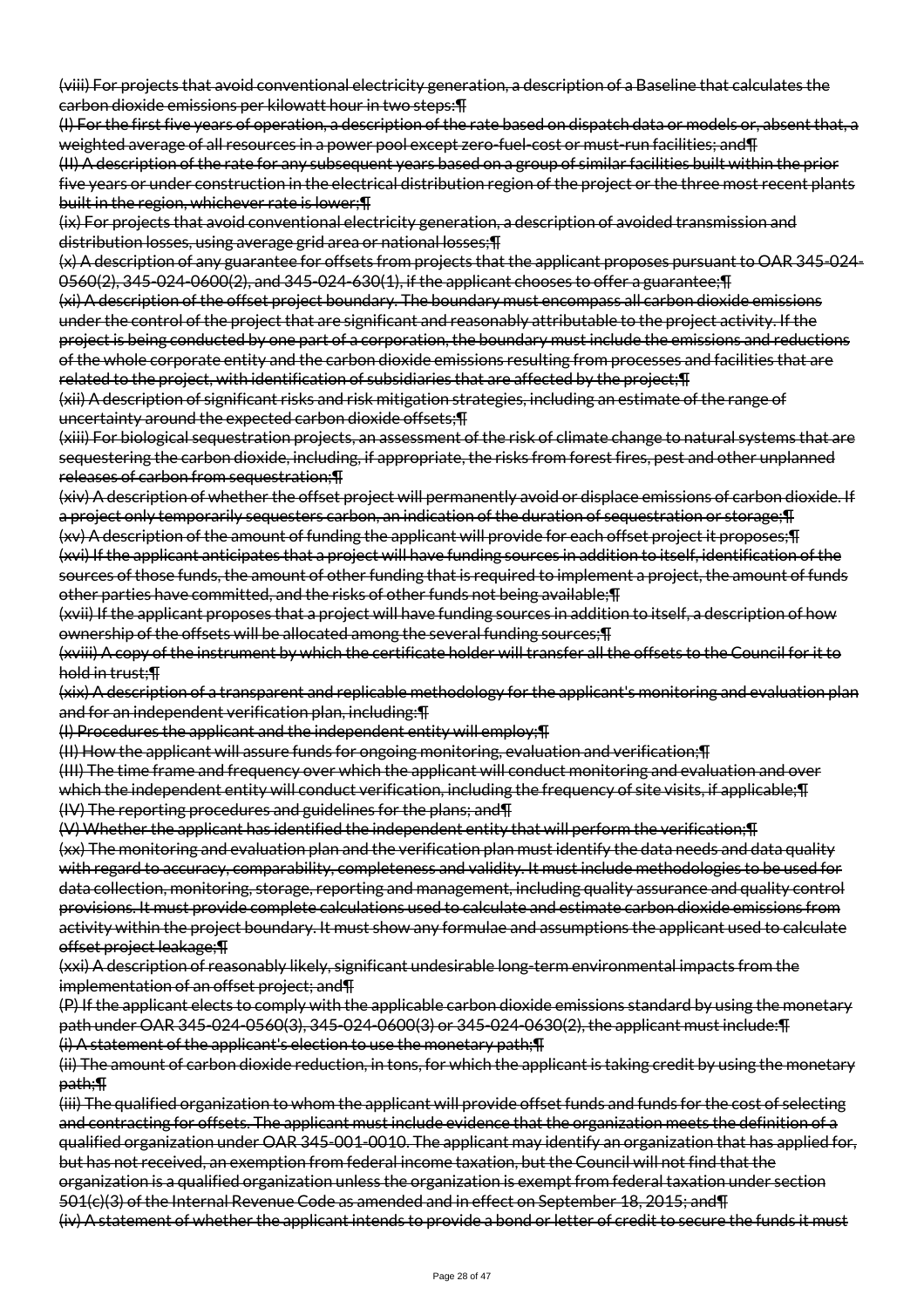(viii) For projects that avoid conventional electricity generation, a description of a Baseline that calculates the carbon dioxide emissions per kilowatt hour in two steps:¶

(I) For the first five years of operation, a description of the rate based on dispatch data or models or, absent that, a weighted average of all resources in a power pool except zero-fuel-cost or must-run facilities; and I

(II) A description of the rate for any subsequent years based on a group of similar facilities built within the prior five years or under construction in the electrical distribution region of the project or the three most recent plants built in the region, whichever rate is lower;¶

(ix) For projects that avoid conventional electricity generation, a description of avoided transmission and distribution losses, using average grid area or national losses;¶

(x) A description of any guarantee for offsets from projects that the applicant proposes pursuant to OAR 345-024- 0560(2), 345-024-0600(2), and 345-024-630(1), if the applicant chooses to offer a guarantee;¶

(xi) A description of the offset project boundary. The boundary must encompass all carbon dioxide emissions under the control of the project that are significant and reasonably attributable to the project activity. If the project is being conducted by one part of a corporation, the boundary must include the emissions and reductions of the whole corporate entity and the carbon dioxide emissions resulting from processes and facilities that are related to the project, with identification of subsidiaries that are affected by the project;¶

(xii) A description of significant risks and risk mitigation strategies, including an estimate of the range of uncertainty around the expected carbon dioxide offsets;¶

(xiii) For biological sequestration projects, an assessment of the risk of climate change to natural systems that are sequestering the carbon dioxide, including, if appropriate, the risks from forest fires, pest and other unplanned releases of carbon from sequestration;¶

(xiv) A description of whether the offset project will permanently avoid or displace emissions of carbon dioxide. If a project only temporarily sequesters carbon, an indication of the duration of sequestration or storage;¶ (xv) A description of the amount of funding the applicant will provide for each offset project it proposes;¶ (xvi) If the applicant anticipates that a project will have funding sources in addition to itself, identification of the sources of those funds, the amount of other funding that is required to implement a project, the amount of funds other parties have committed, and the risks of other funds not being available;¶

(xvii) If the applicant proposes that a project will have funding sources in addition to itself, a description of how ownership of the offsets will be allocated among the several funding sources;¶

(xviii) A copy of the instrument by which the certificate holder will transfer all the offsets to the Council for it to hold in trust;¶

(xix) A description of a transparent and replicable methodology for the applicant's monitoring and evaluation plan and for an independent verification plan, including:¶

(I) Procedures the applicant and the independent entity will employ;¶

(II) How the applicant will assure funds for ongoing monitoring, evaluation and verification;¶

(III) The time frame and frequency over which the applicant will conduct monitoring and evaluation and over which the independent entity will conduct verification, including the frequency of site visits, if applicable; [1] (IV) The reporting procedures and guidelines for the plans; and¶

(V) Whether the applicant has identified the independent entity that will perform the verification;¶

(xx) The monitoring and evaluation plan and the verification plan must identify the data needs and data quality with regard to accuracy, comparability, completeness and validity. It must include methodologies to be used for data collection, monitoring, storage, reporting and management, including quality assurance and quality control provisions. It must provide complete calculations used to calculate and estimate carbon dioxide emissions from activity within the project boundary. It must show any formulae and assumptions the applicant used to calculate offset project leakage;¶

(xxi) A description of reasonably likely, significant undesirable long-term environmental impacts from the implementation of an offset project; and¶

(P) If the applicant elects to comply with the applicable carbon dioxide emissions standard by using the monetary path under OAR 345-024-0560(3), 345-024-0600(3) or 345-024-0630(2), the applicant must include:¶ (i) A statement of the applicant's election to use the monetary path;¶

(ii) The amount of carbon dioxide reduction, in tons, for which the applicant is taking credit by using the monetary path;¶

(iii) The qualified organization to whom the applicant will provide offset funds and funds for the cost of selecting and contracting for offsets. The applicant must include evidence that the organization meets the definition of a qualified organization under OAR 345-001-0010. The applicant may identify an organization that has applied for, but has not received, an exemption from federal income taxation, but the Council will not find that the

organization is a qualified organization unless the organization is exempt from federal taxation under section 501(c)(3) of the Internal Revenue Code as amended and in effect on September 18, 2015; and¶

(iv) A statement of whether the applicant intends to provide a bond or letter of credit to secure the funds it must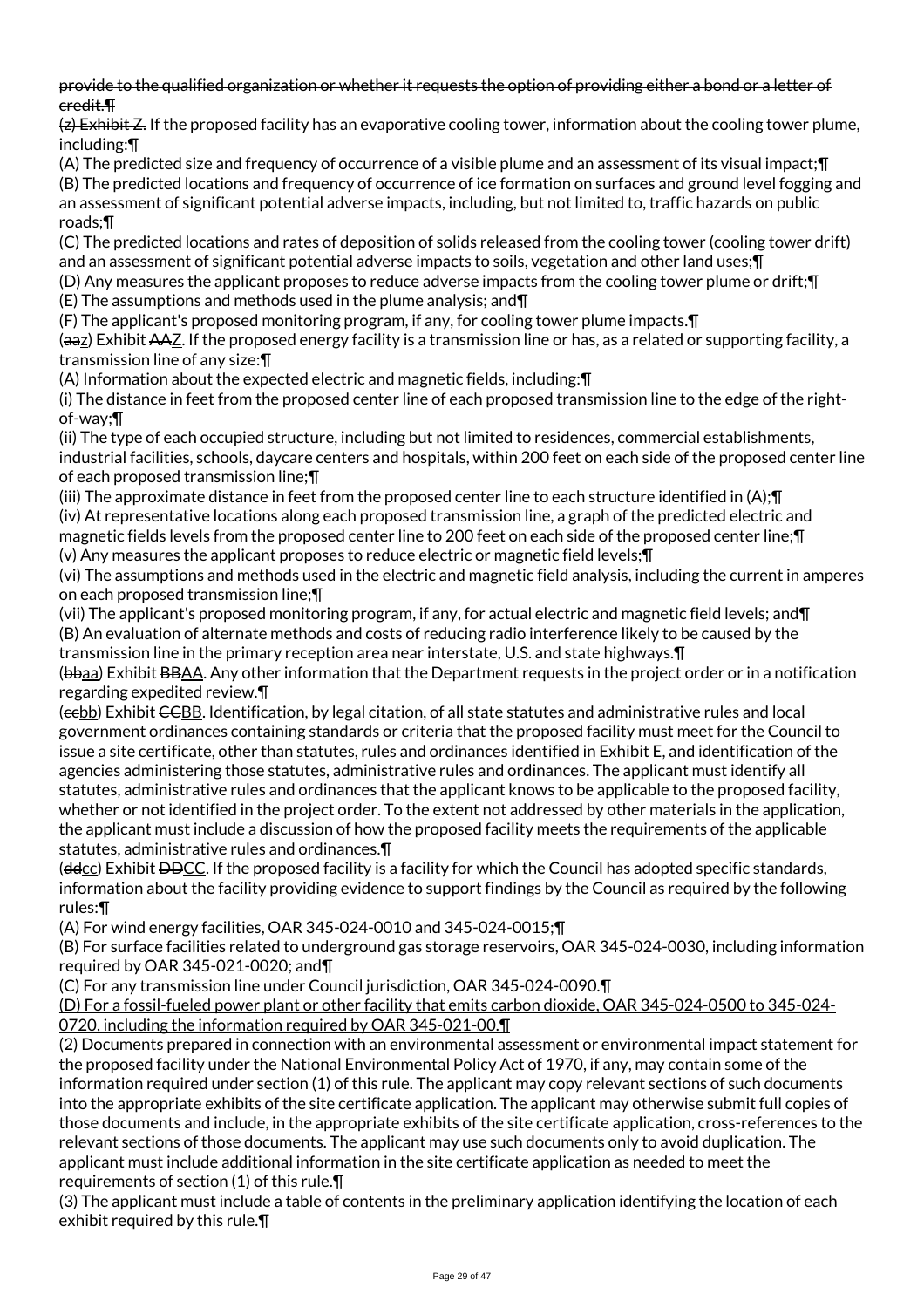provide to the qualified organization or whether it requests the option of providing either a bond or a letter of credit.¶

(z) Exhibit Z. If the proposed facility has an evaporative cooling tower, information about the cooling tower plume, including:¶

(A) The predicted size and frequency of occurrence of a visible plume and an assessment of its visual impact;¶ (B) The predicted locations and frequency of occurrence of ice formation on surfaces and ground level fogging and an assessment of significant potential adverse impacts, including, but not limited to, traffic hazards on public roads;¶

(C) The predicted locations and rates of deposition of solids released from the cooling tower (cooling tower drift) and an assessment of significant potential adverse impacts to soils, vegetation and other land uses; []

(D) Any measures the applicant proposes to reduce adverse impacts from the cooling tower plume or drift;¶ (E) The assumptions and methods used in the plume analysis; and¶

(F) The applicant's proposed monitoring program, if any, for cooling tower plume impacts.¶

(aaz) Exhibit AAZ. If the proposed energy facility is a transmission line or has, as a related or supporting facility, a transmission line of any size:¶

(A) Information about the expected electric and magnetic fields, including:¶

(i) The distance in feet from the proposed center line of each proposed transmission line to the edge of the rightof-way;¶

(ii) The type of each occupied structure, including but not limited to residences, commercial establishments, industrial facilities, schools, daycare centers and hospitals, within 200 feet on each side of the proposed center line of each proposed transmission line;¶

(iii) The approximate distance in feet from the proposed center line to each structure identified in (A);¶ (iv) At representative locations along each proposed transmission line, a graph of the predicted electric and magnetic fields levels from the proposed center line to 200 feet on each side of the proposed center line;¶ (v) Any measures the applicant proposes to reduce electric or magnetic field levels;¶

(vi) The assumptions and methods used in the electric and magnetic field analysis, including the current in amperes on each proposed transmission line;¶

(vii) The applicant's proposed monitoring program, if any, for actual electric and magnetic field levels; and¶ (B) An evaluation of alternate methods and costs of reducing radio interference likely to be caused by the transmission line in the primary reception area near interstate, U.S. and state highways.¶

(bbaa) Exhibit BBAA. Any other information that the Department requests in the project order or in a notification regarding expedited review.¶

(eebb) Exhibit CCBB. Identification, by legal citation, of all state statutes and administrative rules and local government ordinances containing standards or criteria that the proposed facility must meet for the Council to issue a site certificate, other than statutes, rules and ordinances identified in Exhibit E, and identification of the agencies administering those statutes, administrative rules and ordinances. The applicant must identify all statutes, administrative rules and ordinances that the applicant knows to be applicable to the proposed facility, whether or not identified in the project order. To the extent not addressed by other materials in the application, the applicant must include a discussion of how the proposed facility meets the requirements of the applicable statutes, administrative rules and ordinances.¶

 $(dd_{CC})$  Exhibit  $DDCC$ . If the proposed facility is a facility for which the Council has adopted specific standards, information about the facility providing evidence to support findings by the Council as required by the following rules:¶

(A) For wind energy facilities, OAR 345-024-0010 and 345-024-0015;¶

(B) For surface facilities related to underground gas storage reservoirs, OAR 345-024-0030, including information required by OAR 345-021-0020; and¶

(C) For any transmission line under Council jurisdiction, OAR 345-024-0090.¶

(D) For a fossil-fueled power plant or other facility that emits carbon dioxide, OAR 345-024-0500 to 345-024- 0720, including the information required by OAR 345-021-00.¶

(2) Documents prepared in connection with an environmental assessment or environmental impact statement for the proposed facility under the National Environmental Policy Act of 1970, if any, may contain some of the information required under section (1) of this rule. The applicant may copy relevant sections of such documents into the appropriate exhibits of the site certificate application. The applicant may otherwise submit full copies of those documents and include, in the appropriate exhibits of the site certificate application, cross-references to the relevant sections of those documents. The applicant may use such documents only to avoid duplication. The applicant must include additional information in the site certificate application as needed to meet the requirements of section (1) of this rule.¶

(3) The applicant must include a table of contents in the preliminary application identifying the location of each exhibit required by this rule.¶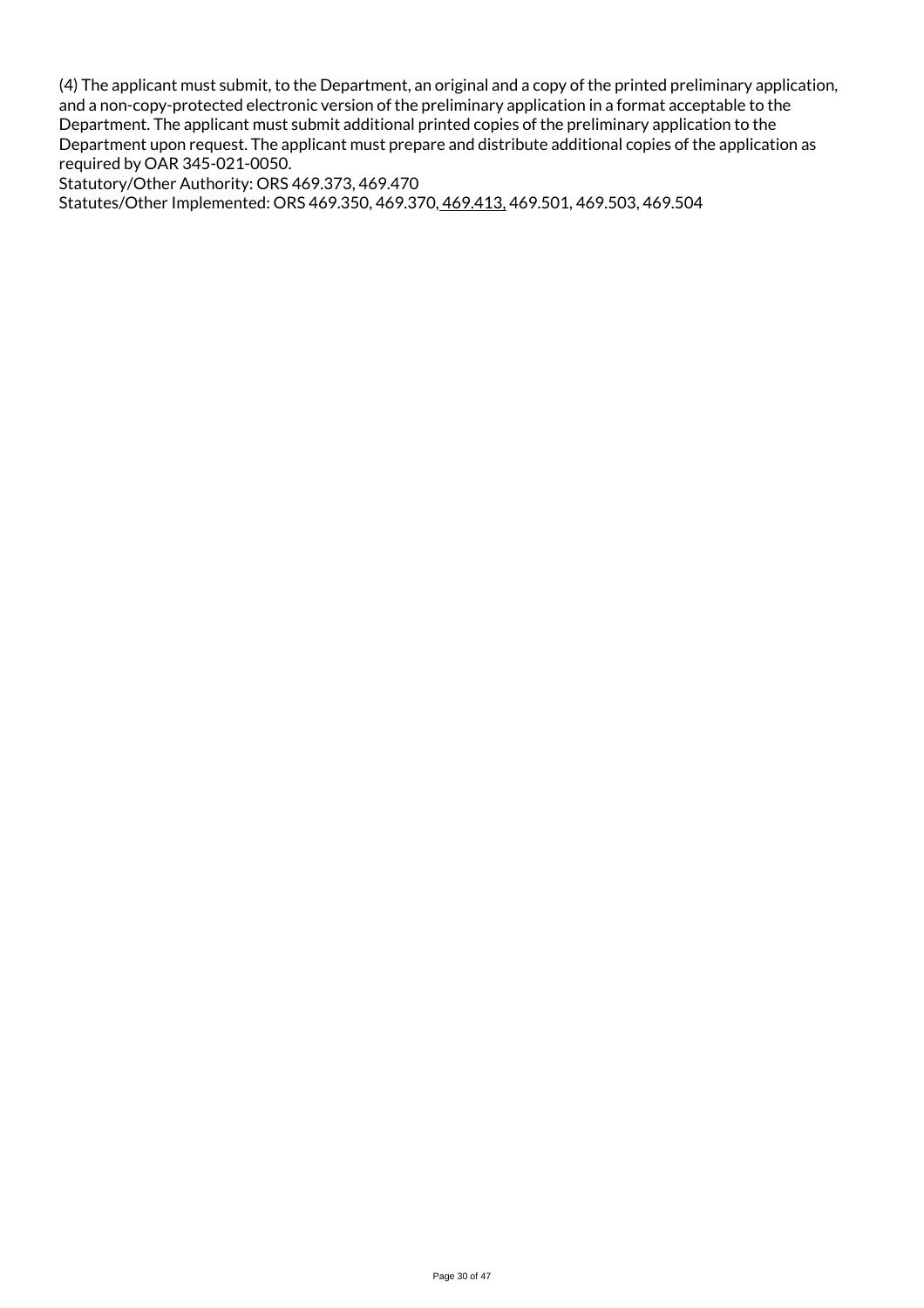(4) The applicant must submit, to the Department, an original and a copy of the printed preliminary application, and a non-copy-protected electronic version of the preliminary application in a format acceptable to the Department. The applicant must submit additional printed copies of the preliminary application to the Department upon request. The applicant must prepare and distribute additional copies of the application as required by OAR 345-021-0050.

Statutory/Other Authority: ORS 469.373, 469.470 Statutes/Other Implemented: ORS 469.350, 469.370, 469.413, 469.501, 469.503, 469.504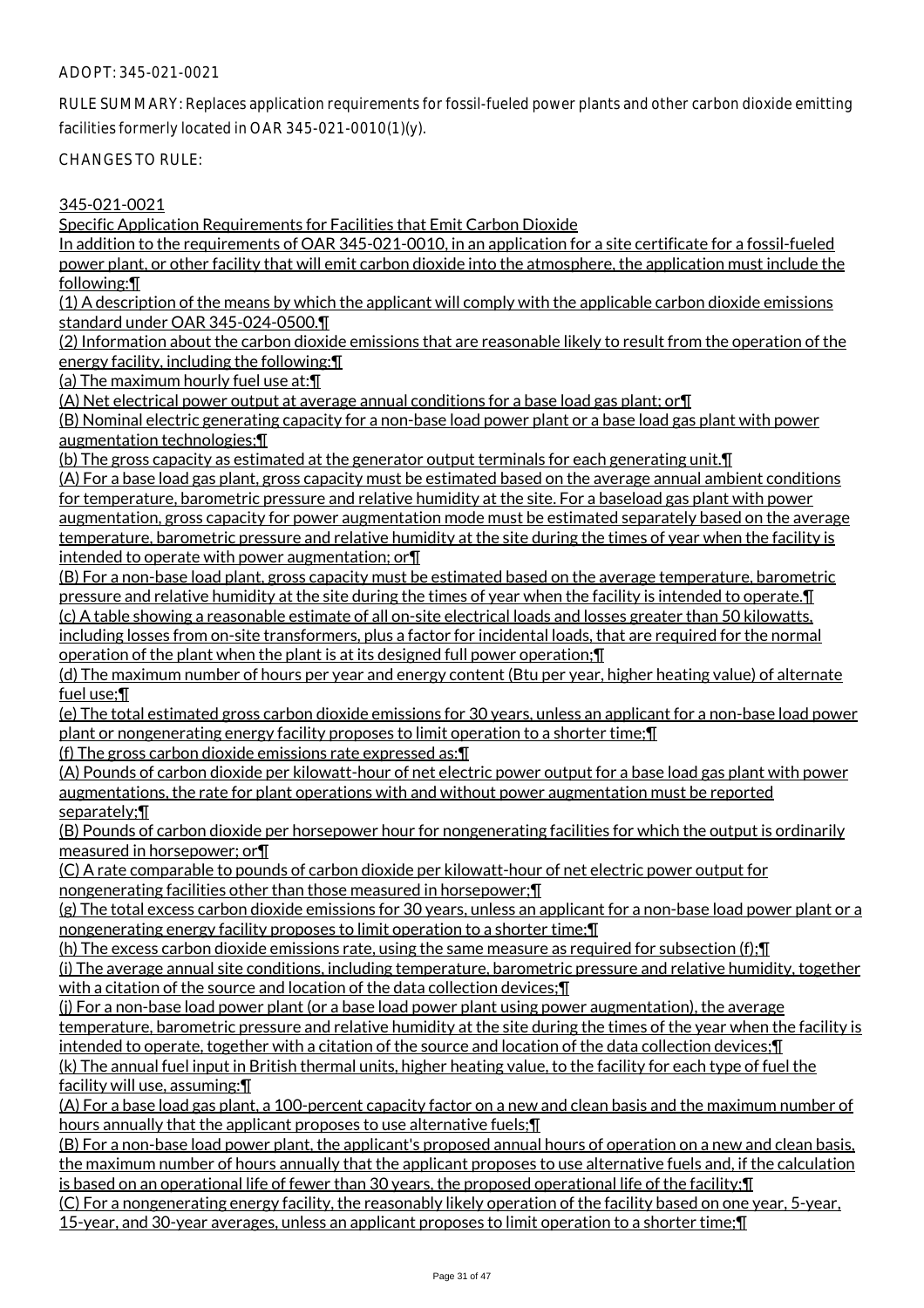## ADOPT: 345-021-0021

RULE SUMMARY: Replaces application requirements for fossil-fueled power plants and other carbon dioxide emitting facilities formerly located in OAR 345-021-0010(1)(y).

CHANGES TO RULE:

345-021-0021

Specific Application Requirements for Facilities that Emit Carbon Dioxide

In addition to the requirements of OAR 345-021-0010, in an application for a site certificate for a fossil-fueled power plant, or other facility that will emit carbon dioxide into the atmosphere, the application must include the following:¶

(1) A description of the means by which the applicant will comply with the applicable carbon dioxide emissions standard under OAR 345-024-0500.¶

(2) Information about the carbon dioxide emissions that are reasonable likely to result from the operation of the energy facility, including the following:¶

(a) The maximum hourly fuel use at:¶

(A) Net electrical power output at average annual conditions for a base load gas plant; or¶

(B) Nominal electric generating capacity for a non-base load power plant or a base load gas plant with power augmentation technologies;¶

(b) The gross capacity as estimated at the generator output terminals for each generating unit.¶ (A) For a base load gas plant, gross capacity must be estimated based on the average annual ambient conditions for temperature, barometric pressure and relative humidity at the site. For a baseload gas plant with power augmentation, gross capacity for power augmentation mode must be estimated separately based on the average temperature, barometric pressure and relative humidity at the site during the times of year when the facility is intended to operate with power augmentation; or¶

(B) For a non-base load plant, gross capacity must be estimated based on the average temperature, barometric pressure and relative humidity at the site during the times of year when the facility is intended to operate.¶ (c) A table showing a reasonable estimate of all on-site electrical loads and losses greater than 50 kilowatts, including losses from on-site transformers, plus a factor for incidental loads, that are required for the normal operation of the plant when the plant is at its designed full power operation;¶

(d) The maximum number of hours per year and energy content (Btu per year, higher heating value) of alternate fuel use;¶

(e) The total estimated gross carbon dioxide emissions for 30 years, unless an applicant for a non-base load power plant or nongenerating energy facility proposes to limit operation to a shorter time;¶

(f) The gross carbon dioxide emissions rate expressed as:¶

(A) Pounds of carbon dioxide per kilowatt-hour of net electric power output for a base load gas plant with power augmentations, the rate for plant operations with and without power augmentation must be reported separately;¶

(B) Pounds of carbon dioxide per horsepower hour for nongenerating facilities for which the output is ordinarily measured in horsepower; or¶

(C) A rate comparable to pounds of carbon dioxide per kilowatt-hour of net electric power output for nongenerating facilities other than those measured in horsepower;¶

(g) The total excess carbon dioxide emissions for 30 years, unless an applicant for a non-base load power plant or a nongenerating energy facility proposes to limit operation to a shorter time;¶

(h) The excess carbon dioxide emissions rate, using the same measure as required for subsection (f);¶ (i) The average annual site conditions, including temperature, barometric pressure and relative humidity, together

with a citation of the source and location of the data collection devices;¶

(i) For a non-base load power plant (or a base load power plant using power augmentation), the average temperature, barometric pressure and relative humidity at the site during the times of the year when the facility is intended to operate, together with a citation of the source and location of the data collection devices;¶ (k) The annual fuel input in British thermal units, higher heating value, to the facility for each type of fuel the

facility will use, assuming:¶

(A) For a base load gas plant, a 100-percent capacity factor on a new and clean basis and the maximum number of hours annually that the applicant proposes to use alternative fuels; [1]

(B) For a non-base load power plant, the applicant's proposed annual hours of operation on a new and clean basis, the maximum number of hours annually that the applicant proposes to use alternative fuels and, if the calculation is based on an operational life of fewer than 30 years, the proposed operational life of the facility;¶

(C) For a nongenerating energy facility, the reasonably likely operation of the facility based on one year, 5-year, 15-year, and 30-year averages, unless an applicant proposes to limit operation to a shorter time;¶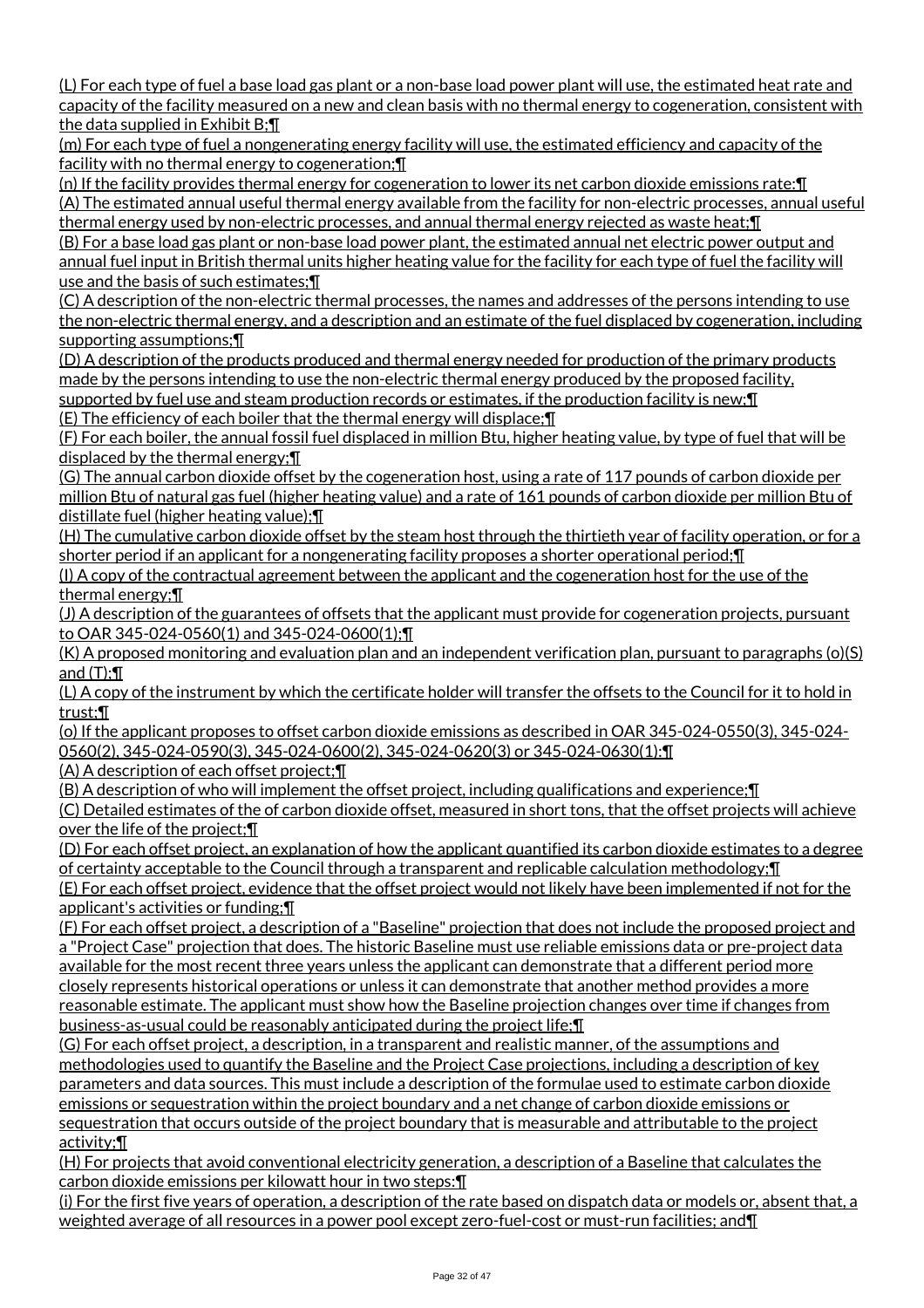(L) For each type of fuel a base load gas plant or a non-base load power plant will use, the estimated heat rate and capacity of the facility measured on a new and clean basis with no thermal energy to cogeneration, consistent with the data supplied in Exhibit B;¶

(m) For each type of fuel a nongenerating energy facility will use, the estimated efficiency and capacity of the facility with no thermal energy to cogeneration;¶

(n) If the facility provides thermal energy for cogeneration to lower its net carbon dioxide emissions rate:¶ (A) The estimated annual useful thermal energy available from the facility for non-electric processes, annual useful thermal energy used by non-electric processes, and annual thermal energy rejected as waste heat;¶

(B) For a base load gas plant or non-base load power plant, the estimated annual net electric power output and annual fuel input in British thermal units higher heating value for the facility for each type of fuel the facility will use and the basis of such estimates;¶

(C) A description of the non-electric thermal processes, the names and addresses of the persons intending to use the non-electric thermal energy, and a description and an estimate of the fuel displaced by cogeneration, including supporting assumptions;¶

(D) A description of the products produced and thermal energy needed for production of the primary products made by the persons intending to use the non-electric thermal energy produced by the proposed facility, supported by fuel use and steam production records or estimates, if the production facility is new; I

(E) The efficiency of each boiler that the thermal energy will displace;¶

(F) For each boiler, the annual fossil fuel displaced in million Btu, higher heating value, by type of fuel that will be displaced by the thermal energy;¶

(G) The annual carbon dioxide offset by the cogeneration host, using a rate of 117 pounds of carbon dioxide per million Btu of natural gas fuel (higher heating value) and a rate of 161 pounds of carbon dioxide per million Btu of distillate fuel (higher heating value);¶

(H) The cumulative carbon dioxide offset by the steam host through the thirtieth year of facility operation, or for a shorter period if an applicant for a nongenerating facility proposes a shorter operational period;¶

(I) A copy of the contractual agreement between the applicant and the cogeneration host for the use of the thermal energy;¶

(J) A description of the guarantees of offsets that the applicant must provide for cogeneration projects, pursuant to OAR 345-024-0560(1) and 345-024-0600(1);¶

(K) A proposed monitoring and evaluation plan and an independent verification plan, pursuant to paragraphs (o)(S) and (T);¶

(L) A copy of the instrument by which the certificate holder will transfer the offsets to the Council for it to hold in trust;¶

(o) If the applicant proposes to offset carbon dioxide emissions as described in OAR 345-024-0550(3), 345-024- 0560(2), 345-024-0590(3), 345-024-0600(2), 345-024-0620(3) or 345-024-0630(1):¶

(A) A description of each offset project;¶

(B) A description of who will implement the offset project, including qualifications and experience;¶ (C) Detailed estimates of the of carbon dioxide offset, measured in short tons, that the offset projects will achieve over the life of the project;¶

(D) For each offset project, an explanation of how the applicant quantified its carbon dioxide estimates to a degree of certainty acceptable to the Council through a transparent and replicable calculation methodology;¶ (E) For each offset project, evidence that the offset project would not likely have been implemented if not for the applicant's activities or funding;¶

(F) For each offset project, a description of a "Baseline" projection that does not include the proposed project and a "Project Case" projection that does. The historic Baseline must use reliable emissions data or pre-project data available for the most recent three years unless the applicant can demonstrate that a different period more closely represents historical operations or unless it can demonstrate that another method provides a more reasonable estimate. The applicant must show how the Baseline projection changes over time if changes from business-as-usual could be reasonably anticipated during the project life;¶

(G) For each offset project, a description, in a transparent and realistic manner, of the assumptions and methodologies used to quantify the Baseline and the Project Case projections, including a description of key parameters and data sources. This must include a description of the formulae used to estimate carbon dioxide emissions or sequestration within the project boundary and a net change of carbon dioxide emissions or sequestration that occurs outside of the project boundary that is measurable and attributable to the project activity;¶

(H) For projects that avoid conventional electricity generation, a description of a Baseline that calculates the carbon dioxide emissions per kilowatt hour in two steps:¶

(i) For the first five years of operation, a description of the rate based on dispatch data or models or, absent that, a weighted average of all resources in a power pool except zero-fuel-cost or must-run facilities; and¶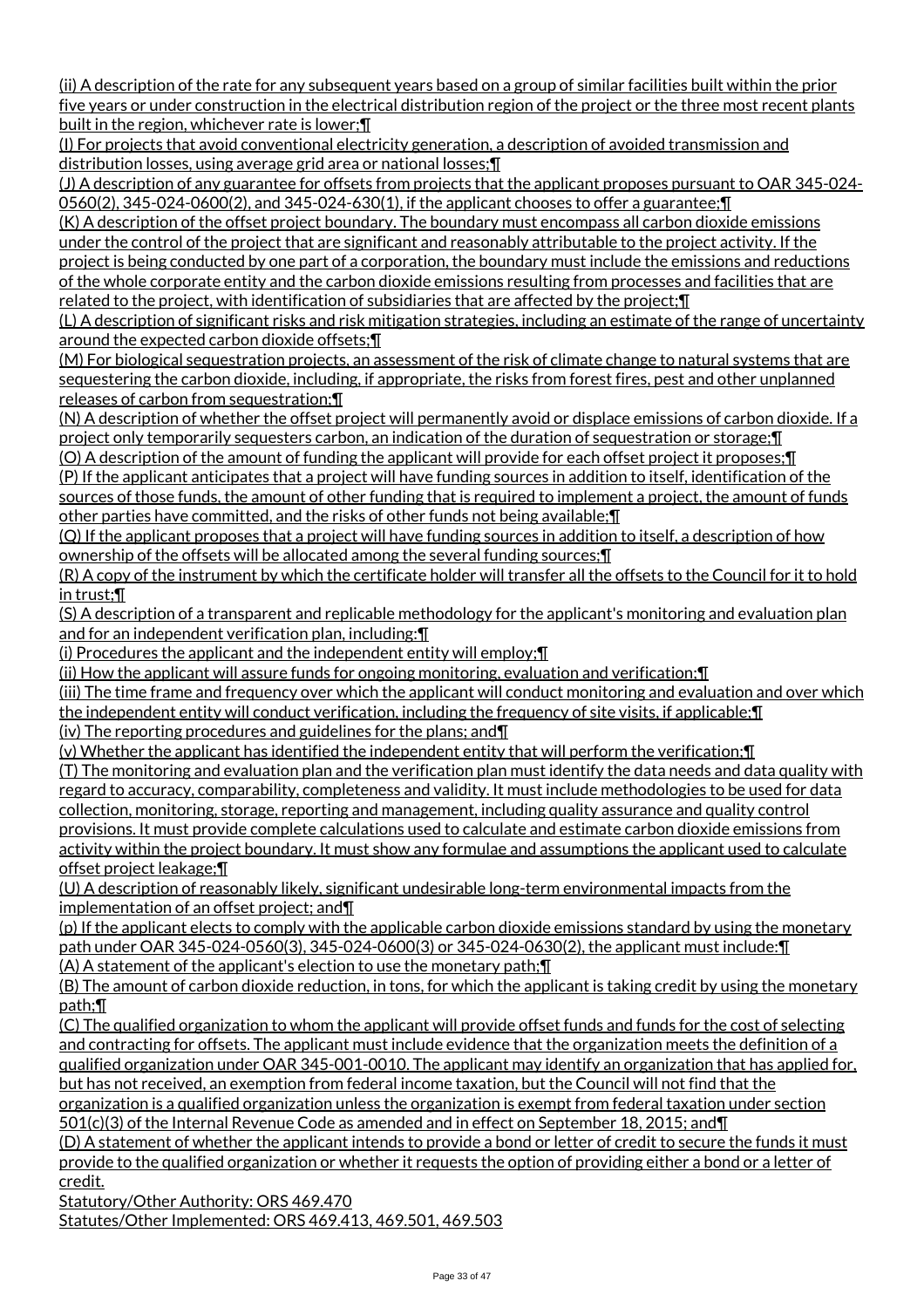(ii) A description of the rate for any subsequent years based on a group of similar facilities built within the prior five years or under construction in the electrical distribution region of the project or the three most recent plants built in the region, whichever rate is lower;¶

(I) For projects that avoid conventional electricity generation, a description of avoided transmission and distribution losses, using average grid area or national losses;¶

(J) A description of any guarantee for offsets from projects that the applicant proposes pursuant to OAR 345-024- 0560(2), 345-024-0600(2), and 345-024-630(1), if the applicant chooses to offer a guarantee;¶

(K) A description of the offset project boundary. The boundary must encompass all carbon dioxide emissions under the control of the project that are significant and reasonably attributable to the project activity. If the project is being conducted by one part of a corporation, the boundary must include the emissions and reductions of the whole corporate entity and the carbon dioxide emissions resulting from processes and facilities that are related to the project, with identification of subsidiaries that are affected by the project;¶

(L) A description of significant risks and risk mitigation strategies, including an estimate of the range of uncertainty around the expected carbon dioxide offsets;¶

(M) For biological sequestration projects, an assessment of the risk of climate change to natural systems that are sequestering the carbon dioxide, including, if appropriate, the risks from forest fires, pest and other unplanned releases of carbon from sequestration;¶

(N) A description of whether the offset project will permanently avoid or displace emissions of carbon dioxide. If a project only temporarily sequesters carbon, an indication of the duration of sequestration or storage;¶

(O) A description of the amount of funding the applicant will provide for each offset project it proposes;¶ (P) If the applicant anticipates that a project will have funding sources in addition to itself, identification of the sources of those funds, the amount of other funding that is required to implement a project, the amount of funds other parties have committed, and the risks of other funds not being available;¶

(Q) If the applicant proposes that a project will have funding sources in addition to itself, a description of how ownership of the offsets will be allocated among the several funding sources;¶

(R) A copy of the instrument by which the certificate holder will transfer all the offsets to the Council for it to hold in trust;¶

(S) A description of a transparent and replicable methodology for the applicant's monitoring and evaluation plan and for an independent verification plan, including:¶

(i) Procedures the applicant and the independent entity will employ;¶

(ii) How the applicant will assure funds for ongoing monitoring, evaluation and verification;¶

(iii) The time frame and frequency over which the applicant will conduct monitoring and evaluation and over which the independent entity will conduct verification, including the frequency of site visits, if applicable; **T** 

(iv) The reporting procedures and guidelines for the plans; and¶

(v) Whether the applicant has identified the independent entity that will perform the verification;¶

(T) The monitoring and evaluation plan and the verification plan must identify the data needs and data quality with regard to accuracy, comparability, completeness and validity. It must include methodologies to be used for data collection, monitoring, storage, reporting and management, including quality assurance and quality control provisions. It must provide complete calculations used to calculate and estimate carbon dioxide emissions from activity within the project boundary. It must show any formulae and assumptions the applicant used to calculate offset project leakage;¶

(U) A description of reasonably likely, significant undesirable long-term environmental impacts from the implementation of an offset project; and¶

(p) If the applicant elects to comply with the applicable carbon dioxide emissions standard by using the monetary path under OAR 345-024-0560(3), 345-024-0600(3) or 345-024-0630(2), the applicant must include:¶ (A) A statement of the applicant's election to use the monetary path;¶

(B) The amount of carbon dioxide reduction, in tons, for which the applicant is taking credit by using the monetary path;¶

(C) The qualified organization to whom the applicant will provide offset funds and funds for the cost of selecting and contracting for offsets. The applicant must include evidence that the organization meets the definition of a qualified organization under OAR 345-001-0010. The applicant may identify an organization that has applied for, but has not received, an exemption from federal income taxation, but the Council will not find that the organization is a qualified organization unless the organization is exempt from federal taxation under section 501(c)(3) of the Internal Revenue Code as amended and in effect on September 18, 2015; and¶

(D) A statement of whether the applicant intends to provide a bond or letter of credit to secure the funds it must provide to the qualified organization or whether it requests the option of providing either a bond or a letter of credit.

Statutory/Other Authority: ORS 469.470

Statutes/Other Implemented: ORS 469.413, 469.501, 469.503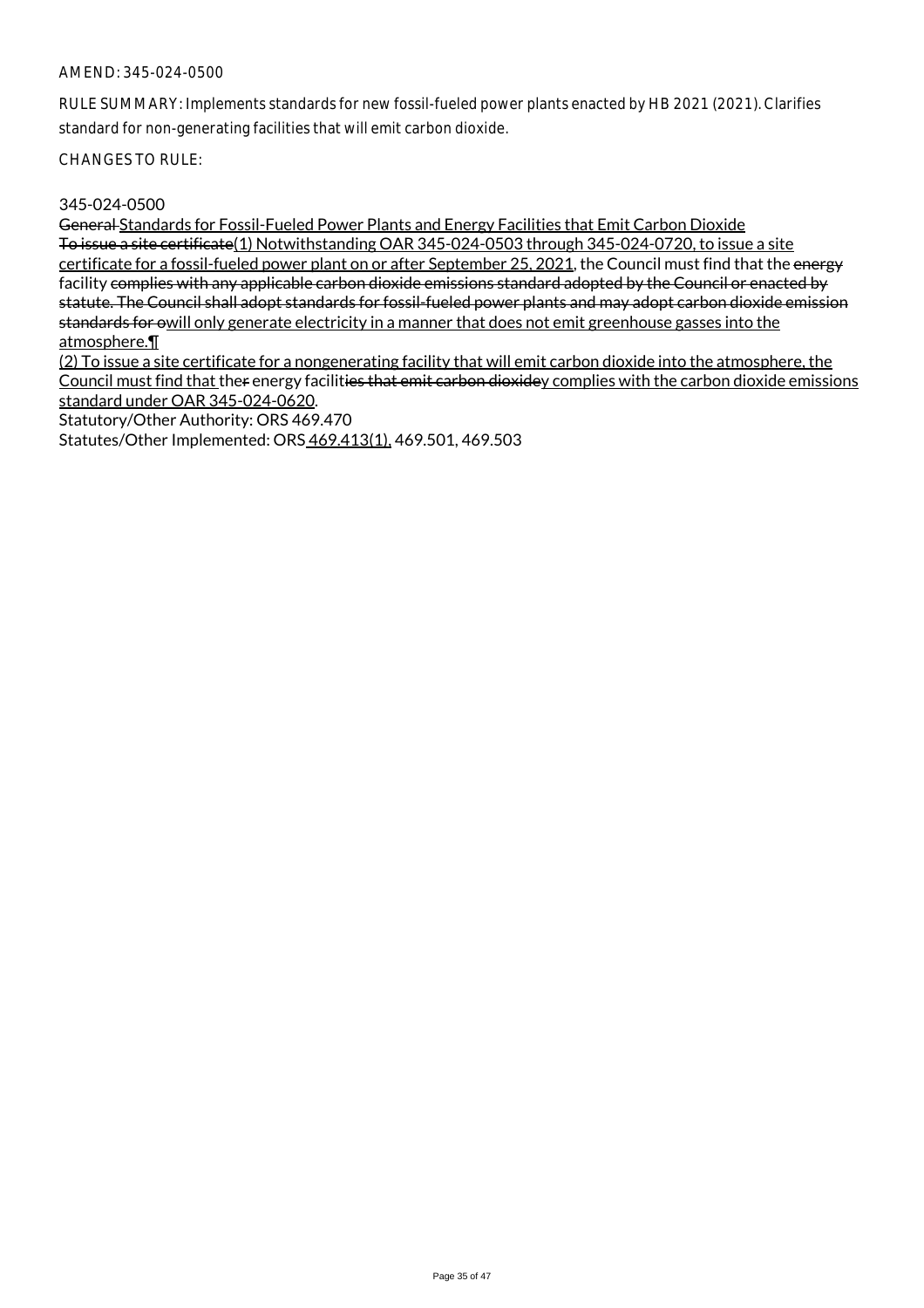RULE SUMMARY: Implements standards for new fossil-fueled power plants enacted by HB 2021 (2021). Clarifies standard for non-generating facilities that will emit carbon dioxide.

CHANGES TO RULE:

### 345-024-0500

General Standards for Fossil-Fueled Power Plants and Energy Facilities that Emit Carbon Dioxide To issue a site certificate(1) Notwithstanding OAR 345-024-0503 through 345-024-0720, to issue a site certificate for a fossil-fueled power plant on or after September 25, 2021, the Council must find that the energy facility complies with any applicable carbon dioxide emissions standard adopted by the Council or enacted by statute. The Council shall adopt standards for fossil-fueled power plants and may adopt carbon dioxide emission standards for owill only generate electricity in a manner that does not emit greenhouse gasses into the atmosphere.¶

(2) To issue a site certificate for a nongenerating facility that will emit carbon dioxide into the atmosphere, the Council must find that ther energy facilities that emit carbon dioxidey complies with the carbon dioxide emissions standard under OAR 345-024-0620.

Statutory/Other Authority: ORS 469.470

Statutes/Other Implemented: ORS 469.413(1), 469.501, 469.503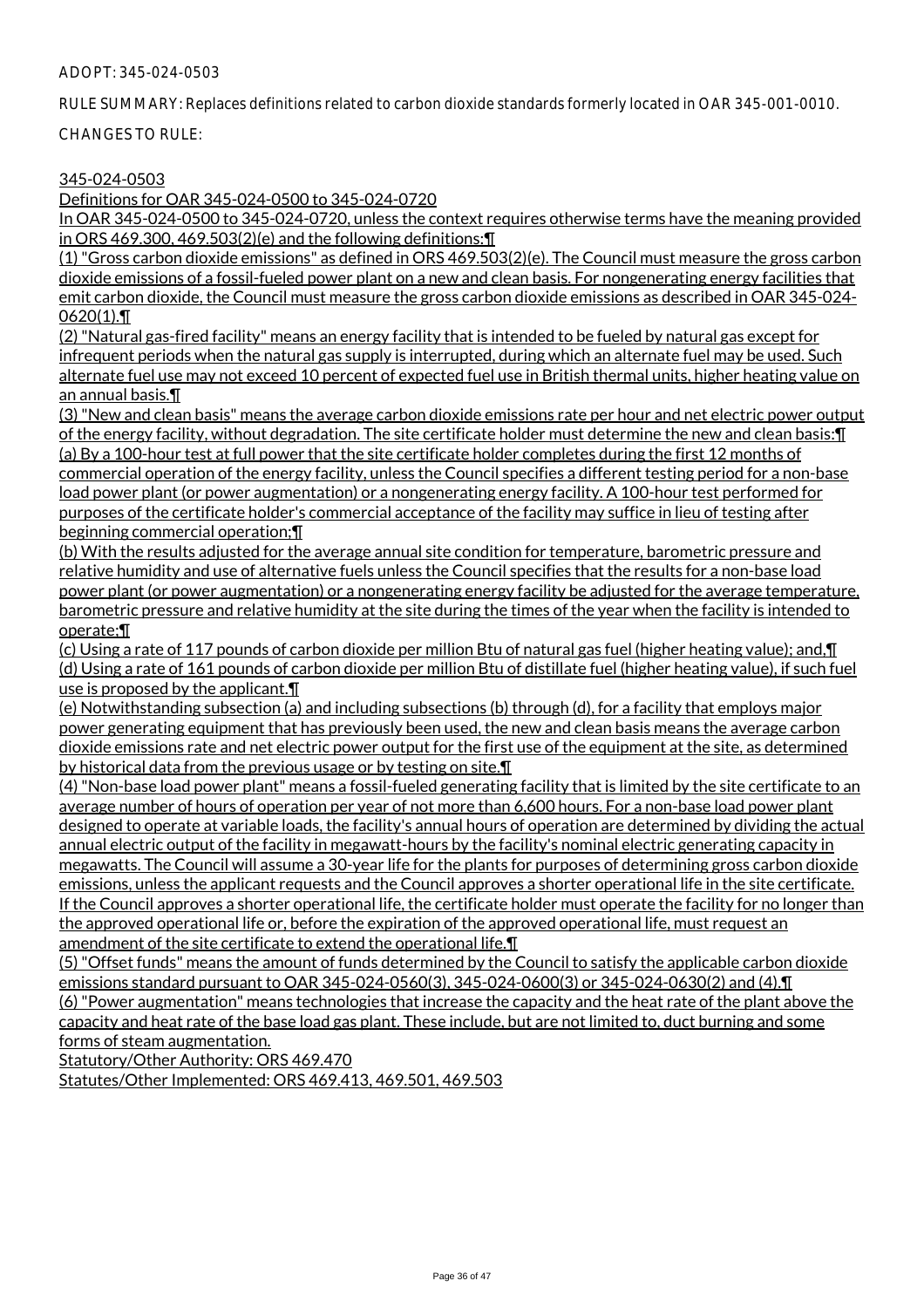#### ADOPT: 345-024-0503

RULE SUMMARY: Replaces definitions related to carbon dioxide standards formerly located in OAR 345-001-0010.

CHANGES TO RULE:

## 345-024-0503

Definitions for OAR 345-024-0500 to 345-024-0720

In OAR 345-024-0500 to 345-024-0720, unless the context requires otherwise terms have the meaning provided in ORS 469.300, 469.503(2)(e) and the following definitions:¶

(1) "Gross carbon dioxide emissions" as defined in ORS 469.503(2)(e). The Council must measure the gross carbon dioxide emissions of a fossil-fueled power plant on a new and clean basis. For nongenerating energy facilities that emit carbon dioxide, the Council must measure the gross carbon dioxide emissions as described in OAR 345-024- 0620(1).¶

(2) "Natural gas-fired facility" means an energy facility that is intended to be fueled by natural gas except for infrequent periods when the natural gas supply is interrupted, during which an alternate fuel may be used. Such alternate fuel use may not exceed 10 percent of expected fuel use in British thermal units, higher heating value on an annual basis.¶

(3) "New and clean basis" means the average carbon dioxide emissions rate per hour and net electric power output of the energy facility, without degradation. The site certificate holder must determine the new and clean basis:¶ (a) By a 100-hour test at full power that the site certificate holder completes during the first 12 months of commercial operation of the energy facility, unless the Council specifies a different testing period for a non-base load power plant (or power augmentation) or a nongenerating energy facility. A 100-hour test performed for purposes of the certificate holder's commercial acceptance of the facility may suffice in lieu of testing after beginning commercial operation;¶

(b) With the results adjusted for the average annual site condition for temperature, barometric pressure and relative humidity and use of alternative fuels unless the Council specifies that the results for a non-base load power plant (or power augmentation) or a nongenerating energy facility be adjusted for the average temperature, barometric pressure and relative humidity at the site during the times of the year when the facility is intended to operate;¶

(c) Using a rate of 117 pounds of carbon dioxide per million Btu of natural gas fuel (higher heating value); and,¶ (d) Using a rate of 161 pounds of carbon dioxide per million Btu of distillate fuel (higher heating value), if such fuel use is proposed by the applicant.¶

(e) Notwithstanding subsection (a) and including subsections (b) through (d), for a facility that employs major power generating equipment that has previously been used, the new and clean basis means the average carbon dioxide emissions rate and net electric power output for the first use of the equipment at the site, as determined by historical data from the previous usage or by testing on site.¶

(4) "Non-base load power plant" means a fossil-fueled generating facility that is limited by the site certificate to an average number of hours of operation per year of not more than 6,600 hours. For a non-base load power plant designed to operate at variable loads, the facility's annual hours of operation are determined by dividing the actual annual electric output of the facility in megawatt-hours by the facility's nominal electric generating capacity in megawatts. The Council will assume a 30-year life for the plants for purposes of determining gross carbon dioxide emissions, unless the applicant requests and the Council approves a shorter operational life in the site certificate. If the Council approves a shorter operational life, the certificate holder must operate the facility for no longer than the approved operational life or, before the expiration of the approved operational life, must request an amendment of the site certificate to extend the operational life.¶

(5) "Offset funds" means the amount of funds determined by the Council to satisfy the applicable carbon dioxide emissions standard pursuant to OAR 345-024-0560(3), 345-024-0600(3) or 345-024-0630(2) and (4).¶ (6) "Power augmentation" means technologies that increase the capacity and the heat rate of the plant above the capacity and heat rate of the base load gas plant. These include, but are not limited to, duct burning and some forms of steam augmentation.

Statutory/Other Authority: ORS 469.470

Statutes/Other Implemented: ORS 469.413, 469.501, 469.503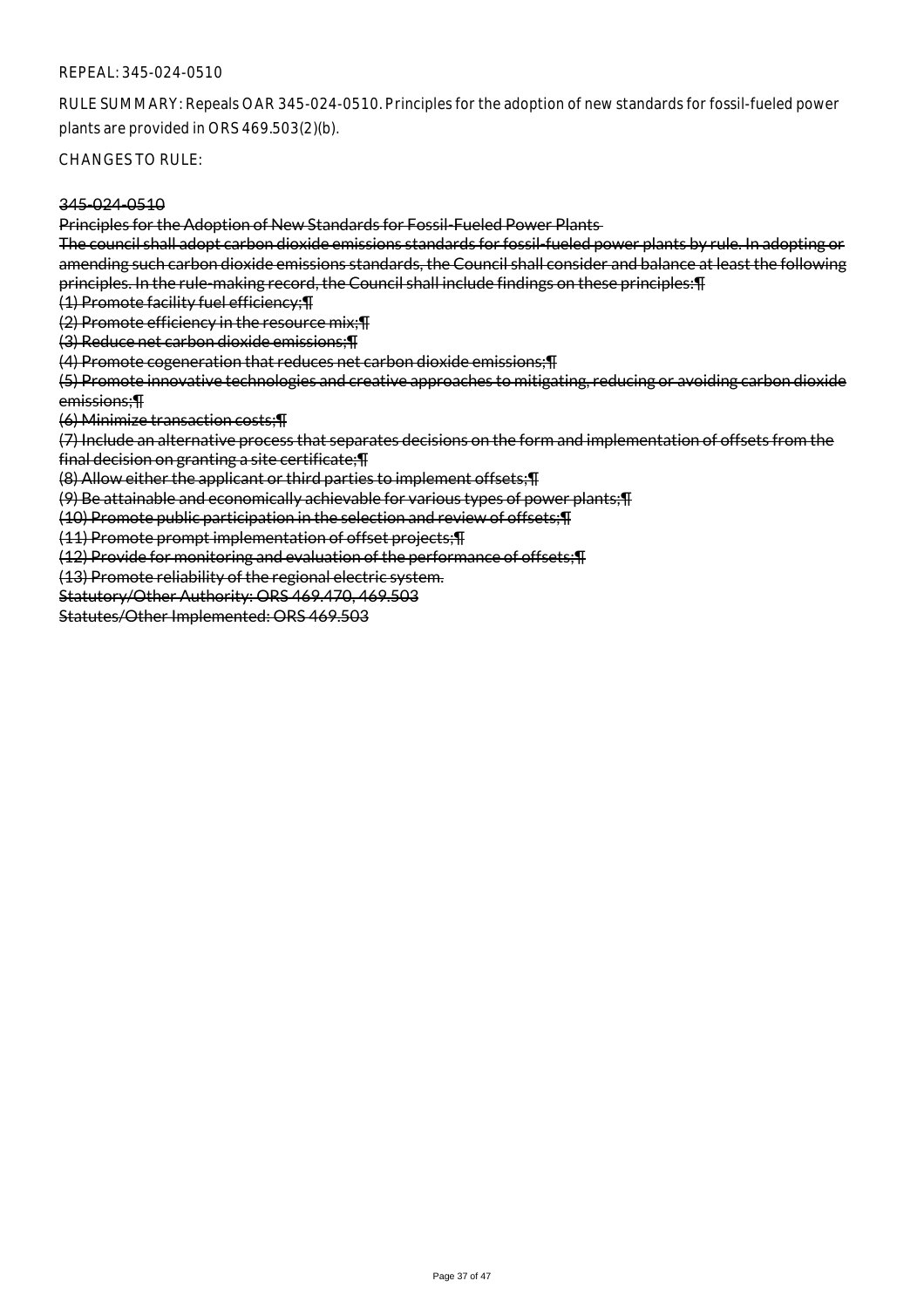#### REPEAL: 345-024-0510

RULE SUMMARY: Repeals OAR 345-024-0510. Principles for the adoption of new standards for fossil-fueled power plants are provided in ORS 469.503(2)(b).

CHANGES TO RULE:

#### 345-024-0510

Principles for the Adoption of New Standards for Fossil-Fueled Power Plants

The council shall adopt carbon dioxide emissions standards for fossil-fueled power plants by rule. In adopting or amending such carbon dioxide emissions standards, the Council shall consider and balance at least the following principles. In the rule-making record, the Council shall include findings on these principles:¶

(1) Promote facility fuel efficiency;¶

(2) Promote efficiency in the resource mix;¶

(3) Reduce net carbon dioxide emissions;¶

(4) Promote cogeneration that reduces net carbon dioxide emissions;¶

(5) Promote innovative technologies and creative approaches to mitigating, reducing or avoiding carbon dioxide emissions;¶

(6) Minimize transaction costs;¶

(7) Include an alternative process that separates decisions on the form and implementation of offsets from the final decision on granting a site certificate;¶

(8) Allow either the applicant or third parties to implement offsets;¶

(9) Be attainable and economically achievable for various types of power plants;¶

(10) Promote public participation in the selection and review of offsets;¶

(11) Promote prompt implementation of offset projects;¶

(12) Provide for monitoring and evaluation of the performance of offsets;¶

(13) Promote reliability of the regional electric system.

Statutory/Other Authority: ORS 469.470, 469.503

Statutes/Other Implemented: ORS 469.503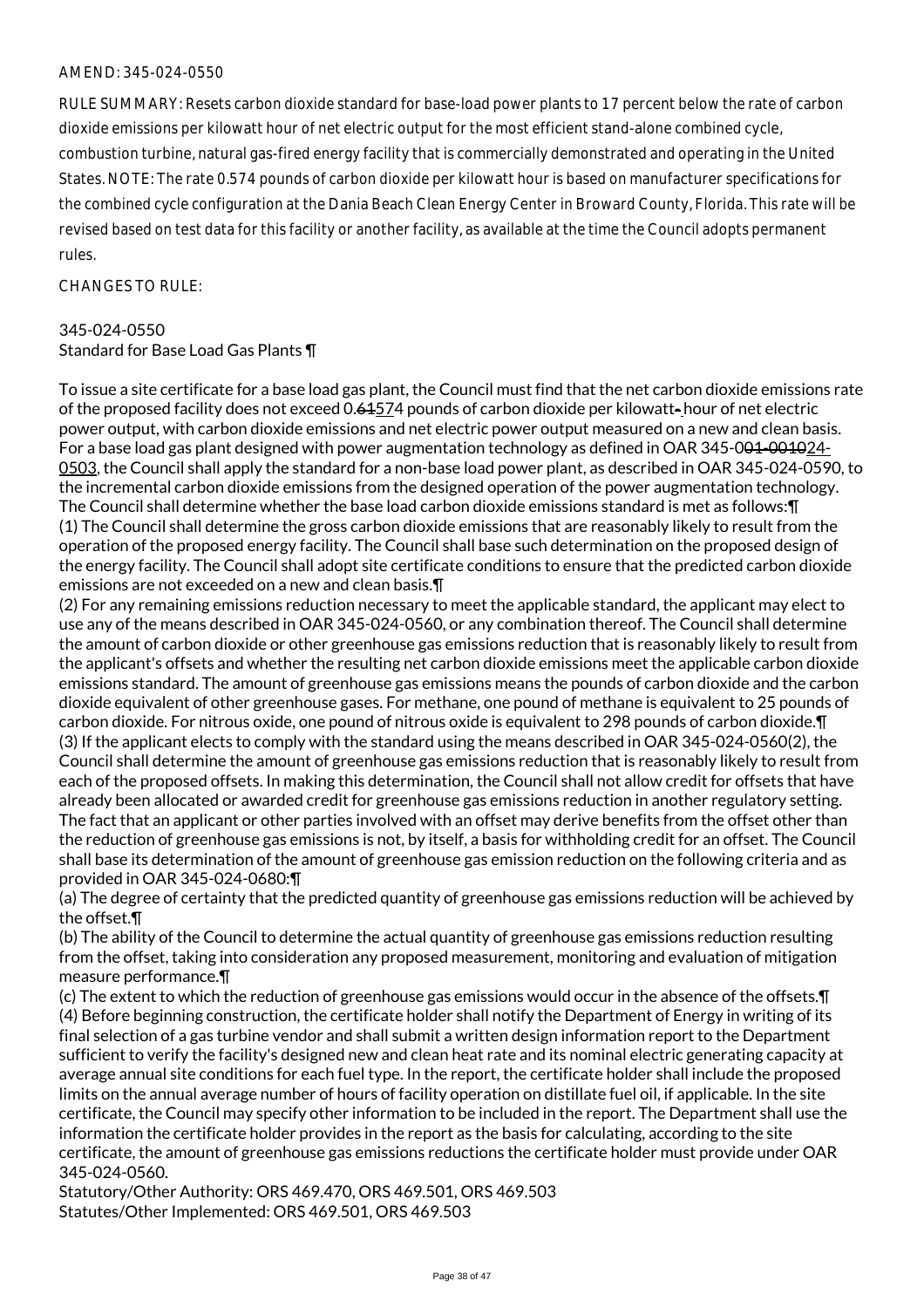RULE SUMMARY: Resets carbon dioxide standard for base-load power plants to 17 percent below the rate of carbon dioxide emissions per kilowatt hour of net electric output for the most efficient stand-alone combined cycle, combustion turbine, natural gas-fired energy facility that is commercially demonstrated and operating in the United States. NOTE: The rate 0.574 pounds of carbon dioxide per kilowatt hour is based on manufacturer specifications for the combined cycle configuration at the Dania Beach Clean Energy Center in Broward County, Florida. This rate will be revised based on test data for this facility or another facility, as available at the time the Council adopts permanent rules.

### $CHANGFS TO RIIF$

#### 345-024-0550

Standard for Base Load Gas Plants ¶

To issue a site certificate for a base load gas plant, the Council must find that the net carbon dioxide emissions rate of the proposed facility does not exceed 0.61574 pounds of carbon dioxide per kilowatt- hour of net electric power output, with carbon dioxide emissions and net electric power output measured on a new and clean basis. For a base load gas plant designed with power augmentation technology as defined in OAR 345-0<del>01-0010</del>24-0503, the Council shall apply the standard for a non-base load power plant, as described in OAR 345-024-0590, to the incremental carbon dioxide emissions from the designed operation of the power augmentation technology. The Council shall determine whether the base load carbon dioxide emissions standard is met as follows:¶ (1) The Council shall determine the gross carbon dioxide emissions that are reasonably likely to result from the operation of the proposed energy facility. The Council shall base such determination on the proposed design of the energy facility. The Council shall adopt site certificate conditions to ensure that the predicted carbon dioxide emissions are not exceeded on a new and clean basis.¶

(2) For any remaining emissions reduction necessary to meet the applicable standard, the applicant may elect to use any of the means described in OAR 345-024-0560, or any combination thereof. The Council shall determine the amount of carbon dioxide or other greenhouse gas emissions reduction that is reasonably likely to result from the applicant's offsets and whether the resulting net carbon dioxide emissions meet the applicable carbon dioxide emissions standard. The amount of greenhouse gas emissions means the pounds of carbon dioxide and the carbon dioxide equivalent of other greenhouse gases. For methane, one pound of methane is equivalent to 25 pounds of carbon dioxide. For nitrous oxide, one pound of nitrous oxide is equivalent to 298 pounds of carbon dioxide.¶ (3) If the applicant elects to comply with the standard using the means described in OAR 345-024-0560(2), the Council shall determine the amount of greenhouse gas emissions reduction that is reasonably likely to result from each of the proposed offsets. In making this determination, the Council shall not allow credit for offsets that have already been allocated or awarded credit for greenhouse gas emissions reduction in another regulatory setting. The fact that an applicant or other parties involved with an offset may derive benefits from the offset other than the reduction of greenhouse gas emissions is not, by itself, a basis for withholding credit for an offset. The Council shall base its determination of the amount of greenhouse gas emission reduction on the following criteria and as provided in OAR 345-024-0680:¶

(a) The degree of certainty that the predicted quantity of greenhouse gas emissions reduction will be achieved by the offset.¶

(b) The ability of the Council to determine the actual quantity of greenhouse gas emissions reduction resulting from the offset, taking into consideration any proposed measurement, monitoring and evaluation of mitigation measure performance.¶

(c) The extent to which the reduction of greenhouse gas emissions would occur in the absence of the offsets.¶ (4) Before beginning construction, the certificate holder shall notify the Department of Energy in writing of its final selection of a gas turbine vendor and shall submit a written design information report to the Department sufficient to verify the facility's designed new and clean heat rate and its nominal electric generating capacity at average annual site conditions for each fuel type. In the report, the certificate holder shall include the proposed limits on the annual average number of hours of facility operation on distillate fuel oil, if applicable. In the site certificate, the Council may specify other information to be included in the report. The Department shall use the information the certificate holder provides in the report as the basis for calculating, according to the site certificate, the amount of greenhouse gas emissions reductions the certificate holder must provide under OAR 345-024-0560.

Statutory/Other Authority: ORS 469.470, ORS 469.501, ORS 469.503 Statutes/Other Implemented: ORS 469.501, ORS 469.503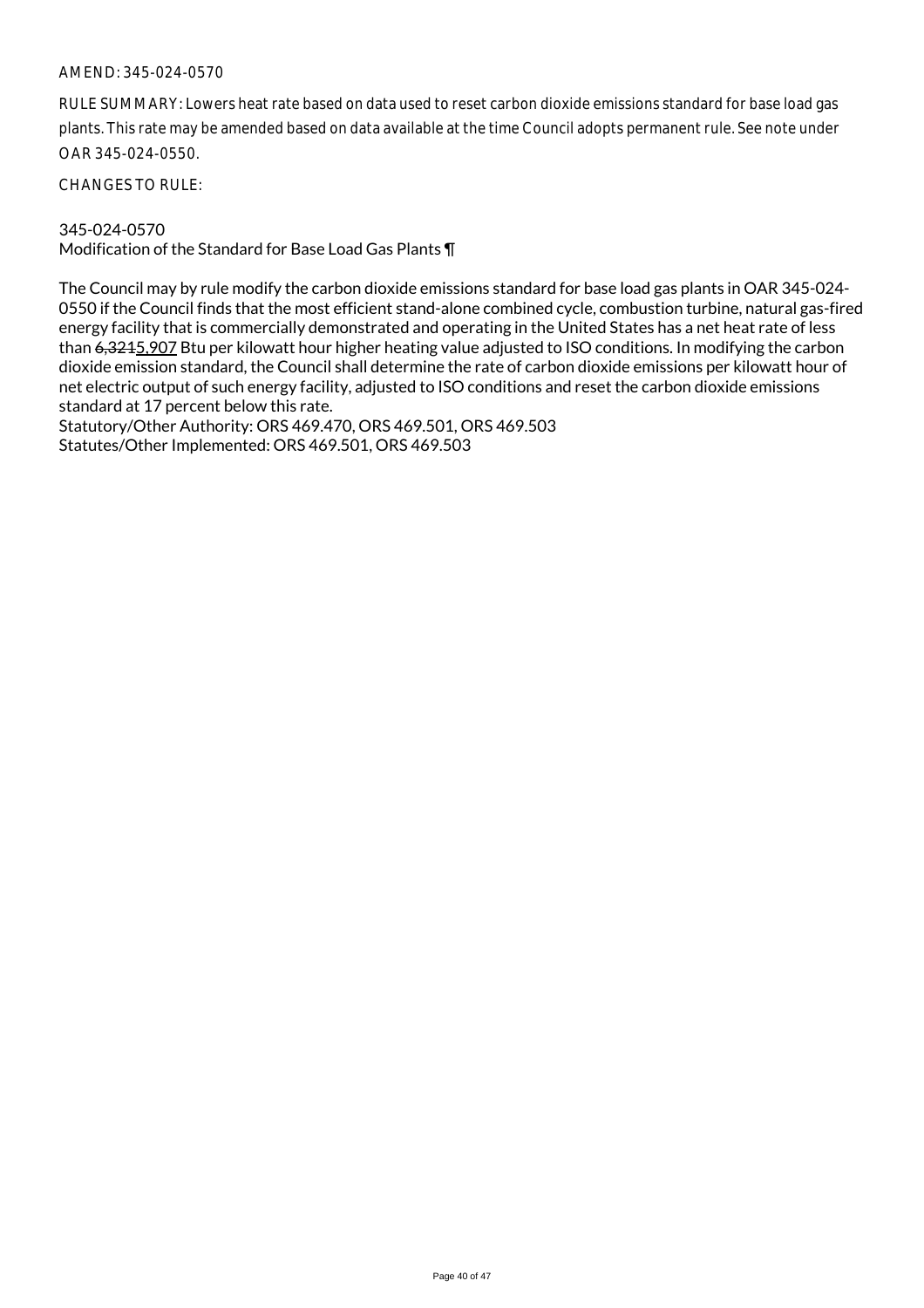RULE SUMMARY: Lowers heat rate based on data used to reset carbon dioxide emissions standard for base load gas plants. This rate may be amended based on data available at the time Council adopts permanent rule. See note under OAR 345-024-0550.

CHANGES TO RULE:

### 345-024-0570

Modification of the Standard for Base Load Gas Plants ¶

The Council may by rule modify the carbon dioxide emissions standard for base load gas plants in OAR 345-024- 0550 if the Council finds that the most efficient stand-alone combined cycle, combustion turbine, natural gas-fired energy facility that is commercially demonstrated and operating in the United States has a net heat rate of less than 6,3215,907 Btu per kilowatt hour higher heating value adjusted to ISO conditions. In modifying the carbon dioxide emission standard, the Council shall determine the rate of carbon dioxide emissions per kilowatt hour of net electric output of such energy facility, adjusted to ISO conditions and reset the carbon dioxide emissions standard at 17 percent below this rate.

Statutory/Other Authority: ORS 469.470, ORS 469.501, ORS 469.503 Statutes/Other Implemented: ORS 469.501, ORS 469.503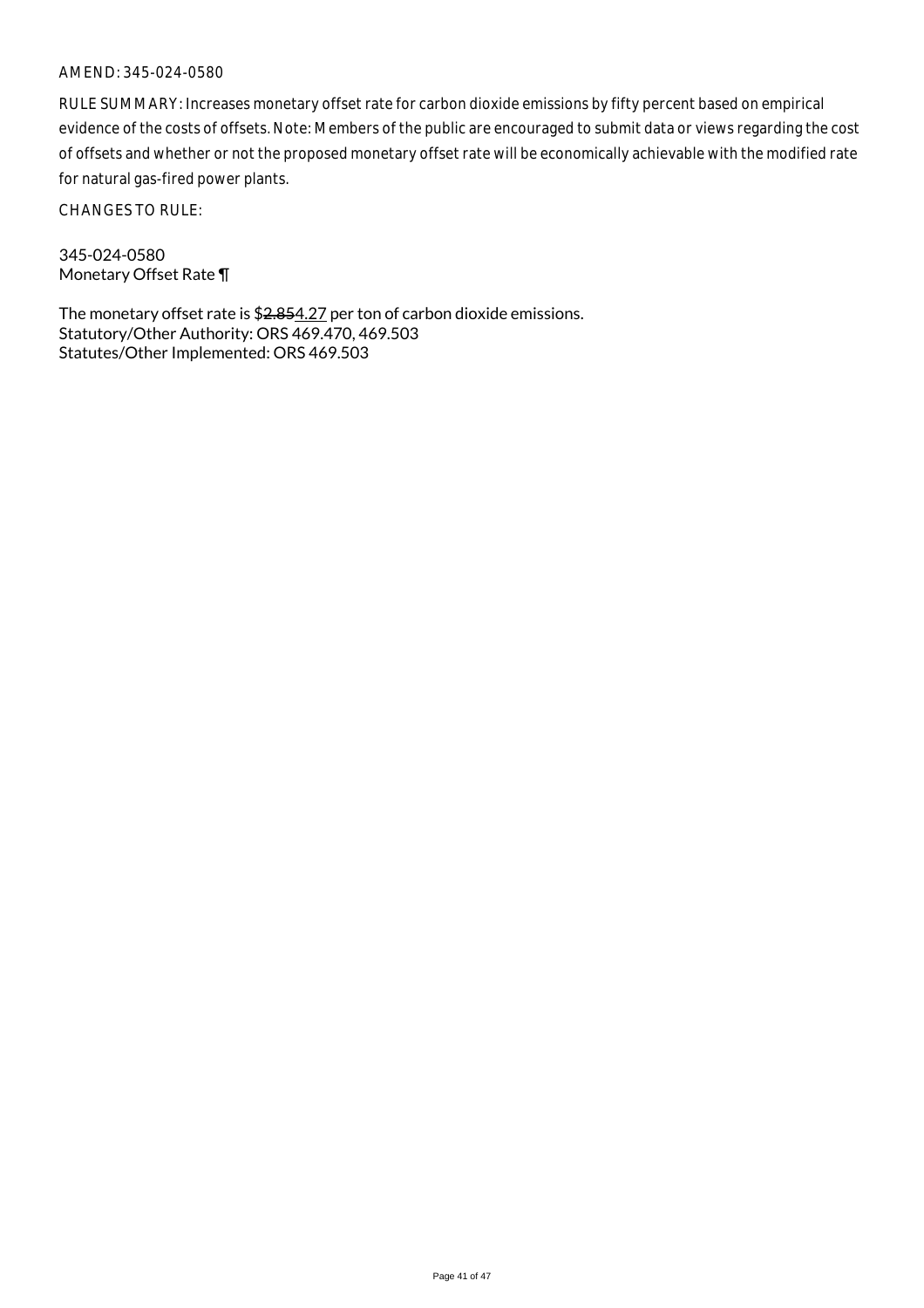RULE SUMMARY: Increases monetary offset rate for carbon dioxide emissions by fifty percent based on empirical evidence of the costs of offsets. Note: Members of the public are encouraged to submit data or views regarding the cost of offsets and whether or not the proposed monetary offset rate will be economically achievable with the modified rate for natural gas-fired power plants.

CHANGES TO RULE:

345-024-0580 Monetary Offset Rate ¶

The monetary offset rate is \$2.854.27 per ton of carbon dioxide emissions. Statutory/Other Authority: ORS 469.470, 469.503 Statutes/Other Implemented: ORS 469.503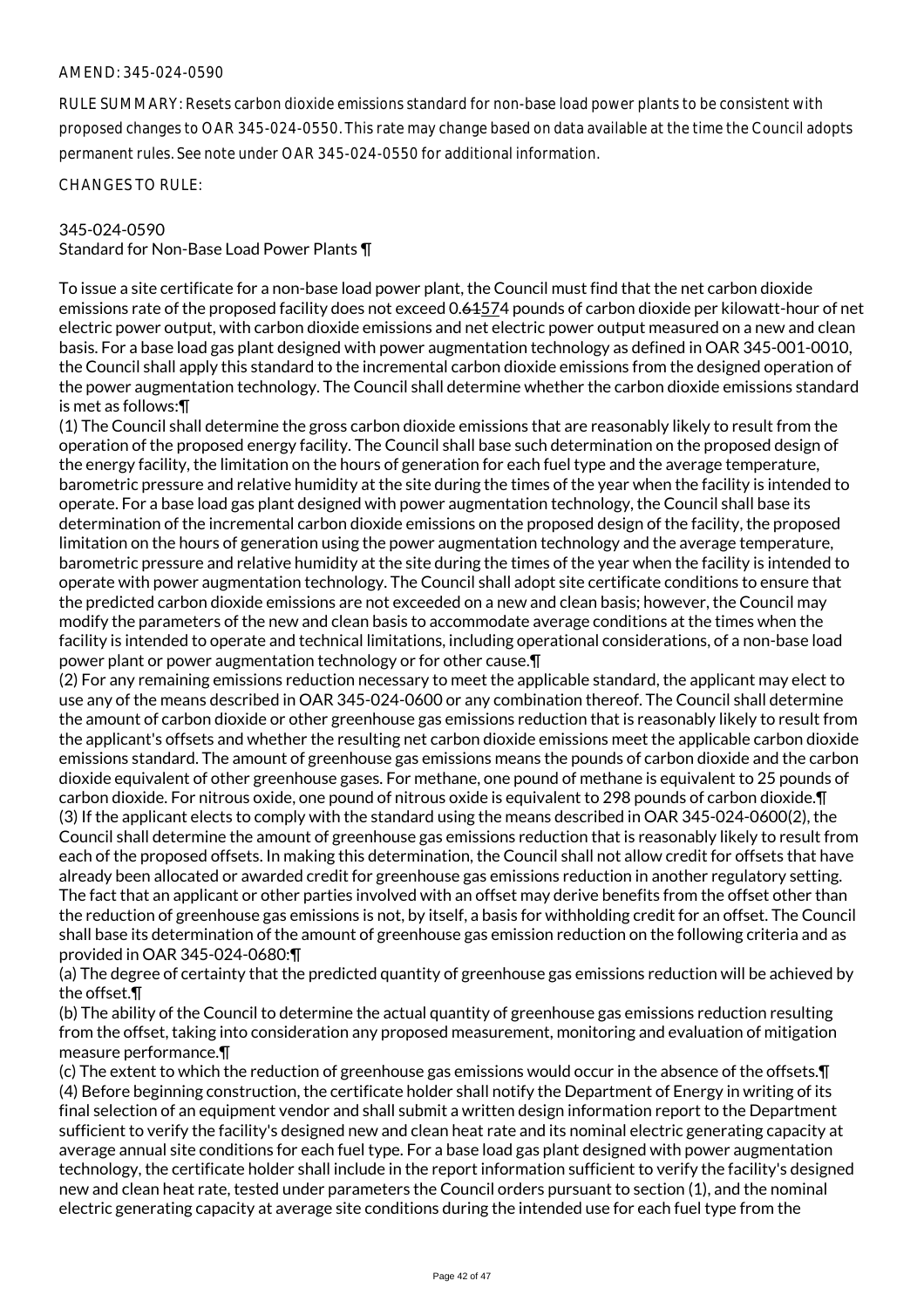RULE SUMMARY: Resets carbon dioxide emissions standard for non-base load power plants to be consistent with proposed changes to OAR 345-024-0550. This rate may change based on data available at the time the Council adopts permanent rules. See note under OAR 345-024-0550 for additional information.

CHANGES TO RULE:

#### 345-024-0590

Standard for Non-Base Load Power Plants ¶

To issue a site certificate for a non-base load power plant, the Council must find that the net carbon dioxide emissions rate of the proposed facility does not exceed 0.61574 pounds of carbon dioxide per kilowatt-hour of net electric power output, with carbon dioxide emissions and net electric power output measured on a new and clean basis. For a base load gas plant designed with power augmentation technology as defined in OAR 345-001-0010, the Council shall apply this standard to the incremental carbon dioxide emissions from the designed operation of the power augmentation technology. The Council shall determine whether the carbon dioxide emissions standard is met as follows:¶

(1) The Council shall determine the gross carbon dioxide emissions that are reasonably likely to result from the operation of the proposed energy facility. The Council shall base such determination on the proposed design of the energy facility, the limitation on the hours of generation for each fuel type and the average temperature, barometric pressure and relative humidity at the site during the times of the year when the facility is intended to operate. For a base load gas plant designed with power augmentation technology, the Council shall base its determination of the incremental carbon dioxide emissions on the proposed design of the facility, the proposed limitation on the hours of generation using the power augmentation technology and the average temperature, barometric pressure and relative humidity at the site during the times of the year when the facility is intended to operate with power augmentation technology. The Council shall adopt site certificate conditions to ensure that the predicted carbon dioxide emissions are not exceeded on a new and clean basis; however, the Council may modify the parameters of the new and clean basis to accommodate average conditions at the times when the facility is intended to operate and technical limitations, including operational considerations, of a non-base load power plant or power augmentation technology or for other cause.¶

(2) For any remaining emissions reduction necessary to meet the applicable standard, the applicant may elect to use any of the means described in OAR 345-024-0600 or any combination thereof. The Council shall determine the amount of carbon dioxide or other greenhouse gas emissions reduction that is reasonably likely to result from the applicant's offsets and whether the resulting net carbon dioxide emissions meet the applicable carbon dioxide emissions standard. The amount of greenhouse gas emissions means the pounds of carbon dioxide and the carbon dioxide equivalent of other greenhouse gases. For methane, one pound of methane is equivalent to 25 pounds of carbon dioxide. For nitrous oxide, one pound of nitrous oxide is equivalent to 298 pounds of carbon dioxide.¶ (3) If the applicant elects to comply with the standard using the means described in OAR 345-024-0600(2), the Council shall determine the amount of greenhouse gas emissions reduction that is reasonably likely to result from each of the proposed offsets. In making this determination, the Council shall not allow credit for offsets that have already been allocated or awarded credit for greenhouse gas emissions reduction in another regulatory setting. The fact that an applicant or other parties involved with an offset may derive benefits from the offset other than the reduction of greenhouse gas emissions is not, by itself, a basis for withholding credit for an offset. The Council shall base its determination of the amount of greenhouse gas emission reduction on the following criteria and as provided in OAR 345-024-0680:¶

(a) The degree of certainty that the predicted quantity of greenhouse gas emissions reduction will be achieved by the offset.¶

(b) The ability of the Council to determine the actual quantity of greenhouse gas emissions reduction resulting from the offset, taking into consideration any proposed measurement, monitoring and evaluation of mitigation measure performance.¶

(c) The extent to which the reduction of greenhouse gas emissions would occur in the absence of the offsets.¶ (4) Before beginning construction, the certificate holder shall notify the Department of Energy in writing of its final selection of an equipment vendor and shall submit a written design information report to the Department sufficient to verify the facility's designed new and clean heat rate and its nominal electric generating capacity at average annual site conditions for each fuel type. For a base load gas plant designed with power augmentation technology, the certificate holder shall include in the report information sufficient to verify the facility's designed new and clean heat rate, tested under parameters the Council orders pursuant to section (1), and the nominal electric generating capacity at average site conditions during the intended use for each fuel type from the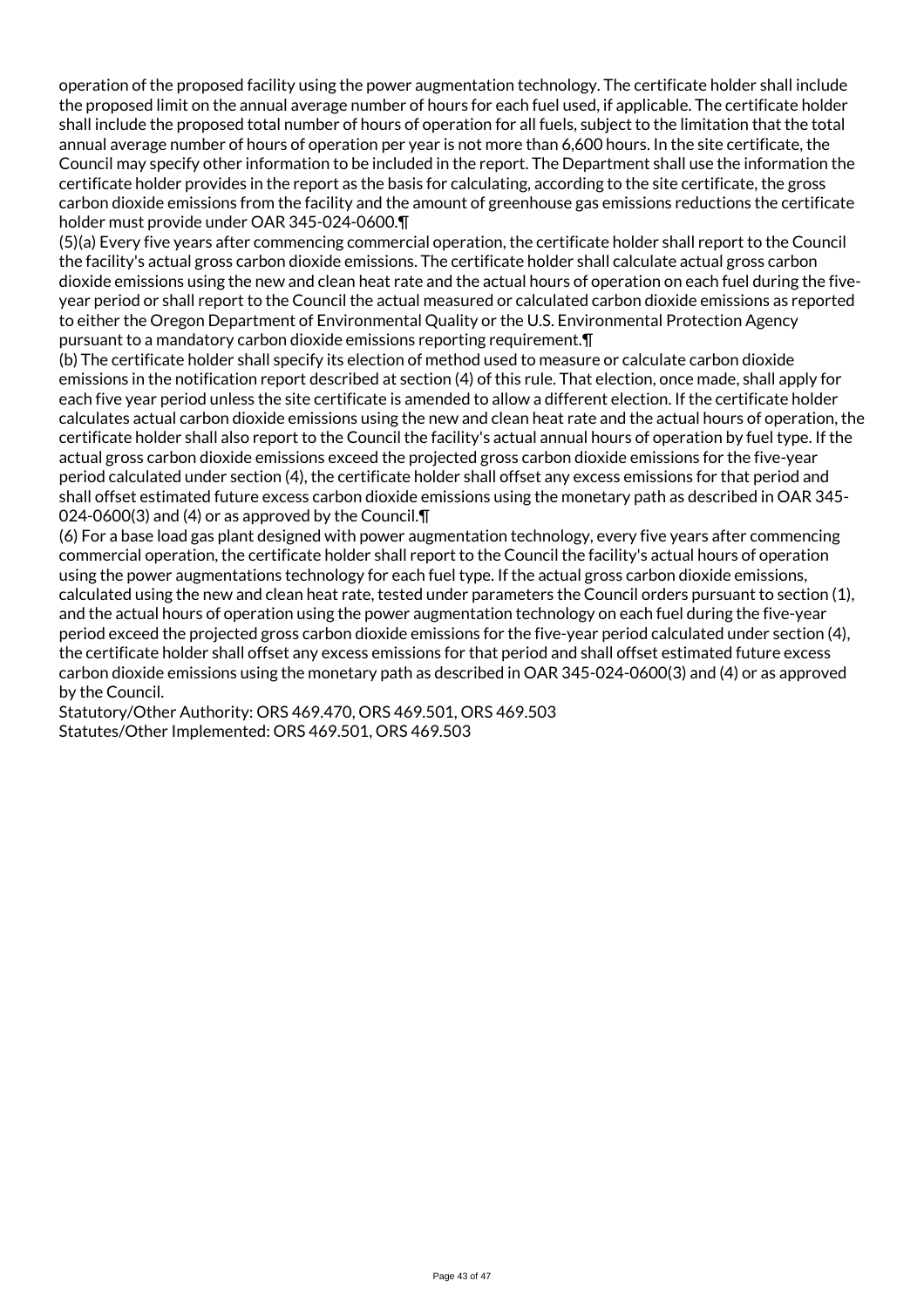operation of the proposed facility using the power augmentation technology. The certificate holder shall include the proposed limit on the annual average number of hours for each fuel used, if applicable. The certificate holder shall include the proposed total number of hours of operation for all fuels, subject to the limitation that the total annual average number of hours of operation per year is not more than 6,600 hours. In the site certificate, the Council may specify other information to be included in the report. The Department shall use the information the certificate holder provides in the report as the basis for calculating, according to the site certificate, the gross carbon dioxide emissions from the facility and the amount of greenhouse gas emissions reductions the certificate holder must provide under OAR 345-024-0600.¶

(5)(a) Every five years after commencing commercial operation, the certificate holder shall report to the Council the facility's actual gross carbon dioxide emissions. The certificate holder shall calculate actual gross carbon dioxide emissions using the new and clean heat rate and the actual hours of operation on each fuel during the fiveyear period or shall report to the Council the actual measured or calculated carbon dioxide emissions as reported to either the Oregon Department of Environmental Quality or the U.S. Environmental Protection Agency pursuant to a mandatory carbon dioxide emissions reporting requirement.¶

(b) The certificate holder shall specify its election of method used to measure or calculate carbon dioxide emissions in the notification report described at section (4) of this rule. That election, once made, shall apply for each five year period unless the site certificate is amended to allow a different election. If the certificate holder calculates actual carbon dioxide emissions using the new and clean heat rate and the actual hours of operation, the certificate holder shall also report to the Council the facility's actual annual hours of operation by fuel type. If the actual gross carbon dioxide emissions exceed the projected gross carbon dioxide emissions for the five-year period calculated under section (4), the certificate holder shall offset any excess emissions for that period and shall offset estimated future excess carbon dioxide emissions using the monetary path as described in OAR 345- 024-0600(3) and (4) or as approved by the Council.¶

(6) For a base load gas plant designed with power augmentation technology, every five years after commencing commercial operation, the certificate holder shall report to the Council the facility's actual hours of operation using the power augmentations technology for each fuel type. If the actual gross carbon dioxide emissions, calculated using the new and clean heat rate, tested under parameters the Council orders pursuant to section (1), and the actual hours of operation using the power augmentation technology on each fuel during the five-year period exceed the projected gross carbon dioxide emissions for the five-year period calculated under section (4), the certificate holder shall offset any excess emissions for that period and shall offset estimated future excess carbon dioxide emissions using the monetary path as described in OAR 345-024-0600(3) and (4) or as approved by the Council.

Statutory/Other Authority: ORS 469.470, ORS 469.501, ORS 469.503 Statutes/Other Implemented: ORS 469.501, ORS 469.503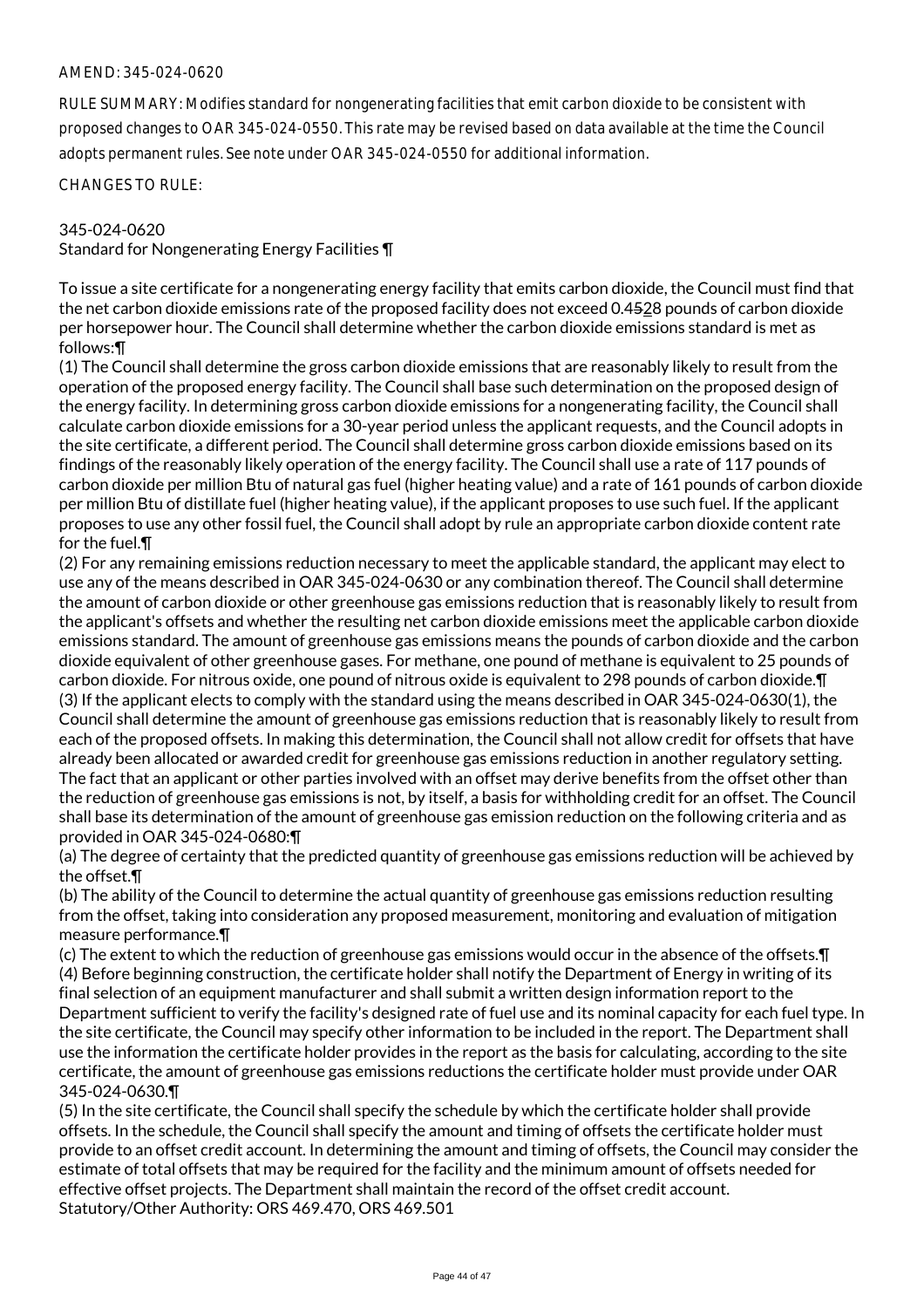RULE SUMMARY: Modifies standard for nongenerating facilities that emit carbon dioxide to be consistent with proposed changes to OAR 345-024-0550. This rate may be revised based on data available at the time the Council adopts permanent rules. See note under OAR 345-024-0550 for additional information.

CHANGES TO RULE:

#### 345-024-0620

Standard for Nongenerating Energy Facilities ¶

To issue a site certificate for a nongenerating energy facility that emits carbon dioxide, the Council must find that the net carbon dioxide emissions rate of the proposed facility does not exceed 0.4528 pounds of carbon dioxide per horsepower hour. The Council shall determine whether the carbon dioxide emissions standard is met as follows:¶

(1) The Council shall determine the gross carbon dioxide emissions that are reasonably likely to result from the operation of the proposed energy facility. The Council shall base such determination on the proposed design of the energy facility. In determining gross carbon dioxide emissions for a nongenerating facility, the Council shall calculate carbon dioxide emissions for a 30-year period unless the applicant requests, and the Council adopts in the site certificate, a different period. The Council shall determine gross carbon dioxide emissions based on its findings of the reasonably likely operation of the energy facility. The Council shall use a rate of 117 pounds of carbon dioxide per million Btu of natural gas fuel (higher heating value) and a rate of 161 pounds of carbon dioxide per million Btu of distillate fuel (higher heating value), if the applicant proposes to use such fuel. If the applicant proposes to use any other fossil fuel, the Council shall adopt by rule an appropriate carbon dioxide content rate for the fuel.¶

(2) For any remaining emissions reduction necessary to meet the applicable standard, the applicant may elect to use any of the means described in OAR 345-024-0630 or any combination thereof. The Council shall determine the amount of carbon dioxide or other greenhouse gas emissions reduction that is reasonably likely to result from the applicant's offsets and whether the resulting net carbon dioxide emissions meet the applicable carbon dioxide emissions standard. The amount of greenhouse gas emissions means the pounds of carbon dioxide and the carbon dioxide equivalent of other greenhouse gases. For methane, one pound of methane is equivalent to 25 pounds of carbon dioxide. For nitrous oxide, one pound of nitrous oxide is equivalent to 298 pounds of carbon dioxide.¶ (3) If the applicant elects to comply with the standard using the means described in OAR 345-024-0630(1), the Council shall determine the amount of greenhouse gas emissions reduction that is reasonably likely to result from each of the proposed offsets. In making this determination, the Council shall not allow credit for offsets that have already been allocated or awarded credit for greenhouse gas emissions reduction in another regulatory setting. The fact that an applicant or other parties involved with an offset may derive benefits from the offset other than the reduction of greenhouse gas emissions is not, by itself, a basis for withholding credit for an offset. The Council shall base its determination of the amount of greenhouse gas emission reduction on the following criteria and as provided in OAR 345-024-0680:¶

(a) The degree of certainty that the predicted quantity of greenhouse gas emissions reduction will be achieved by the offset.¶

(b) The ability of the Council to determine the actual quantity of greenhouse gas emissions reduction resulting from the offset, taking into consideration any proposed measurement, monitoring and evaluation of mitigation measure performance.¶

(c) The extent to which the reduction of greenhouse gas emissions would occur in the absence of the offsets.¶ (4) Before beginning construction, the certificate holder shall notify the Department of Energy in writing of its final selection of an equipment manufacturer and shall submit a written design information report to the Department sufficient to verify the facility's designed rate of fuel use and its nominal capacity for each fuel type. In the site certificate, the Council may specify other information to be included in the report. The Department shall use the information the certificate holder provides in the report as the basis for calculating, according to the site certificate, the amount of greenhouse gas emissions reductions the certificate holder must provide under OAR 345-024-0630.¶

(5) In the site certificate, the Council shall specify the schedule by which the certificate holder shall provide offsets. In the schedule, the Council shall specify the amount and timing of offsets the certificate holder must provide to an offset credit account. In determining the amount and timing of offsets, the Council may consider the estimate of total offsets that may be required for the facility and the minimum amount of offsets needed for effective offset projects. The Department shall maintain the record of the offset credit account. Statutory/Other Authority: ORS 469.470, ORS 469.501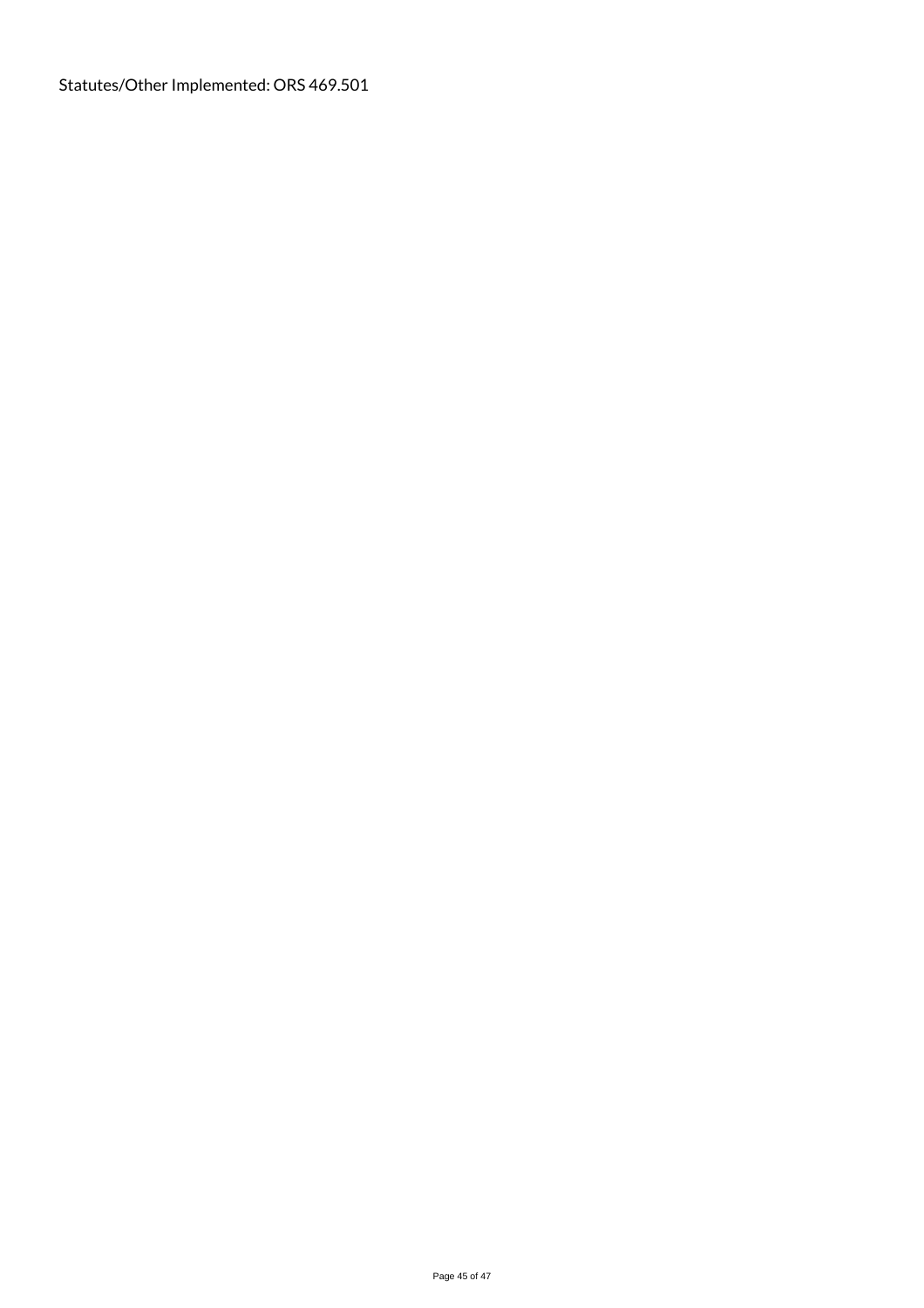Statutes/Other Implemented: ORS 469.501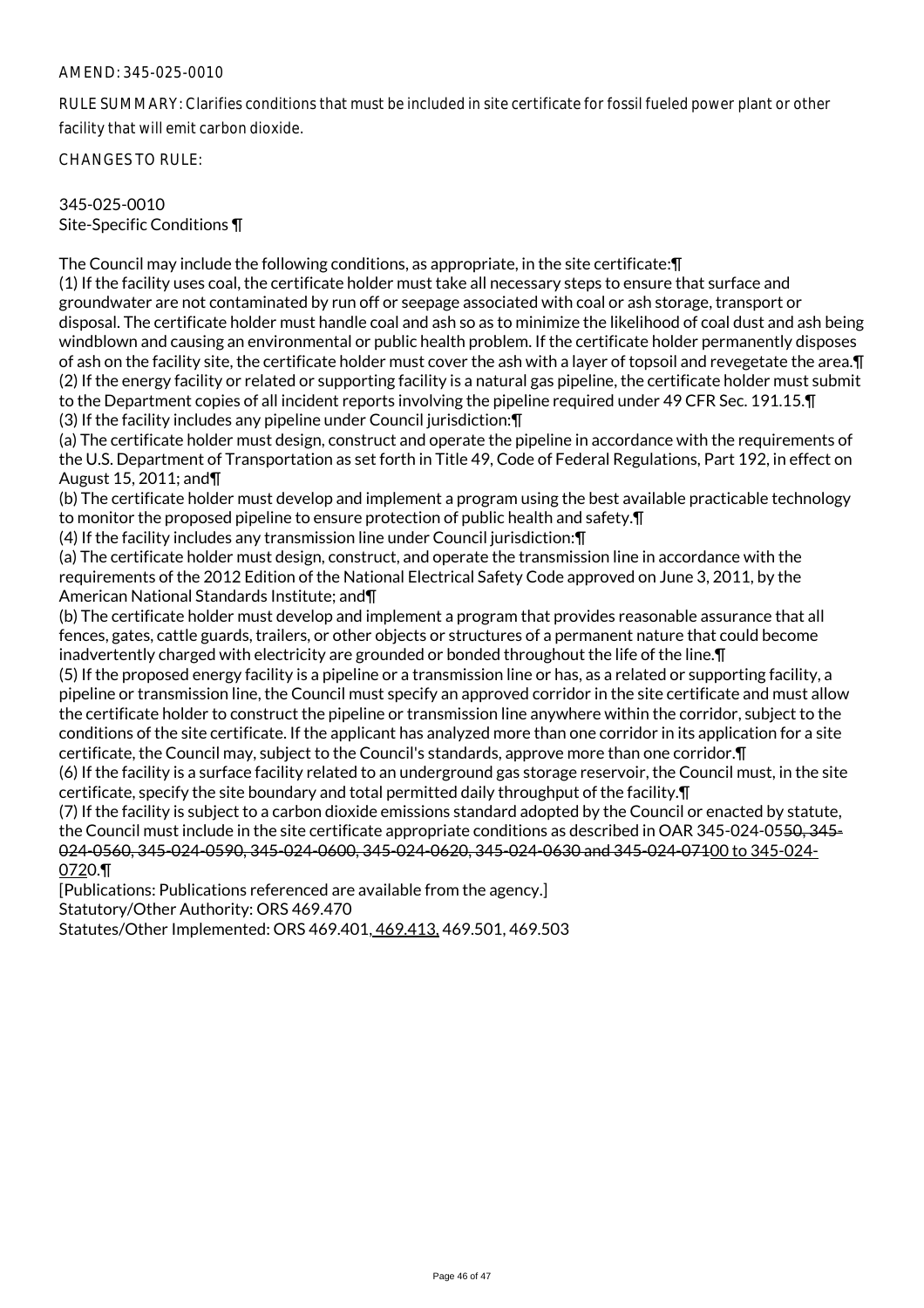RULE SUMMARY: Clarifies conditions that must be included in site certificate for fossil fueled power plant or other facility that will emit carbon dioxide.

CHANGES TO RULE:

345-025-0010 Site-Specific Conditions ¶

The Council may include the following conditions, as appropriate, in the site certificate:¶

(1) If the facility uses coal, the certificate holder must take all necessary steps to ensure that surface and groundwater are not contaminated by run off or seepage associated with coal or ash storage, transport or disposal. The certificate holder must handle coal and ash so as to minimize the likelihood of coal dust and ash being windblown and causing an environmental or public health problem. If the certificate holder permanently disposes of ash on the facility site, the certificate holder must cover the ash with a layer of topsoil and revegetate the area.¶ (2) If the energy facility or related or supporting facility is a natural gas pipeline, the certificate holder must submit to the Department copies of all incident reports involving the pipeline required under 49 CFR Sec. 191.15.¶ (3) If the facility includes any pipeline under Council jurisdiction:¶

(a) The certificate holder must design, construct and operate the pipeline in accordance with the requirements of the U.S. Department of Transportation as set forth in Title 49, Code of Federal Regulations, Part 192, in effect on August 15, 2011; and¶

(b) The certificate holder must develop and implement a program using the best available practicable technology to monitor the proposed pipeline to ensure protection of public health and safety.¶

(4) If the facility includes any transmission line under Council jurisdiction:¶

(a) The certificate holder must design, construct, and operate the transmission line in accordance with the requirements of the 2012 Edition of the National Electrical Safety Code approved on June 3, 2011, by the American National Standards Institute; and¶

(b) The certificate holder must develop and implement a program that provides reasonable assurance that all fences, gates, cattle guards, trailers, or other objects or structures of a permanent nature that could become inadvertently charged with electricity are grounded or bonded throughout the life of the line.¶

(5) If the proposed energy facility is a pipeline or a transmission line or has, as a related or supporting facility, a pipeline or transmission line, the Council must specify an approved corridor in the site certificate and must allow the certificate holder to construct the pipeline or transmission line anywhere within the corridor, subject to the conditions of the site certificate. If the applicant has analyzed more than one corridor in its application for a site certificate, the Council may, subject to the Council's standards, approve more than one corridor.¶

(6) If the facility is a surface facility related to an underground gas storage reservoir, the Council must, in the site certificate, specify the site boundary and total permitted daily throughput of the facility.¶

(7) If the facility is subject to a carbon dioxide emissions standard adopted by the Council or enacted by statute, the Council must include in the site certificate appropriate conditions as described in OAR 345-024-0550, 345- 024-0560, 345-024-0590, 345-024-0600, 345-024-0620, 345-024-0630 and 345-024-07100 to 345-024- 0720.¶

[Publications: Publications referenced are available from the agency.] Statutory/Other Authority: ORS 469.470

Statutes/Other Implemented: ORS 469.401, 469.413, 469.501, 469.503